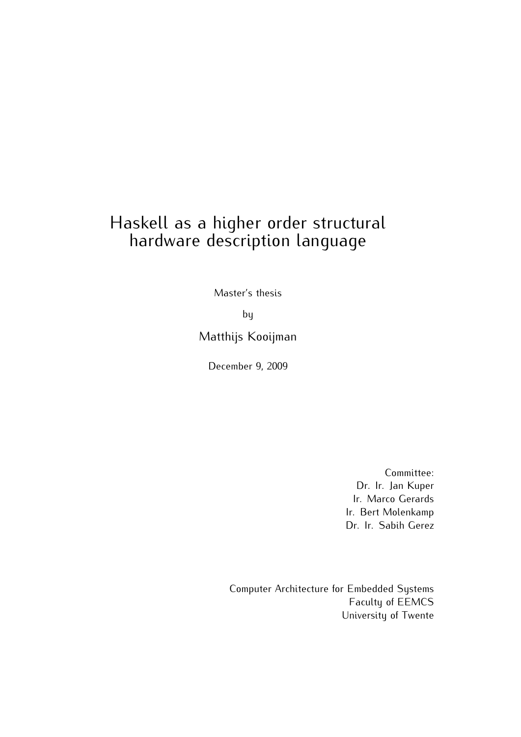# Haskell as a higher order structural hardware description language

Master's thesis

by

Matthijs Kooijman

December 9, 2009

Committee: Dr. Ir. Jan Kuper Ir. Marco Gerards Ir. Bert Molenkamp Dr. Ir. Sabih Gerez

Computer Architecture for Embedded Systems Faculty of EEMCS University of Twente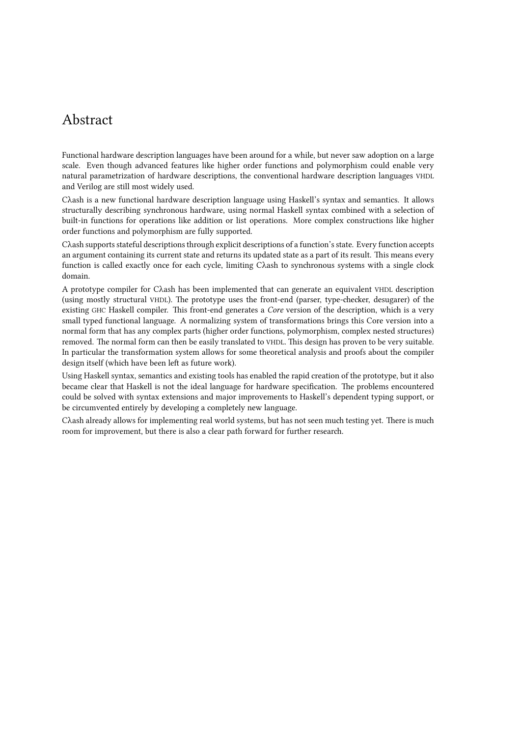# Abstract

Functional hardware description languages have been around for a while, but never saw adoption on a large scale. Even though advanced features like higher order functions and polymorphism could enable very natural parametrization of hardware descriptions, the conventional hardware description languages VHDL and Verilog are still most widely used.

Cλash is a new functional hardware description language using Haskell's syntax and semantics. It allows structurally describing synchronous hardware, using normal Haskell syntax combined with a selection of built-in functions for operations like addition or list operations. More complex constructions like higher order functions and polymorphism are fully supported.

Cλash supports stateful descriptions through explicit descriptions of a function's state. Every function accepts an argument containing its current state and returns its updated state as a part of its result. This means every function is called exactly once for each cycle, limiting Cλash to synchronous systems with a single clock domain.

A prototype compiler for Cλash has been implemented that can generate an equivalent VHDL description (using mostly structural VHDL). The prototype uses the front-end (parser, type-checker, desugarer) of the existing GHC Haskell compiler. This front-end generates a Core version of the description, which is a very small typed functional language. A normalizing system of transformations brings this Core version into a normal form that has any complex parts (higher order functions, polymorphism, complex nested structures) removed. The normal form can then be easily translated to VHDL. This design has proven to be very suitable. In particular the transformation system allows for some theoretical analysis and proofs about the compiler design itself (which have been left as future work).

Using Haskell syntax, semantics and existing tools has enabled the rapid creation of the prototype, but it also became clear that Haskell is not the ideal language for hardware specification. The problems encountered could be solved with syntax extensions and major improvements to Haskell's dependent typing support, or be circumvented entirely by developing a completely new language.

Cλash already allows for implementing real world systems, but has not seen much testing yet. There is much room for improvement, but there is also a clear path forward for further research.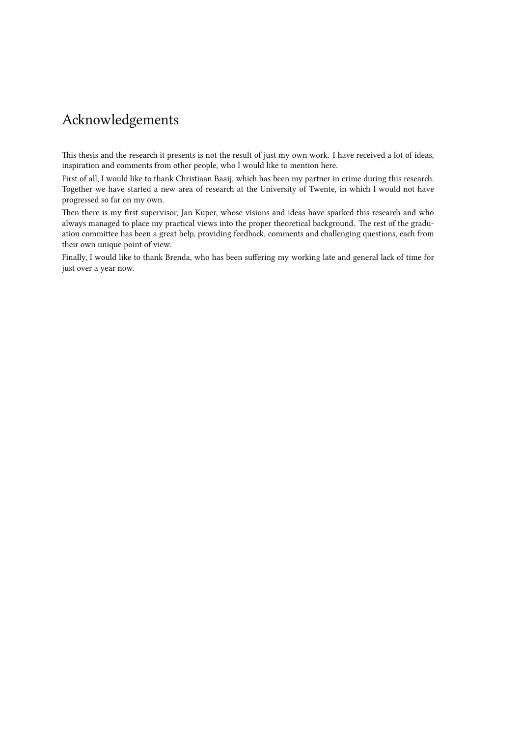# Acknowledgements

This thesis and the research it presents is not the result of just my own work. I have received a lot of ideas, inspiration and comments from other people, who I would like to mention here.

First of all, I would like to thank Christiaan Baaij, which has been my partner in crime during this research. Together we have started a new area of research at the University of Twente, in which I would not have progressed so far on my own.

Then there is my first supervisor, Jan Kuper, whose visions and ideas have sparked this research and who always managed to place my practical views into the proper theoretical background. The rest of the graduation committee has been a great help, providing feedback, comments and challenging questions, each from their own unique point of view.

Finally, I would like to thank Brenda, who has been suffering my working late and general lack of time for just over a year now.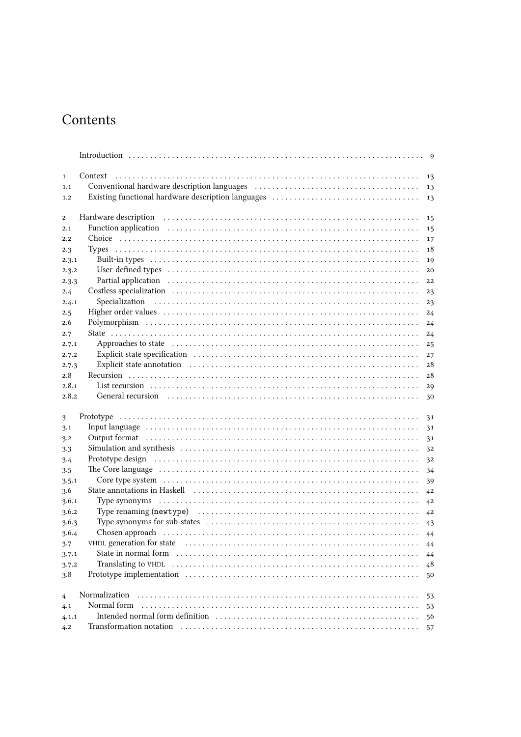# Contents

| $\mathbf{1}$          |                                                                                                                                                                                                                                | 13 |  |  |  |
|-----------------------|--------------------------------------------------------------------------------------------------------------------------------------------------------------------------------------------------------------------------------|----|--|--|--|
| 1.1                   |                                                                                                                                                                                                                                | 13 |  |  |  |
| 1.2                   |                                                                                                                                                                                                                                | 13 |  |  |  |
|                       |                                                                                                                                                                                                                                |    |  |  |  |
| $\mathbf{2}$          |                                                                                                                                                                                                                                | 15 |  |  |  |
| 2.1                   |                                                                                                                                                                                                                                | 15 |  |  |  |
| 2.2                   |                                                                                                                                                                                                                                | 17 |  |  |  |
| 2.3                   |                                                                                                                                                                                                                                | 18 |  |  |  |
| 2.3.1                 |                                                                                                                                                                                                                                | 19 |  |  |  |
| 2.3.2                 |                                                                                                                                                                                                                                | 20 |  |  |  |
| 2.3.3                 |                                                                                                                                                                                                                                | 22 |  |  |  |
| 2.4                   |                                                                                                                                                                                                                                | 23 |  |  |  |
| 2.4.1                 |                                                                                                                                                                                                                                | 23 |  |  |  |
| 2.5                   |                                                                                                                                                                                                                                | 24 |  |  |  |
| 2.6                   |                                                                                                                                                                                                                                | 24 |  |  |  |
| 2.7                   |                                                                                                                                                                                                                                | 24 |  |  |  |
| 2.7.1                 | Approaches to state in the continuum control of the state of the state of the state of the state of the state of the state of the state of the state of the state of the state of the state of the state of the state of the s | 25 |  |  |  |
| 2.7.2                 |                                                                                                                                                                                                                                | 27 |  |  |  |
| 2.7.3                 |                                                                                                                                                                                                                                | 28 |  |  |  |
| 2.8                   |                                                                                                                                                                                                                                | 28 |  |  |  |
| 2.8.1                 |                                                                                                                                                                                                                                | 29 |  |  |  |
| 2.8.2                 | General recursion in the contract of the contract of the contract of the contract of the contract of the contract of the contract of the contract of the contract of the contract of the contract of the contract of the contr | 30 |  |  |  |
|                       |                                                                                                                                                                                                                                |    |  |  |  |
| 3                     |                                                                                                                                                                                                                                | 31 |  |  |  |
| 3.1                   |                                                                                                                                                                                                                                | 31 |  |  |  |
| 3.2                   |                                                                                                                                                                                                                                | 31 |  |  |  |
| 3.3                   |                                                                                                                                                                                                                                | 32 |  |  |  |
| 3.4                   | Prototype design (and accommodation of the contract of the contract of the contract of the contract of the contract of the contract of the contract of the contract of the contract of the contract of the contract of the con | 32 |  |  |  |
| 3.5                   | The Core language in the contract of the core of the core language in the core language in the core of the core of the core of the core of the core of the core of the core of the core of the core of the core of the core of | 34 |  |  |  |
| 3.5.1                 |                                                                                                                                                                                                                                | 39 |  |  |  |
| 3.6                   |                                                                                                                                                                                                                                | 42 |  |  |  |
| 3.6.1                 |                                                                                                                                                                                                                                | 42 |  |  |  |
| 3.6.2                 |                                                                                                                                                                                                                                | 42 |  |  |  |
| 3.6.3                 |                                                                                                                                                                                                                                |    |  |  |  |
| 3.6.4                 |                                                                                                                                                                                                                                |    |  |  |  |
| 3.7                   |                                                                                                                                                                                                                                |    |  |  |  |
| 3.7.1                 | State in normal form interesting in the state of the state in normal form interesting in the state in normal form                                                                                                              | 44 |  |  |  |
| 3.7.2                 |                                                                                                                                                                                                                                | 48 |  |  |  |
| 3.8                   |                                                                                                                                                                                                                                | 50 |  |  |  |
|                       |                                                                                                                                                                                                                                |    |  |  |  |
| $\overline{4}$<br>4.1 | Normal form                                                                                                                                                                                                                    | 53 |  |  |  |
|                       |                                                                                                                                                                                                                                | 53 |  |  |  |
| 4.1.1<br>4.2          |                                                                                                                                                                                                                                | 56 |  |  |  |
|                       |                                                                                                                                                                                                                                | 57 |  |  |  |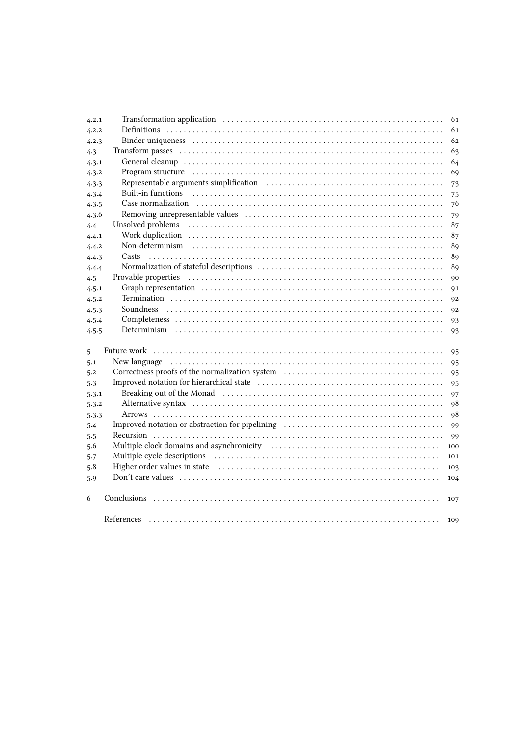| 4.2.1 |                                                                                                                                                                                                                                | 61  |  |  |  |
|-------|--------------------------------------------------------------------------------------------------------------------------------------------------------------------------------------------------------------------------------|-----|--|--|--|
| 4.2.2 |                                                                                                                                                                                                                                |     |  |  |  |
| 4.2.3 |                                                                                                                                                                                                                                |     |  |  |  |
| 4.3   |                                                                                                                                                                                                                                | 63  |  |  |  |
| 4.3.1 |                                                                                                                                                                                                                                | 64  |  |  |  |
| 4.3.2 | Program structure in the continuum control of the control of the control of the control of the control of the control of the control of the control of the control of the control of the control of the control of the control | 69  |  |  |  |
| 4.3.3 |                                                                                                                                                                                                                                | 73  |  |  |  |
| 4.3.4 |                                                                                                                                                                                                                                | 75  |  |  |  |
| 4.3.5 |                                                                                                                                                                                                                                | 76  |  |  |  |
| 4.3.6 |                                                                                                                                                                                                                                | 79  |  |  |  |
| 4.4   |                                                                                                                                                                                                                                | 87  |  |  |  |
| 4.4.1 |                                                                                                                                                                                                                                | 87  |  |  |  |
| 4.4.2 |                                                                                                                                                                                                                                | 89  |  |  |  |
| 4.4.3 |                                                                                                                                                                                                                                | 89  |  |  |  |
| 4.4.4 |                                                                                                                                                                                                                                | 89  |  |  |  |
| 4.5   |                                                                                                                                                                                                                                | 90  |  |  |  |
| 4.5.1 |                                                                                                                                                                                                                                | 91  |  |  |  |
| 4.5.2 |                                                                                                                                                                                                                                | 92  |  |  |  |
| 4.5.3 |                                                                                                                                                                                                                                | 92  |  |  |  |
| 4.5.4 |                                                                                                                                                                                                                                | 93  |  |  |  |
| 4.5.5 |                                                                                                                                                                                                                                | 93  |  |  |  |
|       | Future work in additional contract the contract of the contract of the contract of the contract of the contract of the contract of the contract of the contract of the contract of the contract of the contract of the contrac |     |  |  |  |
| 5     |                                                                                                                                                                                                                                | 95  |  |  |  |
| 5.1   |                                                                                                                                                                                                                                | 95  |  |  |  |
| 5.2   |                                                                                                                                                                                                                                | 95  |  |  |  |
| 5.3   |                                                                                                                                                                                                                                | 95  |  |  |  |
| 5.3.1 |                                                                                                                                                                                                                                | 97  |  |  |  |
| 5.3.2 |                                                                                                                                                                                                                                | 98  |  |  |  |
| 5.3.3 |                                                                                                                                                                                                                                | 98  |  |  |  |
| 5.4   |                                                                                                                                                                                                                                | 99  |  |  |  |
| 5.5   |                                                                                                                                                                                                                                | 99  |  |  |  |
| 5.6   | Multiple clock domains and asynchronicity (and the contract of the contract of the state of the state of the state of the state of the state of the state of the state of the state of the state of the state of the state of  | 100 |  |  |  |
| 5.7   |                                                                                                                                                                                                                                | 101 |  |  |  |
| 5.8   |                                                                                                                                                                                                                                | 103 |  |  |  |
| 5.9   |                                                                                                                                                                                                                                | 104 |  |  |  |
| 6     |                                                                                                                                                                                                                                | 107 |  |  |  |
|       |                                                                                                                                                                                                                                | 109 |  |  |  |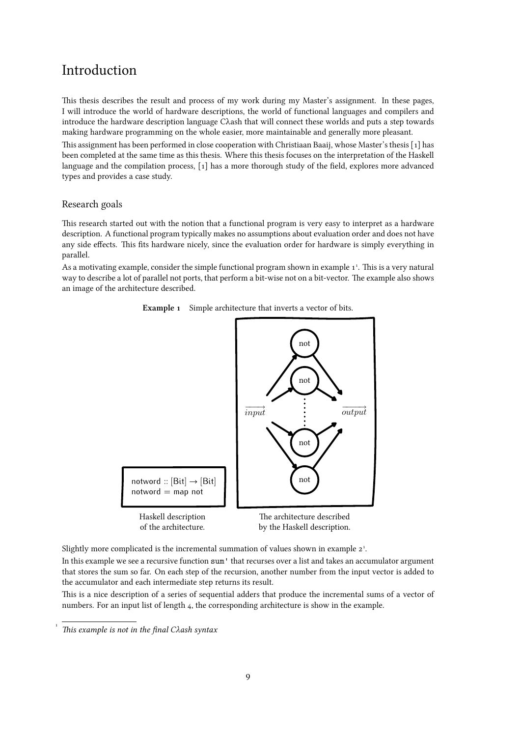# <span id="page-8-0"></span>Introduction

This thesis describes the result and process of my work during my Master's assignment. In these pages, I will introduce the world of hardware descriptions, the world of functional languages and compilers and introduce the hardware description language Cλash that will connect these worlds and puts a step towards making hardware programming on the whole easier, more maintainable and generally more pleasant.

This assignment has been performed in close cooperation with Christiaan Baaij, whose Master's thesis[[1\] has](#page-108-0) been completed at the same time as this thesis. Where this thesis focuses on the interpretation of the Haskell language and the compilation process,[[1\] has a more thorough study of the field, explores more advanced](#page-108-0) types and provides a case study.

#### Research goals

This research started out with the notion that a functional program is very easy to interpret as a hardware description. A functional program typically makes no assumptions about evaluation order and does not have any side effects. This fits hardware nicely, since the evaluation order for hardware is simply everything in parallel.

As a motivating example, consider the simple functional program shown in example 1<sup>1</sup>. This is a very natural way to describe a lot of parallel not ports, that perform a bit-wise not on a bit-vector. The example also shows an image of the architecture described.



Example 1 Simple architecture that inverts a vector of bits.

Slightly more complicated is the incremental summation of values shown in [example 2](#page-9-0)<sup>1</sup>.

In this example we see a recursive function sum' that recurses over a list and takes an accumulator argument that stores the sum so far. On each step of the recursion, another number from the input vector is added to the accumulator and each intermediate step returns its result.

This is a nice description of a series of sequential adders that produce the incremental sums of a vector of numbers. For an input list of length 4, the corresponding architecture is show in the example.

[<sup>1</sup>](#page--1-0) This example is not in the final Cλash syntax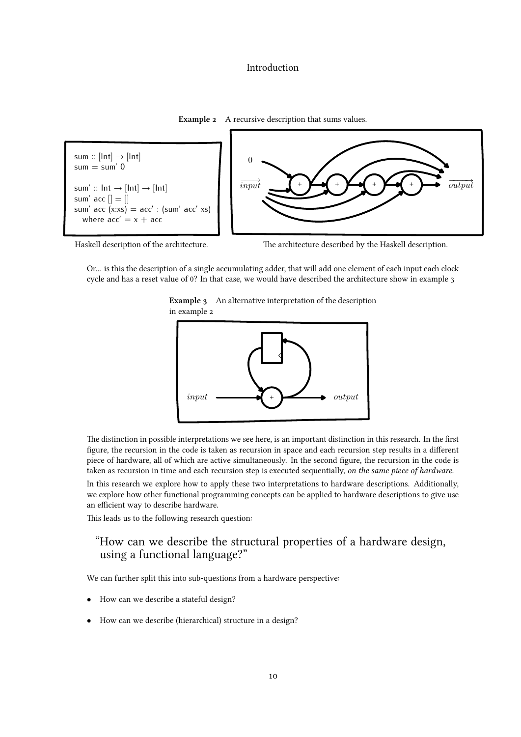# Introduction

Example 2 A recursive description that sums values.

<span id="page-9-0"></span>sum  $::$  [Int]  $\rightarrow$  [Int]  $sum = sum' 0$ sum' ::  $Int \rightarrow [Int] \rightarrow [Int]$ sum' acc  $| \cdot | = | \cdot |$ sum' acc  $(x:xs) = acc'$  :  $(sum' acc' xs)$ where  $acc' = x + acc$ 



Haskell description of the architecture. The architecture described by the Haskell description.

Or... is this the description of a single accumulating adder, that will add one element of each input each clock cycle and has a reset value of 0? In that case, we would have described the architecture show in example 3





The distinction in possible interpretations we see here, is an important distinction in this research. In the first figure, the recursion in the code is taken as recursion in space and each recursion step results in a different piece of hardware, all of which are active simultaneously. In the second figure, the recursion in the code is taken as recursion in time and each recursion step is executed sequentially, on the same piece of hardware.

In this research we explore how to apply these two interpretations to hardware descriptions. Additionally, we explore how other functional programming concepts can be applied to hardware descriptions to give use an efficient way to describe hardware.

This leads us to the following research question:

# "How can we describe the structural properties of a hardware design, using a functional language?"

We can further split this into sub-questions from a hardware perspective:

- *•* How can we describe a stateful design?
- *•* How can we describe (hierarchical) structure in a design?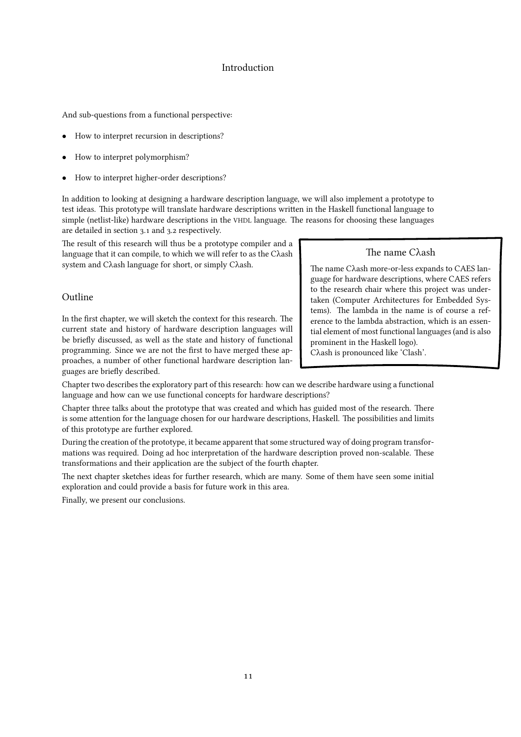# Introduction

And sub-questions from a functional perspective:

- How to interpret recursion in descriptions?
- *•* How to interpret polymorphism?
- How to interpret higher-order descriptions?

In addition to looking at designing a hardware description language, we will also implement a prototype to test ideas. This prototype will translate hardware descriptions written in the Haskell functional language to simple (netlist-like) hardware descriptions in the VHDL language. The reasons for choosing these languages are detailed in section [3.1](#page-30-0) and [3.2](#page-30-0) respectively.

The result of this research will thus be a prototype compiler and a language that it can compile, to which we will refer to as the Cλash system and Cλash language for short, or simply Cλash.

#### Outline

In the first chapter, we will sketch the context for this research. The current state and history of hardware description languages will be briefly discussed, as well as the state and history of functional programming. Since we are not the first to have merged these approaches, a number of other functional hardware description languages are briefly described.

#### The name Cλash

The name Cλash more-or-less expands to CAES language for hardware descriptions, where CAES refers to the research chair where this project was undertaken (Computer Architectures for Embedded Systems). The lambda in the name is of course a reference to the lambda abstraction, which is an essential element of most functional languages (and is also prominent in the Haskell logo).

Cλash is pronounced like 'Clash'.

Chapter two describes the exploratory part of this research: how can we describe hardware using a functional language and how can we use functional concepts for hardware descriptions?

Chapter three talks about the prototype that was created and which has guided most of the research. There is some attention for the language chosen for our hardware descriptions, Haskell. The possibilities and limits of this prototype are further explored.

During the creation of the prototype, it became apparent that some structured way of doing program transformations was required. Doing ad hoc interpretation of the hardware description proved non-scalable. These transformations and their application are the subject of the fourth chapter.

The next chapter sketches ideas for further research, which are many. Some of them have seen some initial exploration and could provide a basis for future work in this area.

Finally, we present our conclusions.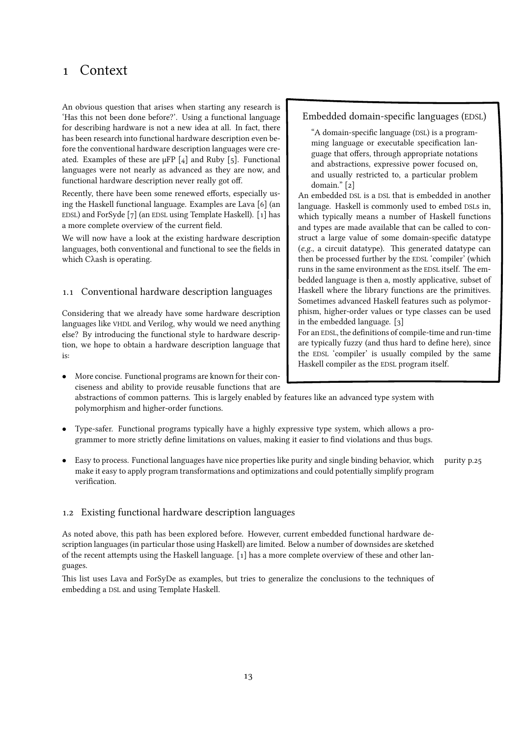# <span id="page-12-0"></span>1 Context

An obvious question that arises when starting any research is 'Has this not been done before?'. Using a functional language for describing hardware is not a new idea at all. In fact, there has been research into functional hardware description even before the conventional hardware description languages were created. Examples of these are  $\mu$ FP [\[4\] and Ruby \[5\]. Functional](#page-108-0) languages were not nearly as advanced as they are now, and functional hardware description never really got off.

Recently, there have been some renewed efforts, especially using the Haskell functional language. Examples are Lava [\[6\] \(an](#page-108-0) EDSL) and ForSyde [7] (an EDSL [using Template Haskell\). \[1\] has](#page-108-0) a more complete overview of the current field.

We will now have a look at the existing hardware description languages, both conventional and functional to see the fields in which Cλash is operating.

# 1.1 Conventional hardware description languages

Considering that we already have some hardware description languages like VHDL and Verilog, why would we need anything else? By introducing the functional style to hardware description, we hope to obtain a hardware description language that is:

*•* More concise. Functional programs are known for their conciseness and ability to provide reusable functions that are

abstractions of common patterns. This is largely enabled by features like an advanced type system with polymorphism and higher-order functions.

- *•* Type-safer. Functional programs typically have a highly expressive type system, which allows a programmer to more strictly define limitations on values, making it easier to find violations and thus bugs.
- Easy to process. Functional languages have nice properties like purity and single binding behavior, which [purity p.25](#page-24-0) make it easy to apply program transformations and optimizations and could potentially simplify program verification.

# 1.2 Existing functional hardware description languages

As noted above, this path has been explored before. However, current embedded functional hardware description languages (in particular those using Haskell) are limited. Below a number of downsides are sketched of the recent attempts using the Haskell language. [\[1\] has a more complete overview of these and other lan](#page-108-0)guages.

This list uses Lava and ForSyDe as examples, but tries to generalize the conclusions to the techniques of embedding a DSL and using Template Haskell.

# Embedded domain-specific languages (EDSL)

"A domain-specific language (DSL) is a programming language or executable specification language that offers, through appropriate notations and abstractions, expressive power focused on, and usually restricted to, a particular problem domain."[[2\]](#page-108-0)

An embedded DSL is a DSL that is embedded in another language. Haskell is commonly used to embed DSLs in, which typically means a number of Haskell functions and types are made available that can be called to construct a large value of some domain-specific datatype (e.g., a circuit datatype). This generated datatype can then be processed further by the EDSL 'compiler' (which runs in the same environment as the EDSL itself. The embedded language is then a, mostly applicative, subset of Haskell where the library functions are the primitives. Sometimes advanced Haskell features such as polymorphism, higher-order values or type classes can be used in the embedded language.[[3\]](#page-108-0)

For an EDSL, the definitions of compile-time and run-time are typically fuzzy (and thus hard to define here), since the EDSL 'compiler' is usually compiled by the same Haskell compiler as the EDSL program itself.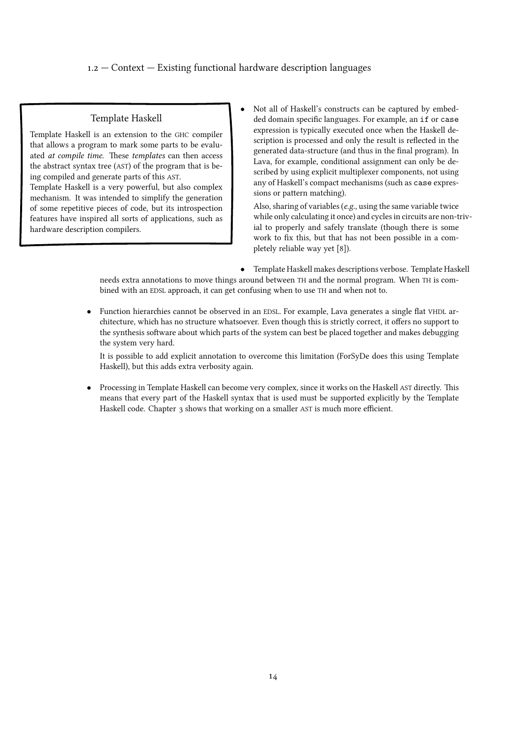# 1.2 — Context — Existing functional hardware description languages

# Template Haskell

Template Haskell is an extension to the GHC compiler that allows a program to mark some parts to be evaluated at compile time. These templates can then access the abstract syntax tree (AST) of the program that is being compiled and generate parts of this AST.

Template Haskell is a very powerful, but also complex mechanism. It was intended to simplify the generation of some repetitive pieces of code, but its introspection features have inspired all sorts of applications, such as hardware description compilers.

*•* Not all of Haskell's constructs can be captured by embedded domain specific languages. For example, an if or case expression is typically executed once when the Haskell description is processed and only the result is reflected in the generated data-structure (and thus in the final program). In Lava, for example, conditional assignment can only be described by using explicit multiplexer components, not using any of Haskell's compact mechanisms (such as case expressions or pattern matching).

Also, sharing of variables (e.g., using the same variable twice while only calculating it once) and cycles in circuits are non-trivial to properly and safely translate (though there is some work to fix this, but that has not been possible in a completely reliable way yet [\[8\]\).](#page-108-0)

*•* Template Haskell makes descriptions verbose. Template Haskell needs extra annotations to move things around between TH and the normal program. When TH is combined with an EDSL approach, it can get confusing when to use TH and when not to.

*•* Function hierarchies cannot be observed in an EDSL. For example, Lava generates a single flat VHDL architecture, which has no structure whatsoever. Even though this is strictly correct, it offers no support to the synthesis software about which parts of the system can best be placed together and makes debugging the system very hard.

It is possible to add explicit annotation to overcome this limitation (ForSyDe does this using Template Haskell), but this adds extra verbosity again.

*•* Processing in Template Haskell can become very complex, since it works on the Haskell AST directly. This means that every part of the Haskell syntax that is used must be supported explicitly by the Template Haskell code. [Chapter 3](#page-30-0) shows that working on a smaller AST is much more efficient.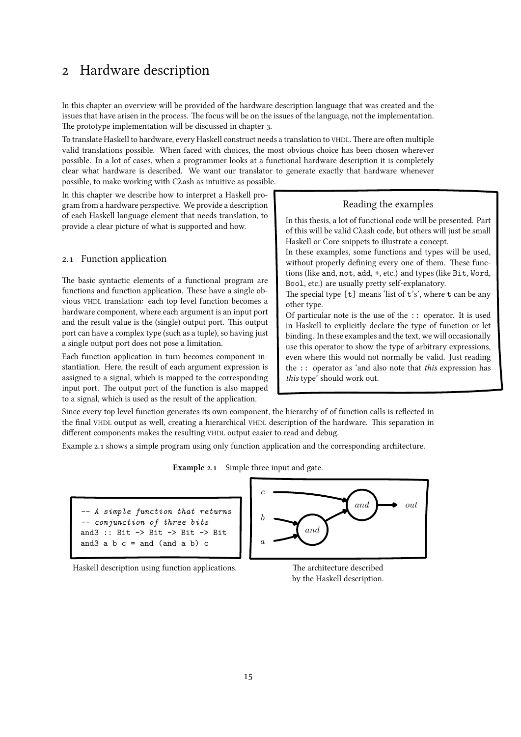# <span id="page-14-0"></span>2 Hardware description

In this chapter an overview will be provided of the hardware description language that was created and the issues that have arisen in the process. The focus will be on the issues of the language, not the implementation. The prototype implementation will be discussed in [chapter 3.](#page-30-0)

To translate Haskell to hardware, every Haskell construct needs a translation to VHDL. There are often multiple valid translations possible. When faced with choices, the most obvious choice has been chosen wherever possible. In a lot of cases, when a programmer looks at a functional hardware description it is completely clear what hardware is described. We want our translator to generate exactly that hardware whenever possible, to make working with Cλash as intuitive as possible.

In this chapter we describe how to interpret a Haskell program from a hardware perspective. We provide a description of each Haskell language element that needs translation, to provide a clear picture of what is supported and how.

## 2.1 Function application

The basic syntactic elements of a functional program are functions and function application. These have a single obvious VHDL translation: each top level function becomes a hardware component, where each argument is an input port and the result value is the (single) output port. This output port can have a complex type (such as a tuple), so having just a single output port does not pose a limitation.

Each function application in turn becomes component instantiation. Here, the result of each argument expression is assigned to a signal, which is mapped to the corresponding input port. The output port of the function is also mapped to a signal, which is used as the result of the application.

Reading the examples

In this thesis, a lot of functional code will be presented. Part of this will be valid Cλash code, but others will just be small Haskell or Core snippets to illustrate a concept.

In these examples, some functions and types will be used, without properly defining every one of them. These functions (like and, not, add, +, etc.) and types (like Bit, Word, Bool, etc.) are usually pretty self-explanatory.

The special type [t] means 'list of t's', where t can be any other type.

Of particular note is the use of the :: operator. It is used in Haskell to explicitly declare the type of function or let binding. In these examples and the text, we will occasionally use this operator to show the type of arbitrary expressions, even where this would not normally be valid. Just reading the :: operator as 'and also note that this expression has this type' should work out.

Since every top level function generates its own component, the hierarchy of of function calls is reflected in the final VHDL output as well, creating a hierarchical VHDL description of the hardware. This separation in different components makes the resulting VHDL output easier to read and debug.

Example 2.1 shows a simple program using only function application and the corresponding architecture.

Example 2.1 Simple three input and gate.

*-- A simple function that returns -- conjunction of three bits* and3 :: Bit -> Bit -> Bit -> Bit and  $3$  a b  $c =$  and  $($ and  $a$  b)  $c$ 

Haskell description using function applications. The architecture described



by the Haskell description.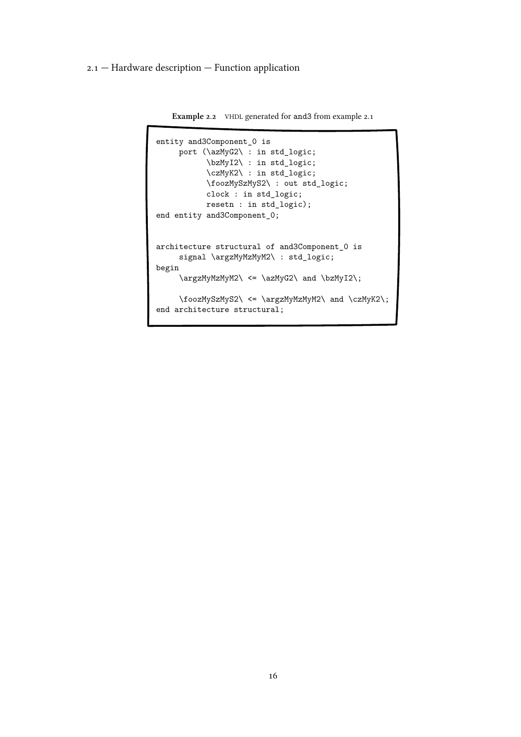2.1 — Hardware description — Function application

```
Example 2.2 VHDL generated for and3 from example 2.1
```

```
entity and3Component_0 is
    port (\azMyG2\ : in std_logic;
          \bzMyI2\ : in std_logic;
           \czMyK2\ : in std_logic;
          \foozMySzMyS2\ : out std_logic;
          clock : in std_logic;
          resetn : in std_logic);
end entity and3Component_0;
architecture structural of and3Component_0 is
    signal \argzMyMzMyM2\ : std_logic;
begin
     \argzMyMzMyM2\ <= \azMyG2\ and \bzMyI2\;
     \foozMySzMyS2\ <= \argzMyMzMyM2\ and \czMyK2\;
end architecture structural;
```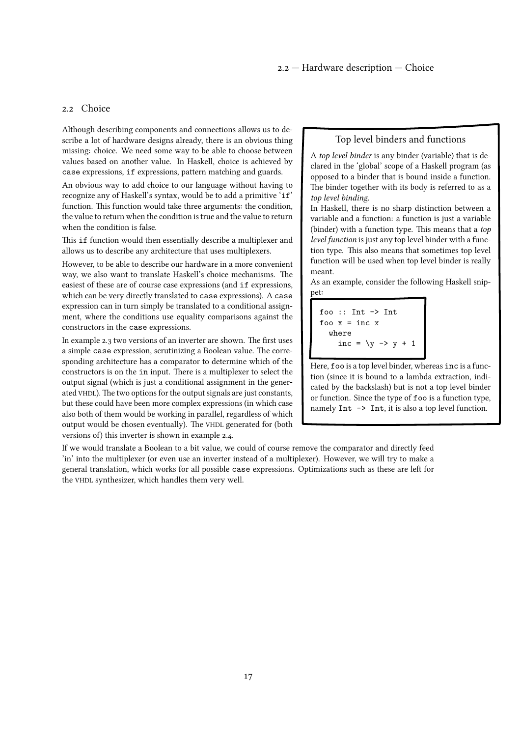#### <span id="page-16-0"></span>2.2 Choice

Although describing components and connections allows us to describe a lot of hardware designs already, there is an obvious thing missing: choice. We need some way to be able to choose between values based on another value. In Haskell, choice is achieved by case expressions, if expressions, pattern matching and guards.

An obvious way to add choice to our language without having to recognize any of Haskell's syntax, would be to add a primitive 'if' function. This function would take three arguments: the condition, the value to return when the condition is true and the value to return when the condition is false.

This if function would then essentially describe a multiplexer and allows us to describe any architecture that uses multiplexers.

However, to be able to describe our hardware in a more convenient way, we also want to translate Haskell's choice mechanisms. The easiest of these are of course case expressions (and if expressions, which can be very directly translated to case expressions). A case expression can in turn simply be translated to a conditional assignment, where the conditions use equality comparisons against the constructors in the case expressions.

In [example 2.3](#page-17-0) two versions of an inverter are shown. The first uses a simple case expression, scrutinizing a Boolean value. The corresponding architecture has a comparator to determine which of the constructors is on the in input. There is a multiplexer to select the output signal (which is just a conditional assignment in the generated VHDL). The two options for the output signals are just constants, but these could have been more complex expressions (in which case also both of them would be working in parallel, regardless of which output would be chosen eventually). The VHDL generated for (both versions of) this inverter is shownin [example 2.4.](#page-18-0)

#### Top level binders and functions

A top level binder is any binder (variable) that is declared in the 'global' scope of a Haskell program (as opposed to a binder that is bound inside a function. The binder together with its body is referred to as a top level binding.

In Haskell, there is no sharp distinction between a variable and a function: a function is just a variable (binder) with a function type. This means that a top level function is just any top level binder with a function type. This also means that sometimes top level function will be used when top level binder is really meant.

As an example, consider the following Haskell snippet:

```
foo :: Int -> Int
foo x = inc xwhere
    inc = \y \rightarrow y + 1
```
Here, foo is a top level binder, whereas inc is a function (since it is bound to a lambda extraction, indicated by the backslash) but is not a top level binder or function. Since the type of foo is a function type, namely Int  $\rightarrow$  Int, it is also a top level function.

If we would translate a Boolean to a bit value, we could of course remove the comparator and directly feed 'in' into the multiplexer (or even use an inverter instead of a multiplexer). However, we will try to make a general translation, which works for all possible case expressions. Optimizations such as these are left for the VHDL synthesizer, which handles them very well.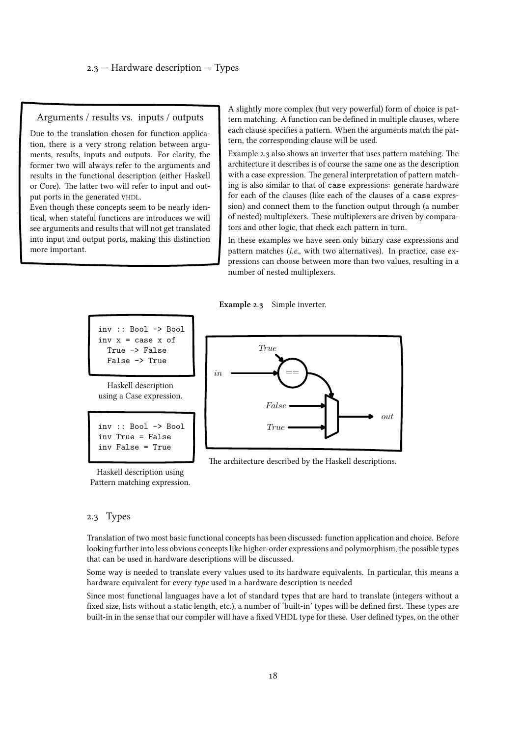#### <span id="page-17-0"></span>Arguments / results vs. inputs / outputs

Due to the translation chosen for function application, there is a very strong relation between arguments, results, inputs and outputs. For clarity, the former two will always refer to the arguments and results in the functional description (either Haskell or Core). The latter two will refer to input and output ports in the generated VHDL.

Even though these concepts seem to be nearly identical, when stateful functions are introduces we will see arguments and results that will not get translated into input and output ports, making this distinction more important.

A slightly more complex (but very powerful) form of choice is pattern matching. A function can be defined in multiple clauses, where each clause specifies a pattern. When the arguments match the pattern, the corresponding clause will be used.

Example 2.3 also shows an inverter that uses pattern matching. The architecture it describes is of course the same one as the description with a case expression. The general interpretation of pattern matching is also similar to that of case expressions: generate hardware for each of the clauses (like each of the clauses of a case expression) and connect them to the function output through (a number of nested) multiplexers. These multiplexers are driven by comparators and other logic, that check each pattern in turn.

In these examples we have seen only binary case expressions and pattern matches (i.e., with two alternatives). In practice, case expressions can choose between more than two values, resulting in a number of nested multiplexers.

Example 2.3 Simple inverter.

```
inv :: Bool -> Bool
inv x = \cose x of
 True -> False
 False -> True
```
Haskell description using a Case expression.

```
inv :: Bool -> Bool
inv True = False
inv False = True
```
Haskell description using Pattern matching expression.



The architecture described by the Haskell descriptions.

#### 2.3 Types

Translation of two most basic functional concepts has been discussed: function application and choice. Before looking further into less obvious concepts like higher-order expressions and polymorphism, the possible types that can be used in hardware descriptions will be discussed.

Some way is needed to translate every values used to its hardware equivalents. In particular, this means a hardware equivalent for every type used in a hardware description is needed

Since most functional languages have a lot of standard types that are hard to translate (integers without a fixed size, lists without a static length, etc.), a number of 'built-in' types will be defined first. These types are built-in in the sense that our compiler will have a fixed VHDL type for these. User defined types, on the other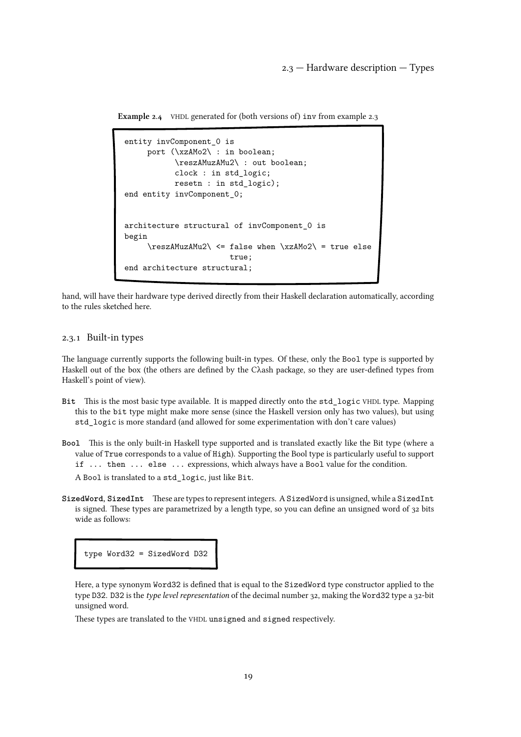2.3 — Hardware description — Types

<span id="page-18-0"></span>Example 2.4 VHDL generated for (both versions of) inv from [example 2.3](#page-17-0)

```
entity invComponent_0 is
    port (\xzAMo2\ : in boolean;
           \reszAMuzAMu2\ : out boolean;
           clock : in std_logic;
           resetn : in std_logic);
end entity invComponent_0;
architecture structural of invComponent_0 is
begin
     \text{NuzAMu2}\leq false when \xzAMo2 = true else
                       true;
end architecture structural;
```
hand, will have their hardware type derived directly from their Haskell declaration automatically, according to the rules sketched here.

# 2.3.1 Built-in types

The language currently supports the following built-in types. Of these, only the Bool type is supported by Haskell out of the box (the others are defined by the Cλash package, so they are user-defined types from Haskell's point of view).

- Bit This is the most basic type available. It is mapped directly onto the std\_logic VHDL type. Mapping this to the bit type might make more sense (since the Haskell version only has two values), but using std\_logic is more standard (and allowed for some experimentation with don't care values)
- Bool This is the only built-in Haskell type supported and is translated exactly like the Bit type (where a value of True corresponds to a value of High). Supporting the Bool type is particularly useful to support if ... then ... else ... expressions, which always have a Bool value for the condition. A Bool is translated to a std\_logic, just like Bit.
- SizedWord, SizedInt These are types to represent integers. ASizedWord is unsigned, while a SizedInt is signed. These types are parametrized by a length type, so you can define an unsigned word of 32 bits wide as follows:

type Word32 = SizedWord D32

Here, a type synonym Word32 is defined that is equal to the SizedWord type constructor applied to the type D32. D32 is the type level representation of the decimal number 32, making the Word32 type a 32-bit unsigned word.

These types are translated to the VHDL unsigned and signed respectively.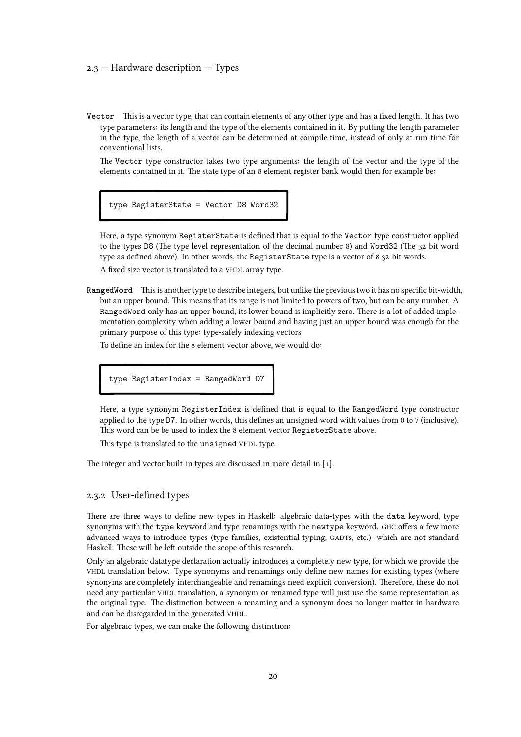#### <span id="page-19-0"></span>2.3 — Hardware description — Types

Vector This is a vector type, that can contain elements of any other type and has a fixed length. It has two type parameters: its length and the type of the elements contained in it. By putting the length parameter in the type, the length of a vector can be determined at compile time, instead of only at run-time for conventional lists.

The Vector type constructor takes two type arguments: the length of the vector and the type of the elements contained in it. The state type of an 8 element register bank would then for example be:

type RegisterState = Vector D8 Word32

Here, a type synonym RegisterState is defined that is equal to the Vector type constructor applied to the types D8 (The type level representation of the decimal number 8) and Word32 (The 32 bit word type as defined above). In other words, the RegisterState type is a vector of 8 32-bit words.

A fixed size vector is translated to a VHDL array type.

RangedWord This is another type to describe integers, but unlike the previous two it has no specific bit-width, but an upper bound. This means that its range is not limited to powers of two, but can be any number. A RangedWord only has an upper bound, its lower bound is implicitly zero. There is a lot of added implementation complexity when adding a lower bound and having just an upper bound was enough for the primary purpose of this type: type-safely indexing vectors.

To define an index for the 8 element vector above, we would do:

type RegisterIndex = RangedWord D7

Here, a type synonym RegisterIndex is defined that is equal to the RangedWord type constructor applied to the type D7. In other words, this defines an unsigned word with values from 0 to 7 (inclusive). This word can be be used to index the 8 element vector RegisterState above.

This type is translated to the unsigned VHDL type.

The integer and vector built-in types are discussed in more detail in[[1\].](#page-108-0)

#### 2.3.2 User-defined types

There are three ways to define new types in Haskell: algebraic data-types with the data keyword, type synonyms with the type keyword and type renamings with the newtype keyword. GHC offers a few more advanced ways to introduce types (type families, existential typing, GADTs, etc.) which are not standard Haskell. These will be left outside the scope of this research.

Only an algebraic datatype declaration actually introduces a completely new type, for which we provide the VHDL translation below. Type synonyms and renamings only define new names for existing types (where synonyms are completely interchangeable and renamings need explicit conversion). Therefore, these do not need any particular VHDL translation, a synonym or renamed type will just use the same representation as the original type. The distinction between a renaming and a synonym does no longer matter in hardware and can be disregarded in the generated VHDL.

For algebraic types, we can make the following distinction: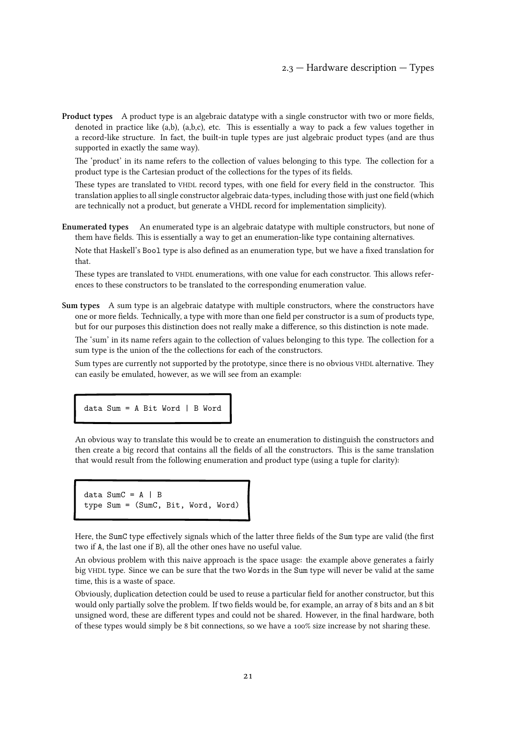Product types A product type is an algebraic datatype with a single constructor with two or more fields, denoted in practice like (a,b), (a,b,c), etc. This is essentially a way to pack a few values together in a record-like structure. In fact, the built-in tuple types are just algebraic product types (and are thus supported in exactly the same way).

The 'product' in its name refers to the collection of values belonging to this type. The collection for a product type is the Cartesian product of the collections for the types of its fields.

These types are translated to VHDL record types, with one field for every field in the constructor. This translation applies to all single constructor algebraic data-types, including those with just one field (which are technically not a product, but generate a VHDL record for implementation simplicity).

Enumerated types An enumerated type is an algebraic datatype with multiple constructors, but none of them have fields. This is essentially a way to get an enumeration-like type containing alternatives.

Note that Haskell's Bool type is also defined as an enumeration type, but we have a fixed translation for that.

These types are translated to VHDL enumerations, with one value for each constructor. This allows references to these constructors to be translated to the corresponding enumeration value.

Sum types A sum type is an algebraic datatype with multiple constructors, where the constructors have one or more fields. Technically, a type with more than one field per constructor is a sum of products type, but for our purposes this distinction does not really make a difference, so this distinction is note made.

The 'sum' in its name refers again to the collection of values belonging to this type. The collection for a sum type is the union of the the collections for each of the constructors.

Sum types are currently not supported by the prototype, since there is no obvious VHDL alternative. They can easily be emulated, however, as we will see from an example:

data Sum = A Bit Word | B Word

An obvious way to translate this would be to create an enumeration to distinguish the constructors and then create a big record that contains all the fields of all the constructors. This is the same translation that would result from the following enumeration and product type (using a tuple for clarity):

```
data SumC = A \mid Btype Sum = (SumC, Bit, Word, Word)
```
Here, the SumC type effectively signals which of the latter three fields of the Sum type are valid (the first two if A, the last one if B), all the other ones have no useful value.

An obvious problem with this naive approach is the space usage: the example above generates a fairly big VHDL type. Since we can be sure that the two Words in the Sum type will never be valid at the same time, this is a waste of space.

Obviously, duplication detection could be used to reuse a particular field for another constructor, but this would only partially solve the problem. If two fields would be, for example, an array of 8 bits and an 8 bit unsigned word, these are different types and could not be shared. However, in the final hardware, both of these types would simply be 8 bit connections, so we have a 100% size increase by not sharing these.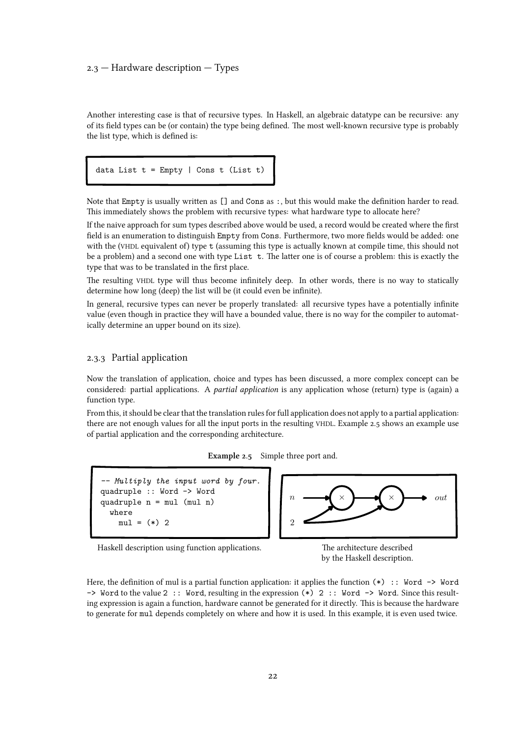# <span id="page-21-0"></span>2.3 — Hardware description — Types

Another interesting case is that of recursive types. In Haskell, an algebraic datatype can be recursive: any of its field types can be (or contain) the type being defined. The most well-known recursive type is probably the list type, which is defined is:

data List  $t = \text{Empty}$  | Cons  $t$  (List  $t$ )

Note that Empty is usually written as [] and Cons as :, but this would make the definition harder to read. This immediately shows the problem with recursive types: what hardware type to allocate here?

If the naive approach for sum types described above would be used, a record would be created where the first field is an enumeration to distinguish Empty from Cons. Furthermore, two more fields would be added: one with the (VHDL equivalent of) type t (assuming this type is actually known at compile time, this should not be a problem) and a second one with type List t. The latter one is of course a problem: this is exactly the type that was to be translated in the first place.

The resulting VHDL type will thus become infinitely deep. In other words, there is no way to statically determine how long (deep) the list will be (it could even be infinite).

In general, recursive types can never be properly translated: all recursive types have a potentially infinite value (even though in practice they will have a bounded value, there is no way for the compiler to automatically determine an upper bound on its size).

#### 2.3.3 Partial application

Now the translation of application, choice and types has been discussed, a more complex concept can be considered: partial applications. A partial application is any application whose (return) type is (again) a function type.

From this, it should be clear that the translation rules for full application does not apply to a partial application: there are not enough values for all the input ports in the resulting VHDL. Example 2.5 shows an example use of partial application and the corresponding architecture.

| Example 2.5 | Simple three port and. |  |
|-------------|------------------------|--|
|-------------|------------------------|--|

```
-- Multiply the input word by four.
quadruple :: Word -> Word
quadruple n = mul (mul n)
  where
    mu1 = (*) 2
```


Haskell description using function applications. The architecture described



Here, the definition of mul is a partial function application: it applies the function  $(*)$ : Word  $\rightarrow$  Word -> Word to the value 2 :: Word, resulting in the expression (\*) 2 :: Word -> Word. Since this resulting expression is again a function, hardware cannot be generated for it directly. This is because the hardware to generate for mul depends completely on where and how it is used. In this example, it is even used twice.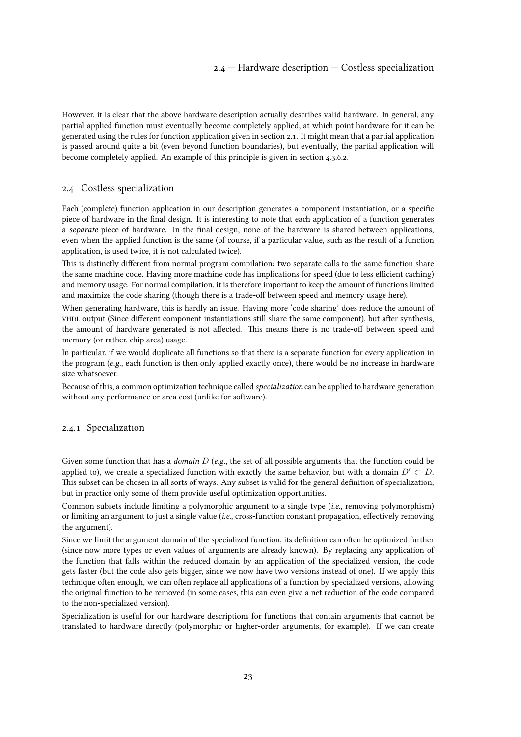<span id="page-22-0"></span>However, it is clear that the above hardware description actually describes valid hardware. In general, any partial applied function must eventually become completely applied, at which point hardware for it can be generated using the rules for function application givenin [section 2.1. It might mean that a partial application](#page-14-0) is passed around quite a bit (even beyond function boundaries), but eventually, the partial application will become completely applied. An example of this principle is given in [section 4.3.6.2.](#page-79-0)

# 2.4 Costless specialization

Each (complete) function application in our description generates a component instantiation, or a specific piece of hardware in the final design. It is interesting to note that each application of a function generates a separate piece of hardware. In the final design, none of the hardware is shared between applications, even when the applied function is the same (of course, if a particular value, such as the result of a function application, is used twice, it is not calculated twice).

This is distinctly different from normal program compilation: two separate calls to the same function share the same machine code. Having more machine code has implications for speed (due to less efficient caching) and memory usage. For normal compilation, it is therefore important to keep the amount of functions limited and maximize the code sharing (though there is a trade-off between speed and memory usage here).

When generating hardware, this is hardly an issue. Having more 'code sharing' does reduce the amount of VHDL output (Since different component instantiations still share the same component), but after synthesis, the amount of hardware generated is not affected. This means there is no trade-off between speed and memory (or rather, chip area) usage.

In particular, if we would duplicate all functions so that there is a separate function for every application in the program (e.g., each function is then only applied exactly once), there would be no increase in hardware size whatsoever.

Because of this, a common optimization technique called specialization can be applied to hardware generation without any performance or area cost (unlike for software).

#### 2.4.1 Specialization

Given some function that has a *domain D* (e.g., the set of all possible arguments that the function could be applied to), we create a specialized function with exactly the same behavior, but with a domain  $D' \subset D$ . This subset can be chosen in all sorts of ways. Any subset is valid for the general definition of specialization, but in practice only some of them provide useful optimization opportunities.

Common subsets include limiting a polymorphic argument to a single type (i.e., removing polymorphism) or limiting an argument to just a single value (i.e., cross-function constant propagation, effectively removing the argument).

Since we limit the argument domain of the specialized function, its definition can often be optimized further (since now more types or even values of arguments are already known). By replacing any application of the function that falls within the reduced domain by an application of the specialized version, the code gets faster (but the code also gets bigger, since we now have two versions instead of one). If we apply this technique often enough, we can often replace all applications of a function by specialized versions, allowing the original function to be removed (in some cases, this can even give a net reduction of the code compared to the non-specialized version).

Specialization is useful for our hardware descriptions for functions that contain arguments that cannot be translated to hardware directly (polymorphic or higher-order arguments, for example). If we can create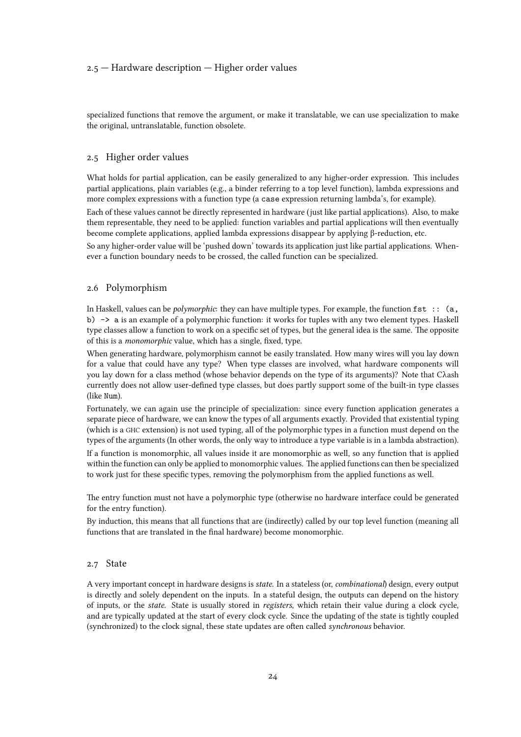## <span id="page-23-0"></span>2.5 — Hardware description — Higher order values

specialized functions that remove the argument, or make it translatable, we can use specialization to make the original, untranslatable, function obsolete.

#### 2.5 Higher order values

What holds for partial application, can be easily generalized to any higher-order expression. This includes partial applications, plain variables (e.g., a binder referring to a top level function), lambda expressions and more complex expressions with a function type (a case expression returning lambda's, for example).

Each of these values cannot be directly represented in hardware (just like partial applications). Also, to make them representable, they need to be applied: function variables and partial applications will then eventually become complete applications, applied lambda expressions disappear by applying β-reduction, etc.

So any higher-order value will be 'pushed down' towards its application just like partial applications. Whenever a function boundary needs to be crossed, the called function can be specialized.

#### 2.6 Polymorphism

In Haskell, values can be *polymorphic*: they can have multiple types. For example, the function  $fst$ :  $(a, a)$ b) -> a is an example of a polymorphic function: it works for tuples with any two element types. Haskell type classes allow a function to work on a specific set of types, but the general idea is the same. The opposite of this is a monomorphic value, which has a single, fixed, type.

When generating hardware, polymorphism cannot be easily translated. How many wires will you lay down for a value that could have any type? When type classes are involved, what hardware components will you lay down for a class method (whose behavior depends on the type of its arguments)? Note that Cλash currently does not allow user-defined type classes, but does partly support some of the built-in type classes (like Num).

Fortunately, we can again use the principle of specialization: since every function application generates a separate piece of hardware, we can know the types of all arguments exactly. Provided that existential typing (which is a GHC extension) is not used typing, all of the polymorphic types in a function must depend on the types of the arguments (In other words, the only way to introduce a type variable is in a lambda abstraction).

If a function is monomorphic, all values inside it are monomorphic as well, so any function that is applied within the function can only be applied to monomorphic values. The applied functions can then be specialized to work just for these specific types, removing the polymorphism from the applied functions as well.

The entry function must not have a polymorphic type (otherwise no hardware interface could be generated for the entry function).

By induction, this means that all functions that are (indirectly) called by our top level function (meaning all functions that are translated in the final hardware) become monomorphic.

# 2.7 State

A very important concept in hardware designs is state. In a stateless (or, combinational) design, every output is directly and solely dependent on the inputs. In a stateful design, the outputs can depend on the history of inputs, or the state. State is usually stored in registers, which retain their value during a clock cycle, and are typically updated at the start of every clock cycle. Since the updating of the state is tightly coupled (synchronized) to the clock signal, these state updates are often called synchronous behavior.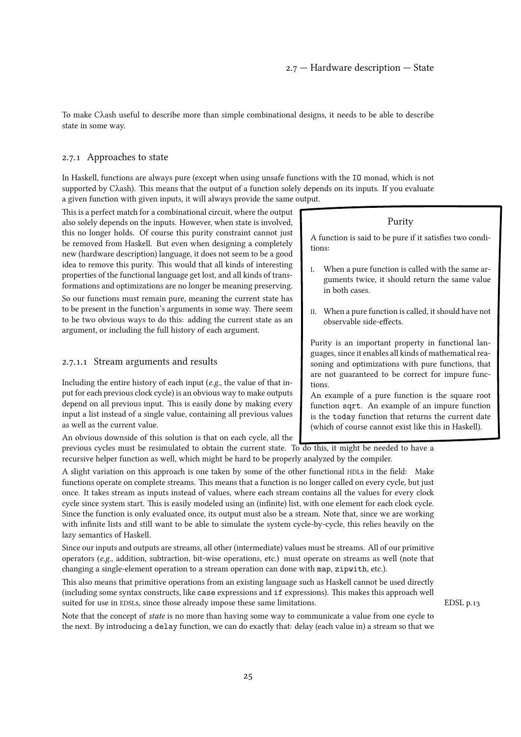<span id="page-24-0"></span>To make Cλash useful to describe more than simple combinational designs, it needs to be able to describe state in some way.

#### 2.7.1 Approaches to state

In Haskell, functions are always pure (except when using unsafe functions with the IO monad, which is not supported by Cλash). This means that the output of a function solely depends on its inputs. If you evaluate a given function with given inputs, it will always provide the same output.

This is a perfect match for a combinational circuit, where the output also solely depends on the inputs. However, when state is involved, this no longer holds. Of course this purity constraint cannot just be removed from Haskell. But even when designing a completely new (hardware description) language, it does not seem to be a good idea to remove this purity. This would that all kinds of interesting properties of the functional language get lost, and all kinds of transformations and optimizations are no longer be meaning preserving.

So our functions must remain pure, meaning the current state has to be present in the function's arguments in some way. There seem to be two obvious ways to do this: adding the current state as an argument, or including the full history of each argument.

## 2.7.1.1 Stream arguments and results

Including the entire history of each input (e.g., the value of that input for each previous clock cycle) is an obvious way to make outputs depend on all previous input. This is easily done by making every input a list instead of a single value, containing all previous values as well as the current value.

An obvious downside of this solution is that on each cycle, all the

previous cycles must be resimulated to obtain the current state. To do this, it might be needed to have a recursive helper function as well, which might be hard to be properly analyzed by the compiler.

A slight variation on this approach is one taken by some of the other functional HDLs in the field: Make functions operate on complete streams. This means that a function is no longer called on every cycle, but just once. It takes stream as inputs instead of values, where each stream contains all the values for every clock cycle since system start. This is easily modeled using an (infinite) list, with one element for each clock cycle. Since the function is only evaluated once, its output must also be a stream. Note that, since we are working with infinite lists and still want to be able to simulate the system cycle-by-cycle, this relies heavily on the lazy semantics of Haskell.

Since our inputs and outputs are streams, all other (intermediate) values must be streams. All of our primitive operators (e.g., addition, subtraction, bit-wise operations, etc.) must operate on streams as well (note that changing a single-element operation to a stream operation can done with map, zipwith, etc.).

This also means that primitive operations from an existing language such as Haskell cannot be used directly (including some syntax constructs, like case expressions and if expressions). This makes this approach well suited for use in EDSLs, since those already impose these same limitations. [EDSL p.13](#page-12-0)

Note that the concept of state is no more than having some way to communicate a value from one cycle to the next. By introducing a delay function, we can do exactly that: delay (each value in) a stream so that we

#### Purity

A function is said to be pure if it satisfies two conditions:

- I. When a pure function is called with the same arguments twice, it should return the same value in both cases.
- II. When a pure function is called, it should have not observable side-effects.

Purity is an important property in functional languages, since it enables all kinds of mathematical reasoning and optimizations with pure functions, that are not guaranteed to be correct for impure functions.

An example of a pure function is the square root function sqrt. An example of an impure function is the today function that returns the current date (which of course cannot exist like this in Haskell).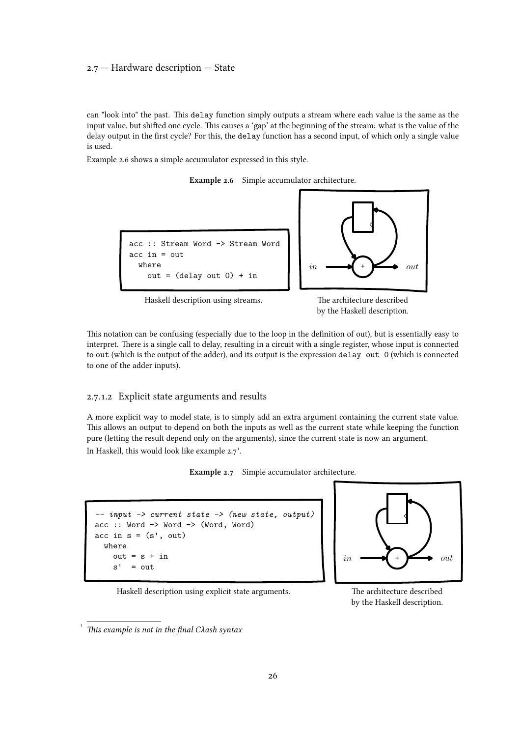#### <span id="page-25-0"></span>2.7 — Hardware description — State

can "look into" the past. This delay function simply outputs a stream where each value is the same as the input value, but shifted one cycle. This causes a 'gap' at the beginning of the stream: what is the value of the delay output in the first cycle? For this, the delay function has a second input, of which only a single value is used.

Example 2.6 shows a simple accumulator expressed in this style.





Haskell description using streams. The architecture described

by the Haskell description.

This notation can be confusing (especially due to the loop in the definition of out), but is essentially easy to interpret. There is a single call to delay, resulting in a circuit with a single register, whose input is connected to out (which is the output of the adder), and its output is the expression delay out 0 (which is connected to one of the adder inputs).

# 2.7.1.2 Explicit state arguments and results

A more explicit way to model state, is to simply add an extra argument containing the current state value. This allows an output to depend on both the inputs as well as the current state while keeping the function pure (letting the result depend only on the arguments), since the current state is now an argument. In Haskell, this would look like example  $2.7$ <sup>1</sup>.









by the Haskell description.

[<sup>1</sup>](#page--1-0) This example is not in the final Cλash syntax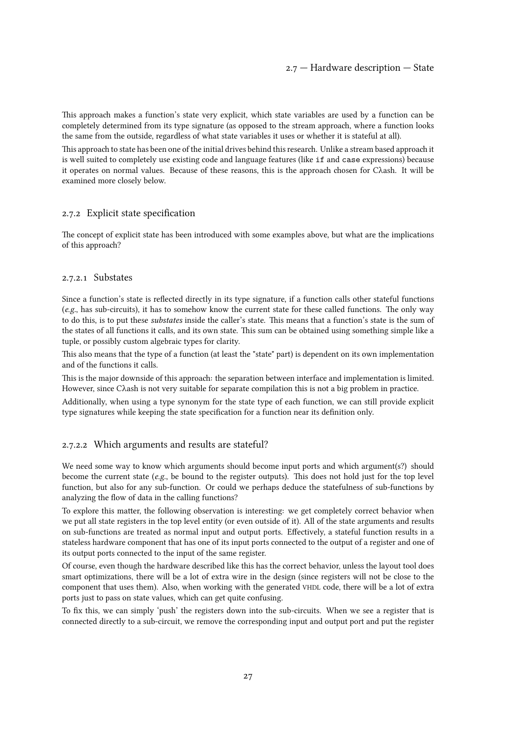<span id="page-26-0"></span>This approach makes a function's state very explicit, which state variables are used by a function can be completely determined from its type signature (as opposed to the stream approach, where a function looks the same from the outside, regardless of what state variables it uses or whether it is stateful at all).

This approach to state has been one of the initial drives behind this research. Unlike a stream based approach it is well suited to completely use existing code and language features (like if and case expressions) because it operates on normal values. Because of these reasons, this is the approach chosen for Cλash. It will be examined more closely below.

# 2.7.2 Explicit state specification

The concept of explicit state has been introduced with some examples above, but what are the implications of this approach?

#### 2.7.2.1 Substates

Since a function's state is reflected directly in its type signature, if a function calls other stateful functions (e.g., has sub-circuits), it has to somehow know the current state for these called functions. The only way to do this, is to put these substates inside the caller's state. This means that a function's state is the sum of the states of all functions it calls, and its own state. This sum can be obtained using something simple like a tuple, or possibly custom algebraic types for clarity.

This also means that the type of a function (at least the "state" part) is dependent on its own implementation and of the functions it calls.

This is the major downside of this approach: the separation between interface and implementation is limited. However, since Cλash is not very suitable for separate compilation this is not a big problem in practice.

Additionally, when using a type synonym for the state type of each function, we can still provide explicit type signatures while keeping the state specification for a function near its definition only.

# 2.7.2.2 Which arguments and results are stateful?

We need some way to know which arguments should become input ports and which argument(s?) should become the current state (e.g., be bound to the register outputs). This does not hold just for the top level function, but also for any sub-function. Or could we perhaps deduce the statefulness of sub-functions by analyzing the flow of data in the calling functions?

To explore this matter, the following observation is interesting: we get completely correct behavior when we put all state registers in the top level entity (or even outside of it). All of the state arguments and results on sub-functions are treated as normal input and output ports. Effectively, a stateful function results in a stateless hardware component that has one of its input ports connected to the output of a register and one of its output ports connected to the input of the same register.

Of course, even though the hardware described like this has the correct behavior, unless the layout tool does smart optimizations, there will be a lot of extra wire in the design (since registers will not be close to the component that uses them). Also, when working with the generated VHDL code, there will be a lot of extra ports just to pass on state values, which can get quite confusing.

To fix this, we can simply 'push' the registers down into the sub-circuits. When we see a register that is connected directly to a sub-circuit, we remove the corresponding input and output port and put the register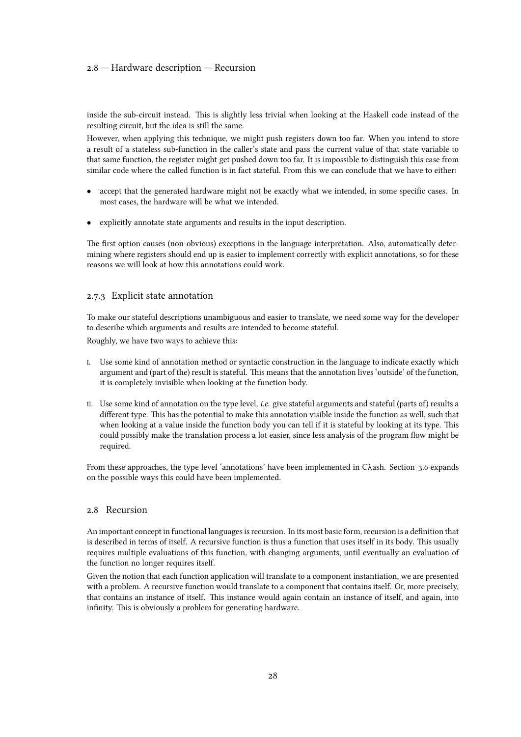#### <span id="page-27-0"></span>2.8 — Hardware description — Recursion

inside the sub-circuit instead. This is slightly less trivial when looking at the Haskell code instead of the resulting circuit, but the idea is still the same.

However, when applying this technique, we might push registers down too far. When you intend to store a result of a stateless sub-function in the caller's state and pass the current value of that state variable to that same function, the register might get pushed down too far. It is impossible to distinguish this case from similar code where the called function is in fact stateful. From this we can conclude that we have to either:

- accept that the generated hardware might not be exactly what we intended, in some specific cases. In most cases, the hardware will be what we intended.
- *•* explicitly annotate state arguments and results in the input description.

The first option causes (non-obvious) exceptions in the language interpretation. Also, automatically determining where registers should end up is easier to implement correctly with explicit annotations, so for these reasons we will look at how this annotations could work.

#### 2.7.3 Explicit state annotation

To make our stateful descriptions unambiguous and easier to translate, we need some way for the developer to describe which arguments and results are intended to become stateful.

Roughly, we have two ways to achieve this:

- I. Use some kind of annotation method or syntactic construction in the language to indicate exactly which argument and (part of the) result is stateful. This means that the annotation lives 'outside' of the function, it is completely invisible when looking at the function body.
- II. Use some kind of annotation on the type level, i.e. give stateful arguments and stateful (parts of) results a different type. This has the potential to make this annotation visible inside the function as well, such that when looking at a value inside the function body you can tell if it is stateful by looking at its type. This could possibly make the translation process a lot easier, since less analysis of the program flow might be required.

From these approaches, the type level 'annotations' have been implemented in Cλash. [Section 3.6](#page-41-0) expands on the possible ways this could have been implemented.

#### 2.8 Recursion

An important concept in functional languages is recursion. In its most basic form, recursion is a definition that is described in terms of itself. A recursive function is thus a function that uses itself in its body. This usually requires multiple evaluations of this function, with changing arguments, until eventually an evaluation of the function no longer requires itself.

Given the notion that each function application will translate to a component instantiation, we are presented with a problem. A recursive function would translate to a component that contains itself. Or, more precisely, that contains an instance of itself. This instance would again contain an instance of itself, and again, into infinity. This is obviously a problem for generating hardware.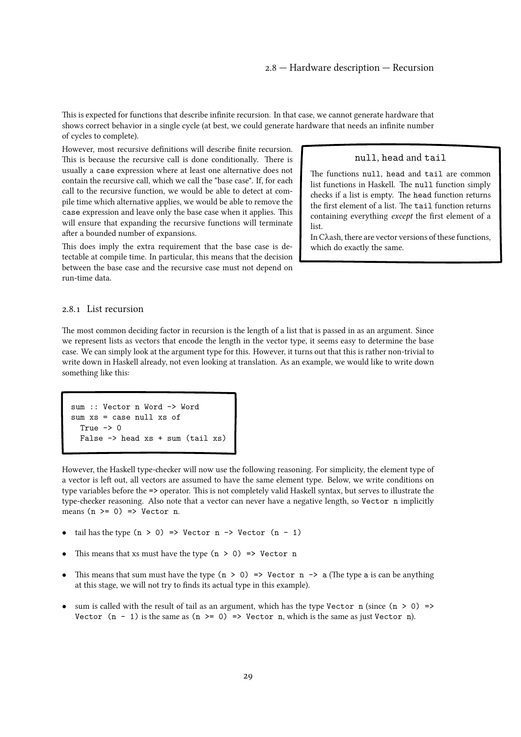<span id="page-28-0"></span>This is expected for functions that describe infinite recursion. In that case, we cannot generate hardware that shows correct behavior in a single cycle (at best, we could generate hardware that needs an infinite number of cycles to complete).

However, most recursive definitions will describe finite recursion. This is because the recursive call is done conditionally. There is usually a case expression where at least one alternative does not contain the recursive call, which we call the "base case". If, for each call to the recursive function, we would be able to detect at compile time which alternative applies, we would be able to remove the case expression and leave only the base case when it applies. This will ensure that expanding the recursive functions will terminate after a bounded number of expansions.

This does imply the extra requirement that the base case is detectable at compile time. In particular, this means that the decision between the base case and the recursive case must not depend on run-time data.

#### null, head and tail

The functions null, head and tail are common list functions in Haskell. The null function simply checks if a list is empty. The head function returns the first element of a list. The tail function returns containing everything except the first element of a list.

In Cλash, there are vector versions of these functions, which do exactly the same.

#### 2.8.1 List recursion

The most common deciding factor in recursion is the length of a list that is passed in as an argument. Since we represent lists as vectors that encode the length in the vector type, it seems easy to determine the base case. We can simply look at the argument type for this. However, it turns out that this is rather non-trivial to write down in Haskell already, not even looking at translation. As an example, we would like to write down something like this:

```
sum :: Vector n Word -> Word
sum xs = case null xs of
  True \rightarrow 0False \rightarrow head xs + sum (tail xs)
```
However, the Haskell type-checker will now use the following reasoning. For simplicity, the element type of a vector is left out, all vectors are assumed to have the same element type. Below, we write conditions on type variables before the => operator. This is not completely valid Haskell syntax, but serves to illustrate the type-checker reasoning. Also note that a vector can never have a negative length, so Vector n implicitly means  $(n \ge 0) \Rightarrow$  Vector n.

- tail has the type  $(n > 0)$  => Vector  $n \rightarrow$  Vector  $(n 1)$
- This means that xs must have the type  $(n > 0)$  => Vector n
- This means that sum must have the type  $(n > 0)$  => Vector  $n \rightarrow a$  (The type a is can be anything at this stage, we will not try to finds its actual type in this example).
- sum is called with the result of tail as an argument, which has the type Vector n (since  $(n > 0)$ ) => Vector  $(n - 1)$  is the same as  $(n \ge 0) \Rightarrow$  Vector n, which is the same as just Vector n).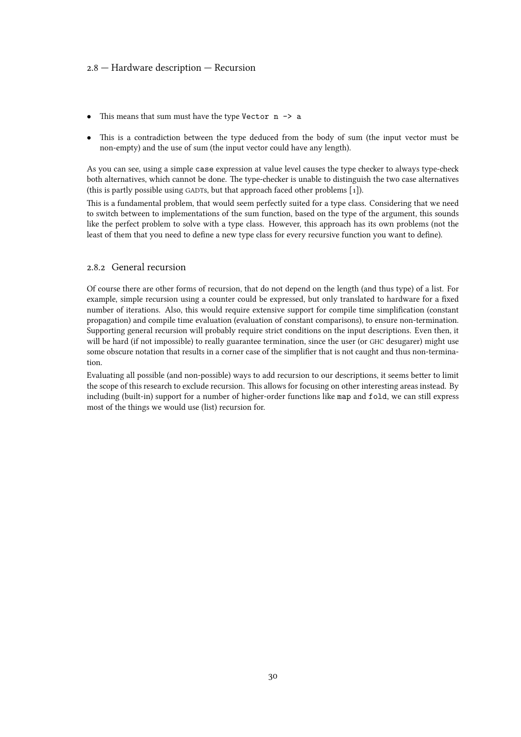#### <span id="page-29-0"></span>2.8 — Hardware description — Recursion

- This means that sum must have the type Vector n -> a
- This is a contradiction between the type deduced from the body of sum (the input vector must be non-empty) and the use of sum (the input vector could have any length).

As you can see, using a simple case expression at value level causes the type checker to always type-check both alternatives, which cannot be done. The type-checker is unable to distinguish the two case alternatives (this is partly possible using GADTs, but that approach faced other problems[[1\]\).](#page-108-0)

This is a fundamental problem, that would seem perfectly suited for a type class. Considering that we need to switch between to implementations of the sum function, based on the type of the argument, this sounds like the perfect problem to solve with a type class. However, this approach has its own problems (not the least of them that you need to define a new type class for every recursive function you want to define).

#### 2.8.2 General recursion

Of course there are other forms of recursion, that do not depend on the length (and thus type) of a list. For example, simple recursion using a counter could be expressed, but only translated to hardware for a fixed number of iterations. Also, this would require extensive support for compile time simplification (constant propagation) and compile time evaluation (evaluation of constant comparisons), to ensure non-termination. Supporting general recursion will probably require strict conditions on the input descriptions. Even then, it will be hard (if not impossible) to really guarantee termination, since the user (or GHC desugarer) might use some obscure notation that results in a corner case of the simplifier that is not caught and thus non-termination.

Evaluating all possible (and non-possible) ways to add recursion to our descriptions, it seems better to limit the scope of this research to exclude recursion. This allows for focusing on other interesting areas instead. By including (built-in) support for a number of higher-order functions like map and fold, we can still express most of the things we would use (list) recursion for.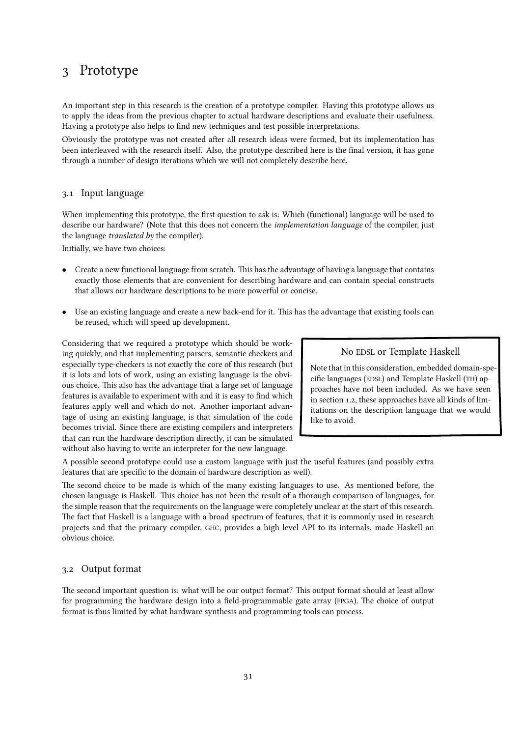# <span id="page-30-0"></span>3 Prototype

An important step in this research is the creation of a prototype compiler. Having this prototype allows us to apply the ideas from the previous chapter to actual hardware descriptions and evaluate their usefulness. Having a prototype also helps to find new techniques and test possible interpretations.

Obviously the prototype was not created after all research ideas were formed, but its implementation has been interleaved with the research itself. Also, the prototype described here is the final version, it has gone through a number of design iterations which we will not completely describe here.

# 3.1 Input language

When implementing this prototype, the first question to ask is: Which (functional) language will be used to describe our hardware? (Note that this does not concern the *implementation language* of the compiler, just the language translated by the compiler).

Initially, we have two choices:

- *•* Create a new functional language from scratch. This has the advantage of having a language that contains exactly those elements that are convenient for describing hardware and can contain special constructs that allows our hardware descriptions to be more powerful or concise.
- Use an existing language and create a new back-end for it. This has the advantage that existing tools can be reused, which will speed up development.

Considering that we required a prototype which should be working quickly, and that implementing parsers, semantic checkers and especially type-checkers is not exactly the core of this research (but it is lots and lots of work, using an existing language is the obvious choice. This also has the advantage that a large set of language features is available to experiment with and it is easy to find which features apply well and which do not. Another important advantage of using an existing language, is that simulation of the code becomes trivial. Since there are existing compilers and interpreters that can run the hardware description directly, it can be simulated without also having to write an interpreter for the new language.

# No EDSL or Template Haskell

Note that in this consideration, embedded domain-specific languages (EDSL) and Template Haskell (TH) approaches have not been included. As we have seen in [section 1.2, these approaches have all kinds of lim](#page-12-0)itations on the description language that we would like to avoid.

A possible second prototype could use a custom language with just the useful features (and possibly extra features that are specific to the domain of hardware description as well).

The second choice to be made is which of the many existing languages to use. As mentioned before, the chosen language is Haskell. This choice has not been the result of a thorough comparison of languages, for the simple reason that the requirements on the language were completely unclear at the start of this research. The fact that Haskell is a language with a broad spectrum of features, that it is commonly used in research projects and that the primary compiler, GHC, provides a high level API to its internals, made Haskell an obvious choice.

# 3.2 Output format

The second important question is: what will be our output format? This output format should at least allow for programming the hardware design into a field-programmable gate array (FPGA). The choice of output format is thus limited by what hardware synthesis and programming tools can process.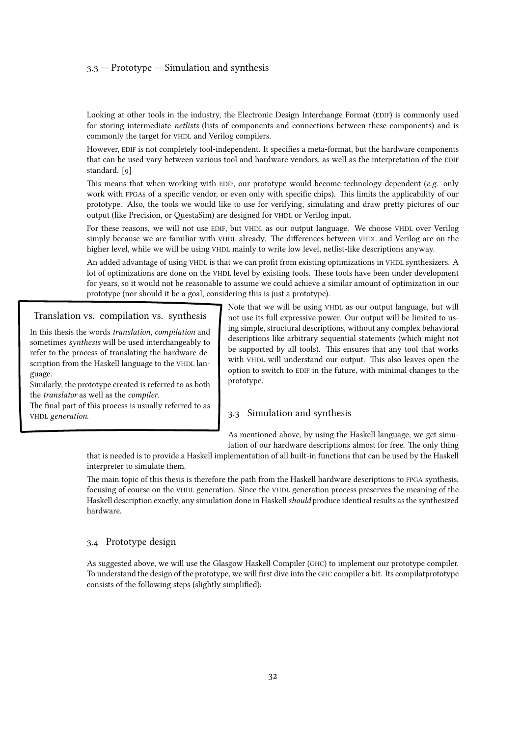#### <span id="page-31-0"></span> $3.3$  – Prototype – Simulation and synthesis

Looking at other tools in the industry, the Electronic Design Interchange Format (EDIF) is commonly used for storing intermediate netlists (lists of components and connections between these components) and is commonly the target for VHDL and Verilog compilers.

However, EDIF is not completely tool-independent. It specifies a meta-format, but the hardware components that can be used vary between various tool and hardware vendors, as well as the interpretation of the EDIF standard.[[9\]](#page-108-0)

This means that when working with EDIF, our prototype would become technology dependent (e.g. only work with FPGAs of a specific vendor, or even only with specific chips). This limits the applicability of our prototype. Also, the tools we would like to use for verifying, simulating and draw pretty pictures of our output (like Precision, or QuestaSim) are designed for VHDL or Verilog input.

For these reasons, we will not use EDIF, but VHDL as our output language. We choose VHDL over Verilog simply because we are familiar with VHDL already. The differences between VHDL and Verilog are on the higher level, while we will be using VHDL mainly to write low level, netlist-like descriptions anyway.

An added advantage of using VHDL is that we can profit from existing optimizations in VHDL synthesizers. A lot of optimizations are done on the VHDL level by existing tools. These tools have been under development for years, so it would not be reasonable to assume we could achieve a similar amount of optimization in our prototype (nor should it be a goal, considering this is just a prototype).

Translation vs. compilation vs. synthesis

In this thesis the words translation, compilation and sometimes synthesis will be used interchangeably to refer to the process of translating the hardware description from the Haskell language to the VHDL language.

Similarly, the prototype created is referred to as both the translator as well as the compiler.

The final part of this process is usually referred to as VHDL generation.

Note that we will be using VHDL as our output language, but will not use its full expressive power. Our output will be limited to using simple, structural descriptions, without any complex behavioral descriptions like arbitrary sequential statements (which might not be supported by all tools). This ensures that any tool that works with VHDL will understand our output. This also leaves open the option to switch to EDIF in the future, with minimal changes to the prototype.

## 3.3 Simulation and synthesis

As mentioned above, by using the Haskell language, we get simulation of our hardware descriptions almost for free. The only thing

that is needed is to provide a Haskell implementation of all built-in functions that can be used by the Haskell interpreter to simulate them.

The main topic of this thesis is therefore the path from the Haskell hardware descriptions to FPGA synthesis, focusing of course on the VHDL generation. Since the VHDL generation process preserves the meaning of the Haskell description exactly, any simulation done in Haskell should produce identical results as the synthesized hardware.

#### 3.4 Prototype design

As suggested above, we will use the Glasgow Haskell Compiler (GHC) to implement our prototype compiler. To understand the design of the prototype, we will first dive into the GHC compiler a bit. Its compilatprototype consists of the following steps (slightly simplified):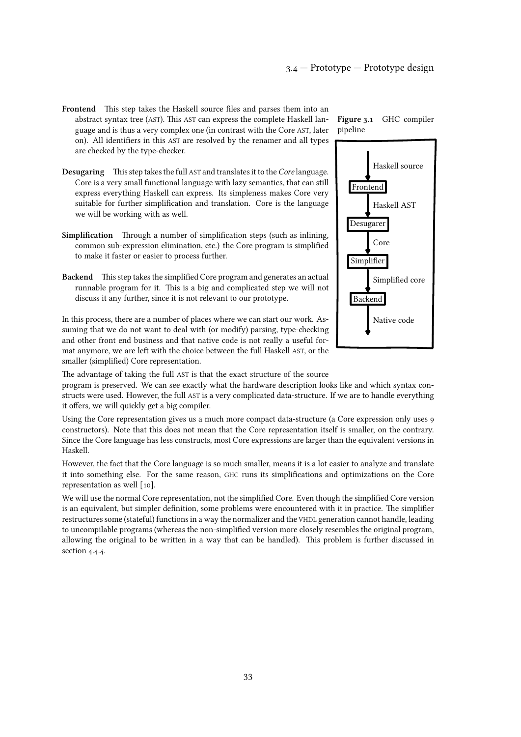- Frontend This step takes the Haskell source files and parses them into an abstract syntax tree (AST). This AST can express the complete Haskell language and is thus a very complex one (in contrast with the Core AST, later on). All identifiers in this AST are resolved by the renamer and all types are checked by the type-checker.
- Desugaring This step takes the full AST and translates it to the Core language. Core is a very small functional language with lazy semantics, that can still express everything Haskell can express. Its simpleness makes Core very suitable for further simplification and translation. Core is the language we will be working with as well.
- Simplification Through a number of simplification steps (such as inlining, common sub-expression elimination, etc.) the Core program is simplified to make it faster or easier to process further.
- Backend This step takes the simplified Core program and generates an actual runnable program for it. This is a big and complicated step we will not discuss it any further, since it is not relevant to our prototype.

In this process, there are a number of places where we can start our work. Assuming that we do not want to deal with (or modify) parsing, type-checking and other front end business and that native code is not really a useful format anymore, we are left with the choice between the full Haskell AST, or the smaller (simplified) Core representation.



program is preserved. We can see exactly what the hardware description looks like and which syntax constructs were used. However, the full AST is a very complicated data-structure. If we are to handle everything it offers, we will quickly get a big compiler.

Using the Core representation gives us a much more compact data-structure (a Core expression only uses 9 constructors). Note that this does not mean that the Core representation itself is smaller, on the contrary. Since the Core language has less constructs, most Core expressions are larger than the equivalent versions in Haskell.

However, the fact that the Core language is so much smaller, means it is a lot easier to analyze and translate it into something else. For the same reason, GHC runs its simplifications and optimizations on the Core representation as well [\[10\].](#page-108-0)

We will use the normal Core representation, not the simplified Core. Even though the simplified Core version is an equivalent, but simpler definition, some problems were encountered with it in practice. The simplifier restructures some (stateful) functions in a way the normalizer and the VHDL generation cannot handle, leading to uncompilable programs (whereas the non-simplified version more closely resembles the original program, allowing the original to be written in a way that can be handled). This problem is further discussed in [section 4.4.4.](#page-88-0)



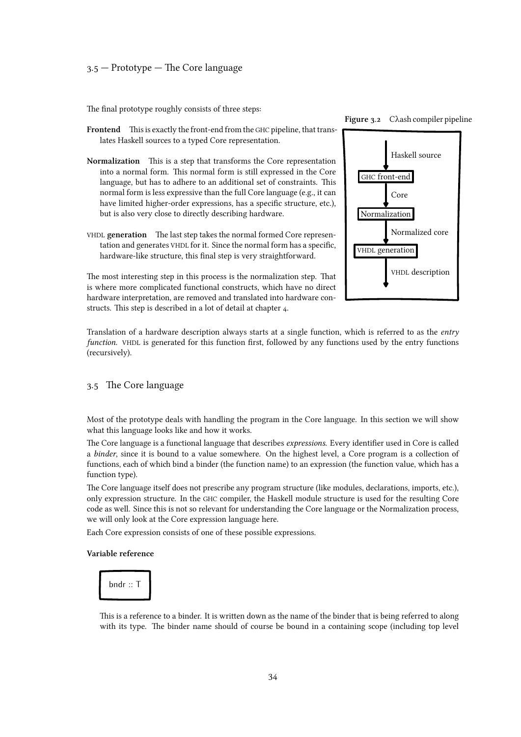<span id="page-33-0"></span>The final prototype roughly consists of three steps:

- Frontend This is exactly the front-end from the GHC pipeline, that translates Haskell sources to a typed Core representation.
- Normalization This is a step that transforms the Core representation into a normal form. This normal form is still expressed in the Core language, but has to adhere to an additional set of constraints. This normal form is less expressive than the full Core language (e.g., it can have limited higher-order expressions, has a specific structure, etc.), but is also very close to directly describing hardware.
- VHDL generation The last step takes the normal formed Core representation and generates VHDL for it. Since the normal form has a specific, hardware-like structure, this final step is very straightforward.



Figure 3.2 Cλash compiler pipeline

The most interesting step in this process is the normalization step. That is where more complicated functional constructs, which have no direct hardware interpretation, are removed and translated into hardware constructs. This step is described in a lot of detail at [chapter 4.](#page-52-0)

Translation of a hardware description always starts at a single function, which is referred to as the entry function. VHDL is generated for this function first, followed by any functions used by the entry functions (recursively).

#### 3.5 The Core language

Most of the prototype deals with handling the program in the Core language. In this section we will show what this language looks like and how it works.

The Core language is a functional language that describes expressions. Every identifier used in Core is called a binder, since it is bound to a value somewhere. On the highest level, a Core program is a collection of functions, each of which bind a binder (the function name) to an expression (the function value, which has a function type).

The Core language itself does not prescribe any program structure (like modules, declarations, imports, etc.), only expression structure. In the GHC compiler, the Haskell module structure is used for the resulting Core code as well. Since this is not so relevant for understanding the Core language or the Normalization process, we will only look at the Core expression language here.

Each Core expression consists of one of these possible expressions.

#### Variable reference



This is a reference to a binder. It is written down as the name of the binder that is being referred to along with its type. The binder name should of course be bound in a containing scope (including top level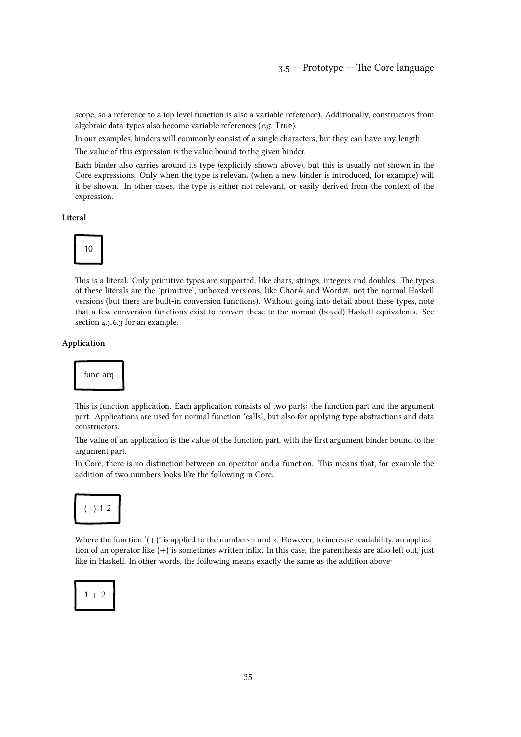scope, so a reference to a top level function is also a variable reference). Additionally, constructors from algebraic data-types also become variable references (e.g. True).

In our examples, binders will commonly consist of a single characters, but they can have any length.

The value of this expression is the value bound to the given binder.

Each binder also carries around its type (explicitly shown above), but this is usually not shown in the Core expressions. Only when the type is relevant (when a new binder is introduced, for example) will it be shown. In other cases, the type is either not relevant, or easily derived from the context of the expression.

Literal



This is a literal. Only primitive types are supported, like chars, strings, integers and doubles. The types of these literals are the 'primitive', unboxed versions, like Char# and Word#, not the normal Haskell versions (but there are built-in conversion functions). Without going into detail about these types, note that a few conversion functions exist to convert these to the normal (boxed) Haskell equivalents. See [section 4.3.6.3](#page-83-0) for an example.

#### Application



This is function application. Each application consists of two parts: the function part and the argument part. Applications are used for normal function 'calls', but also for applying type abstractions and data constructors.

The value of an application is the value of the function part, with the first argument binder bound to the argument part.

In Core, there is no distinction between an operator and a function. This means that, for example the addition of two numbers looks like the following in Core:



Where the function  $'(+)'$  is applied to the numbers 1 and 2. However, to increase readability, an application of an operator like (+) is sometimes written infix. In this case, the parenthesis are also left out, just like in Haskell. In other words, the following means exactly the same as the addition above:

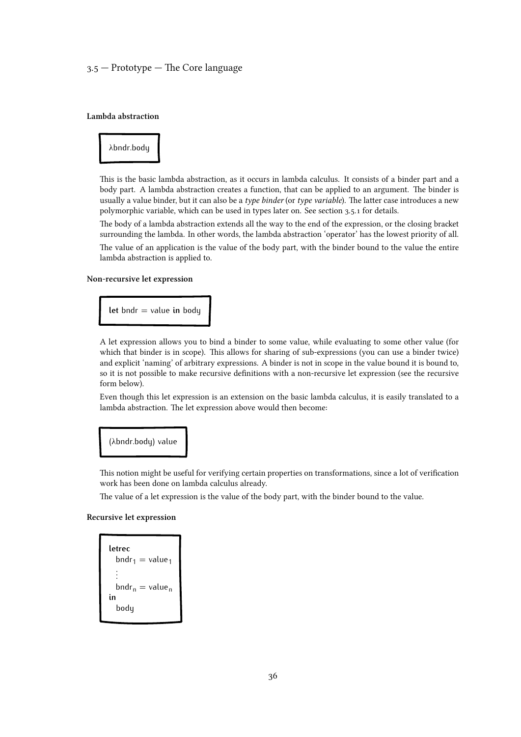# 3.5 — Prototype — The Core language

#### Lambda abstraction



This is the basic lambda abstraction, as it occurs in lambda calculus. It consists of a binder part and a body part. A lambda abstraction creates a function, that can be applied to an argument. The binder is usually a value binder, but it can also be a type binder (or type variable). The latter case introduces a new polymorphic variable, which can be used in types later on. See [section 3.5.1](#page-38-0) for details.

The body of a lambda abstraction extends all the way to the end of the expression, or the closing bracket surrounding the lambda. In other words, the lambda abstraction 'operator' has the lowest priority of all. The value of an application is the value of the body part, with the binder bound to the value the entire lambda abstraction is applied to.

#### Non-recursive let expression

**let** bndr = value **in** body

A let expression allows you to bind a binder to some value, while evaluating to some other value (for which that binder is in scope). This allows for sharing of sub-expressions (you can use a binder twice) and explicit 'naming' of arbitrary expressions. A binder is not in scope in the value bound it is bound to, so it is not possible to make recursive definitions with a non-recursive let expression (see the recursive form below).

Even though this let expression is an extension on the basic lambda calculus, it is easily translated to a lambda abstraction. The let expression above would then become:

#### (λbndr.body) value

This notion might be useful for verifying certain properties on transformations, since a lot of verification work has been done on lambda calculus already.

The value of a let expression is the value of the body part, with the binder bound to the value.

#### Recursive let expression

```
letrec
  bndr_1 = value_1.
  .
  .
  bndr_n = value_nin
  body
```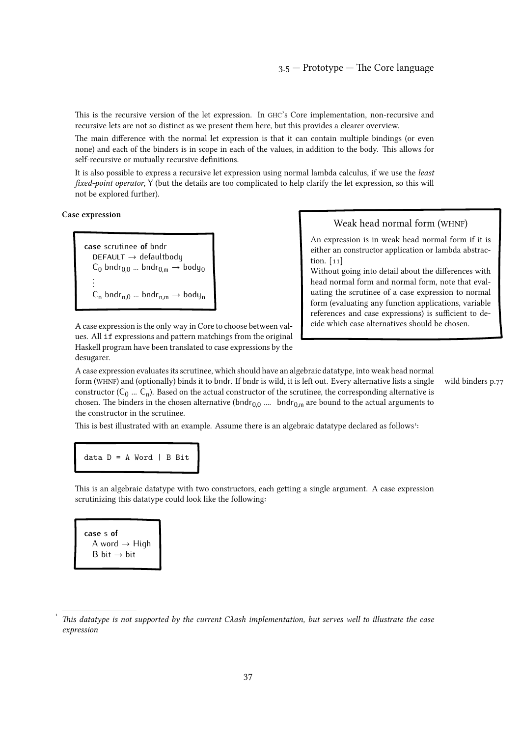<span id="page-36-0"></span>This is the recursive version of the let expression. In GHC's Core implementation, non-recursive and recursive lets are not so distinct as we present them here, but this provides a clearer overview.

The main difference with the normal let expression is that it can contain multiple bindings (or even none) and each of the binders is in scope in each of the values, in addition to the body. This allows for self-recursive or mutually recursive definitions.

It is also possible to express a recursive let expression using normal lambda calculus, if we use the least fixed-point operator, Y (but the details are too complicated to help clarify the let expression, so this will not be explored further).

Case expression

**case** scrutinee **of** bndr **DEFAULT** → defaultbody  $\mathsf{C}_0$  bndr $_{0,0}$  ... bndr $_{0,\mathsf{m}}\to$  body $_0$ . . .  $C_n$  bndr<sub>n,0</sub> ... bndr<sub>n,m</sub>  $\rightarrow$  body<sub>n</sub>

A case expression is the only way in Core to choose between values. All if expressions and pattern matchings from the original Haskell program have been translated to case expressions by the desugarer.

# Weak head normal form (WHNF)

An expression is in weak head normal form if it is either an constructor application or lambda abstraction.[[11\]](#page-108-0)

Without going into detail about the differences with head normal form and normal form, note that evaluating the scrutinee of a case expression to normal form (evaluating any function applications, variable references and case expressions) is sufficient to decide which case alternatives should be chosen.

A case expression evaluates its scrutinee, which should have an algebraic datatype, into weak head normal form (WHNF) and (optionally) binds it to bndr. If bndr is wild, it is left out. Every alternative lists a single [wild binders p.77](#page-76-0) constructor ( $C_0$  ...  $C_n$ ). Based on the actual constructor of the scrutinee, the corresponding alternative is chosen. The binders in the chosen alternative (bndr<sub>0,0</sub> .... bndr<sub>0,m</sub> are bound to the actual arguments to the constructor in the scrutinee.

This is best illustrated with an example. Assume there is an algebraic datatype declared as follows<sup>[1](#page--1-0)</sup>:

data  $D = A$  Word | B Bit

This is an algebraic datatype with two constructors, each getting a single argument. A case expression scrutinizing this datatype could look like the following:

**case** s **of**  $A word \rightarrow High$ B bit  $\rightarrow$  bit

[<sup>1</sup>](#page--1-0) This datatype is not supported by the current Cλash implementation, but serves well to illustrate the case expression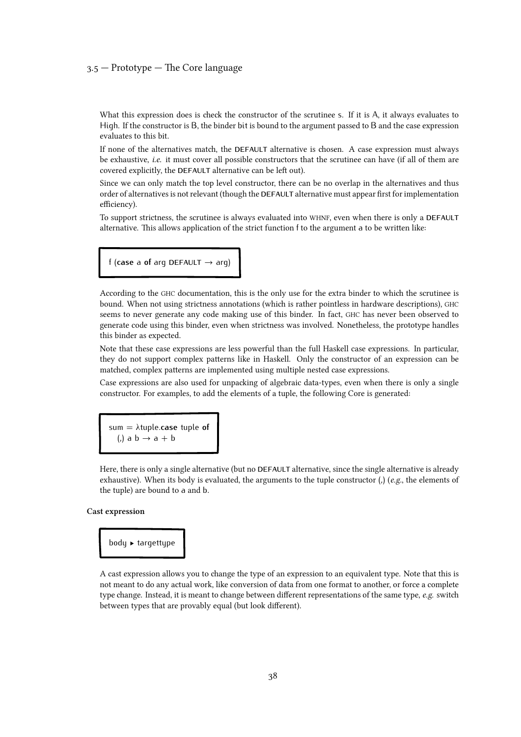# 3.5 — Prototype — The Core language

What this expression does is check the constructor of the scrutinee s. If it is A, it always evaluates to High. If the constructor is B, the binder bit is bound to the argument passed to B and the case expression evaluates to this bit.

If none of the alternatives match, the **DEFAULT** alternative is chosen. A case expression must always be exhaustive, *i.e.* it must cover all possible constructors that the scrutinee can have (if all of them are covered explicitly, the **DEFAULT** alternative can be left out).

Since we can only match the top level constructor, there can be no overlap in the alternatives and thus order of alternatives is not relevant (though the **DEFAULT** alternative must appear first for implementation efficiency).

To support strictness, the scrutinee is always evaluated into WHNF, even when there is only a **DEFAULT** alternative. This allows application of the strict function f to the argument a to be written like:

f (**case** a **of** arg **DEFAULT** → arg)

According to the GHC documentation, this is the only use for the extra binder to which the scrutinee is bound. When not using strictness annotations (which is rather pointless in hardware descriptions), GHC seems to never generate any code making use of this binder. In fact, GHC has never been observed to generate code using this binder, even when strictness was involved. Nonetheless, the prototype handles this binder as expected.

Note that these case expressions are less powerful than the full Haskell case expressions. In particular, they do not support complex patterns like in Haskell. Only the constructor of an expression can be matched, complex patterns are implemented using multiple nested case expressions.

Case expressions are also used for unpacking of algebraic data-types, even when there is only a single constructor. For examples, to add the elements of a tuple, the following Core is generated:

sum = λtuple.**case** tuple **of** (,) a  $b \rightarrow a + b$ 

Here, there is only a single alternative (but no **DEFAULT** alternative, since the single alternative is already exhaustive). When its body is evaluated, the arguments to the tuple constructor  $\mathcal{L}$  (e.g., the elements of the tuple) are bound to a and b.

#### Cast expression

body ▶ targettype

A cast expression allows you to change the type of an expression to an equivalent type. Note that this is not meant to do any actual work, like conversion of data from one format to another, or force a complete type change. Instead, it is meant to change between different representations of the same type,  $e.g.$  switch between types that are provably equal (but look different).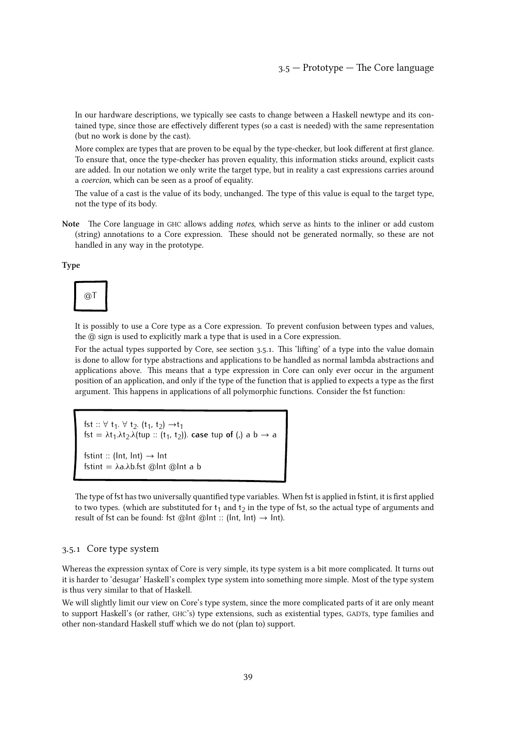<span id="page-38-0"></span>In our hardware descriptions, we typically see casts to change between a Haskell newtype and its contained type, since those are effectively different types (so a cast is needed) with the same representation (but no work is done by the cast).

More complex are types that are proven to be equal by the type-checker, but look different at first glance. To ensure that, once the type-checker has proven equality, this information sticks around, explicit casts are added. In our notation we only write the target type, but in reality a cast expressions carries around a coercion, which can be seen as a proof of equality.

The value of a cast is the value of its body, unchanged. The type of this value is equal to the target type, not the type of its body.

Note The Core language in GHC allows adding *notes*, which serve as hints to the inliner or add custom (string) annotations to a Core expression. These should not be generated normally, so these are not handled in any way in the prototype.

Type



It is possibly to use a Core type as a Core expression. To prevent confusion between types and values, the @ sign is used to explicitly mark a type that is used in a Core expression.

For the actual types supported by Core, see section 3.5.1. This 'lifting' of a type into the value domain is done to allow for type abstractions and applications to be handled as normal lambda abstractions and applications above. This means that a type expression in Core can only ever occur in the argument position of an application, and only if the type of the function that is applied to expects a type as the first argument. This happens in applications of all polymorphic functions. Consider the fst function:

fst :: ∀ t<sub>1</sub>. ∀ t<sub>2</sub>. (t<sub>1</sub>, t<sub>2</sub>) →t<sub>1</sub> fst =  $\lambda$ t<sub>1</sub>. $\lambda$ t<sub>2</sub>. $\lambda$ (tup :: (t<sub>1</sub>, t<sub>2</sub>)). **case** tup **of** (,) a b  $\rightarrow$  a fstint :: ( $Int$ ,  $Int$ )  $\rightarrow$   $Int$ fstint = λa.λb.fst @Int @Int a b

The type of fst has two universally quantified type variables. When fst is applied in fstint, it is first applied to two types. (which are substituted for  $t_1$  and  $t_2$  in the type of fst, so the actual type of arguments and result of fst can be found: fst @lnt @lnt :: (lnt, lnt)  $\rightarrow$  lnt).

#### 3.5.1 Core type system

Whereas the expression syntax of Core is very simple, its type system is a bit more complicated. It turns out it is harder to 'desugar' Haskell's complex type system into something more simple. Most of the type system is thus very similar to that of Haskell.

We will slightly limit our view on Core's type system, since the more complicated parts of it are only meant to support Haskell's (or rather, GHC's) type extensions, such as existential types, GADTs, type families and other non-standard Haskell stuff which we do not (plan to) support.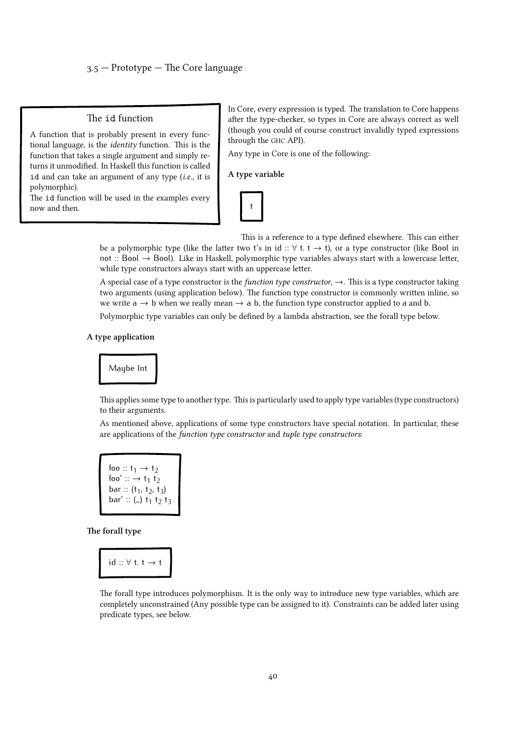# The id function

A function that is probably present in every functional language, is the identity function. This is the function that takes a single argument and simply returns it unmodified. In Haskell this function is called id and can take an argument of any type  $(i.e.,$  it is polymorphic).

The id function will be used in the examples every now and then.

In Core, every expression is typed. The translation to Core happens after the type-checker, so types in Core are always correct as well (though you could of course construct invalidly typed expressions through the GHC API).

Any type in Core is one of the following:

#### A type variable



This is a reference to a type defined elsewhere. This can either be a polymorphic type (like the latter two t's in id ::  $\forall$  t. t  $\rightarrow$  t), or a type constructor (like Bool in not :: Bool → Bool). Like in Haskell, polymorphic type variables always start with a lowercase letter, while type constructors always start with an uppercase letter.

A special case of a type constructor is the *function type constructor*,  $\rightarrow$ . This is a type constructor taking two arguments (using application below). The function type constructor is commonly written inline, so we write  $a \rightarrow b$  when we really mean  $\rightarrow a$  b, the function type constructor applied to a and b.

Polymorphic type variables can only be defined by a lambda abstraction, see the forall type below.

#### A type application



This applies some type to another type. This is particularly used to apply type variables (type constructors) to their arguments.

As mentioned above, applications of some type constructors have special notation. In particular, these are applications of the function type constructor and tuple type constructors:

foo ::  $t_1 \rightarrow t_2$ foo'  $:: \rightarrow t_1 t_2$ bar ::  $(t_1, t_2, t_3)$ bar' :: (,,) t<sup>1</sup> t2 t3

The forall type

$$
id::\forall~t.~t\rightarrow t
$$

The forall type introduces polymorphism. It is the only way to introduce new type variables, which are completely unconstrained (Any possible type can be assigned to it). Constraints can be added later using predicate types, see below.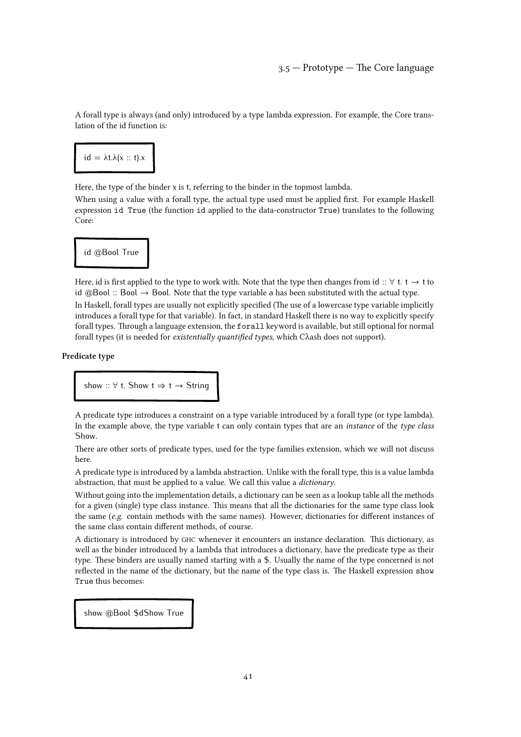A forall type is always (and only) introduced by a type lambda expression. For example, the Core translation of the id function is:



Here, the type of the binder x is t, referring to the binder in the topmost lambda.

When using a value with a forall type, the actual type used must be applied first. For example Haskell expression id True (the function id applied to the data-constructor True) translates to the following Core:

# id @Bool True

Here, id is first applied to the type to work with. Note that the type then changes from id  $:: \forall t. t \rightarrow t$  to id @Bool :: Bool  $\rightarrow$  Bool. Note that the type variable a has been substituted with the actual type. In Haskell, forall types are usually not explicitly specified (The use of a lowercase type variable implicitly introduces a forall type for that variable). In fact, in standard Haskell there is no way to explicitly specify forall types. Through a language extension, the forall keyword is available, but still optional for normal forall types (it is needed for existentially quantified types, which Cλash does not support).

# Predicate type

# show ::  $\forall$  t. Show  $t \Rightarrow t \rightarrow$  String

A predicate type introduces a constraint on a type variable introduced by a forall type (or type lambda). In the example above, the type variable t can only contain types that are an instance of the type class Show.

There are other sorts of predicate types, used for the type families extension, which we will not discuss here.

A predicate type is introduced by a lambda abstraction. Unlike with the forall type, this is a value lambda abstraction, that must be applied to a value. We call this value a dictionary.

Without going into the implementation details, a dictionary can be seen as a lookup table all the methods for a given (single) type class instance. This means that all the dictionaries for the same type class look the same (e.g. contain methods with the same names). However, dictionaries for different instances of the same class contain different methods, of course.

A dictionary is introduced by GHC whenever it encounters an instance declaration. This dictionary, as well as the binder introduced by a lambda that introduces a dictionary, have the predicate type as their type. These binders are usually named starting with a \$. Usually the name of the type concerned is not reflected in the name of the dictionary, but the name of the type class is. The Haskell expression show True thus becomes:

show @Bool \$dShow True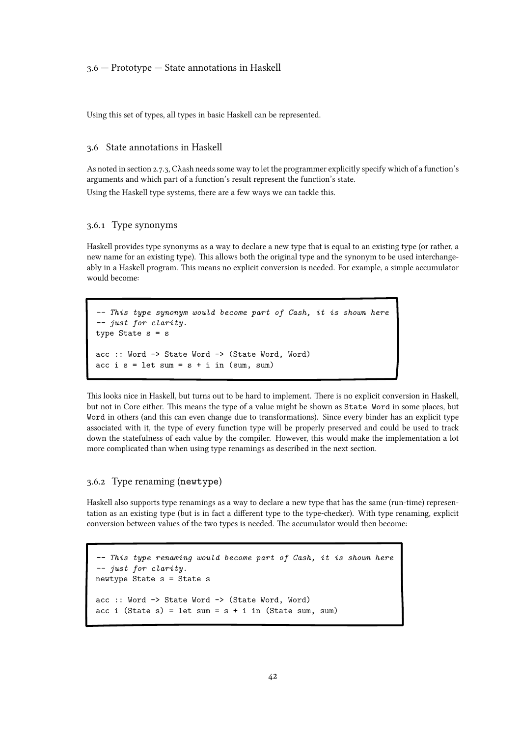# 3.6 — Prototype — State annotations in Haskell

Using this set of types, all types in basic Haskell can be represented.

# 3.6 State annotations in Haskell

As notedin [section 2.7.3, Cλash needs some way to let the programmer explicitly specify which of a function's](#page-27-0) arguments and which part of a function's result represent the function's state.

Using the Haskell type systems, there are a few ways we can tackle this.

# 3.6.1 Type synonyms

Haskell provides type synonyms as a way to declare a new type that is equal to an existing type (or rather, a new name for an existing type). This allows both the original type and the synonym to be used interchangeably in a Haskell program. This means no explicit conversion is needed. For example, a simple accumulator would become:

```
-- This type synonym would become part of Cash, it is shown here
-- just for clarity.
type State s = sacc :: Word -> State Word -> (State Word, Word)
acc i s = let sum = s + i in (sum, sum)
```
This looks nice in Haskell, but turns out to be hard to implement. There is no explicit conversion in Haskell, but not in Core either. This means the type of a value might be shown as State Word in some places, but Word in others (and this can even change due to transformations). Since every binder has an explicit type associated with it, the type of every function type will be properly preserved and could be used to track down the statefulness of each value by the compiler. However, this would make the implementation a lot more complicated than when using type renamings as described in the next section.

# 3.6.2 Type renaming (newtype)

Haskell also supports type renamings as a way to declare a new type that has the same (run-time) representation as an existing type (but is in fact a different type to the type-checker). With type renaming, explicit conversion between values of the two types is needed. The accumulator would then become:

```
-- This type renaming would become part of Cash, it is shown here
-- just for clarity.
newtype State s = State s
acc :: Word -> State Word -> (State Word, Word)
acc i (State s) = let sum = s + i in (State sum, sum)
```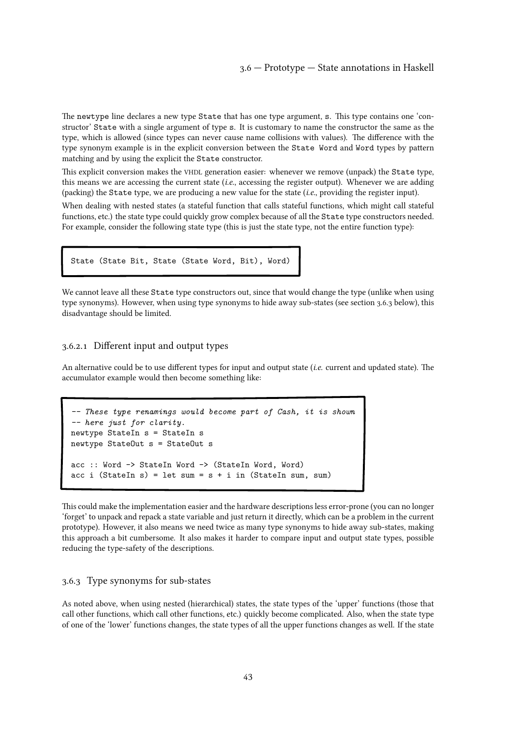The newtype line declares a new type State that has one type argument, s. This type contains one 'constructor' State with a single argument of type s. It is customary to name the constructor the same as the type, which is allowed (since types can never cause name collisions with values). The difference with the type synonym example is in the explicit conversion between the State Word and Word types by pattern matching and by using the explicit the State constructor.

This explicit conversion makes the VHDL generation easier: whenever we remove (unpack) the State type, this means we are accessing the current state (i.e., accessing the register output). Whenever we are adding (packing) the State type, we are producing a new value for the state  $(i.e.,$  providing the register input).

When dealing with nested states (a stateful function that calls stateful functions, which might call stateful functions, etc.) the state type could quickly grow complex because of all the State type constructors needed. For example, consider the following state type (this is just the state type, not the entire function type):

| State (State Bit, State (State Word, Bit), Word) |  |  |  |
|--------------------------------------------------|--|--|--|

We cannot leave all these State type constructors out, since that would change the type (unlike when using type synonyms). However, when using type synonyms to hide away sub-states (see section 3.6.3 below), this disadvantage should be limited.

# 3.6.2.1 Different input and output types

An alternative could be to use different types for input and output state (i.e. current and updated state). The accumulator example would then become something like:

```
-- These type renamings would become part of Cash, it is shown
-- here just for clarity.
newtype StateIn s = StateIn s
newtype StateOut s = StateOut s
acc :: Word -> StateIn Word -> (StateIn Word, Word)
acc i (StateIn s) = let sum = s + i in (StateIn sum, sum)
```
This could make the implementation easier and the hardware descriptions less error-prone (you can no longer 'forget' to unpack and repack a state variable and just return it directly, which can be a problem in the current prototype). However, it also means we need twice as many type synonyms to hide away sub-states, making this approach a bit cumbersome. It also makes it harder to compare input and output state types, possible reducing the type-safety of the descriptions.

# 3.6.3 Type synonyms for sub-states

As noted above, when using nested (hierarchical) states, the state types of the 'upper' functions (those that call other functions, which call other functions, etc.) quickly become complicated. Also, when the state type of one of the 'lower' functions changes, the state types of all the upper functions changes as well. If the state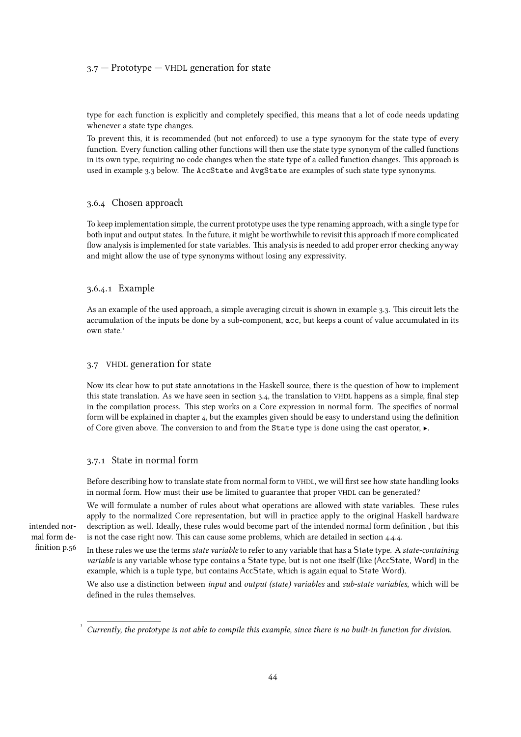# $3.7$  – Prototype – VHDL generation for state

type for each function is explicitly and completely specified, this means that a lot of code needs updating whenever a state type changes.

To prevent this, it is recommended (but not enforced) to use a type synonym for the state type of every function. Every function calling other functions will then use the state type synonym of the called functions in its own type, requiring no code changes when the state type of a called function changes. This approach is used in [example 3.3](#page-44-0) below. The AccState and AvgState are examples of such state type synonyms.

# 3.6.4 Chosen approach

To keep implementation simple, the current prototype uses the type renaming approach, with a single type for both input and output states. In the future, it might be worthwhile to revisit this approach if more complicated flow analysis is implemented for state variables. This analysis is needed to add proper error checking anyway and might allow the use of type synonyms without losing any expressivity.

# 3.6.4.1 Example

As an example of the used approach, a simple averaging circuit is shown in [example 3.3. This circuit lets the](#page-44-0) accumulation of the inputs be done by a sub-component, acc, but keeps a count of value accumulated in its own state<sup>[1](#page--1-0)</sup>

# 3.7 VHDL generation for state

Now its clear how to put state annotations in the Haskell source, there is the question of how to implement this state translation. As we have seen in section 3.4, the translation to VHDL [happens as a simple, final step](#page-31-0) in the compilation process. This step works on a Core expression in normal form. The specifics of normal form will be explained in [chapter 4, but the examples given should be easy to understand using the definition](#page-52-0) of Core given above. The conversion to and from the State type is done using the cast operator, ▶.

#### 3.7.1 State in normal form

Before describing how to translate state from normal form to VHDL, we will first see how state handling looks in normal form. How must their use be limited to guarantee that proper VHDL can be generated?

We will formulate a number of rules about what operations are allowed with state variables. These rules apply to the normalized Core representation, but will in practice apply to the original Haskell hardware description as well. Ideally, these rules would become part of the intended normal form definition , but this is not the case right now. This can cause some problems, which are detailed in [section 4.4.4.](#page-88-0)

In these rules we use the terms *state variable* to refer to any variable that has a State type. A *state-containing* variable is any variable whose type contains a State type, but is not one itself (like (AccState, Word) in the example, which is a tuple type, but contains AccState, which is again equal to State Word).

We also use a distinction between *input* and *output (state) variables* and *sub-state variables*, which will be defined in the rules themselves.

[intended nor](#page-55-0)[mal form de](#page-55-0)[finition p.56](#page-55-0)

[1](#page--1-0)

Currently, the prototype is not able to compile this example, since there is no built-in function for division.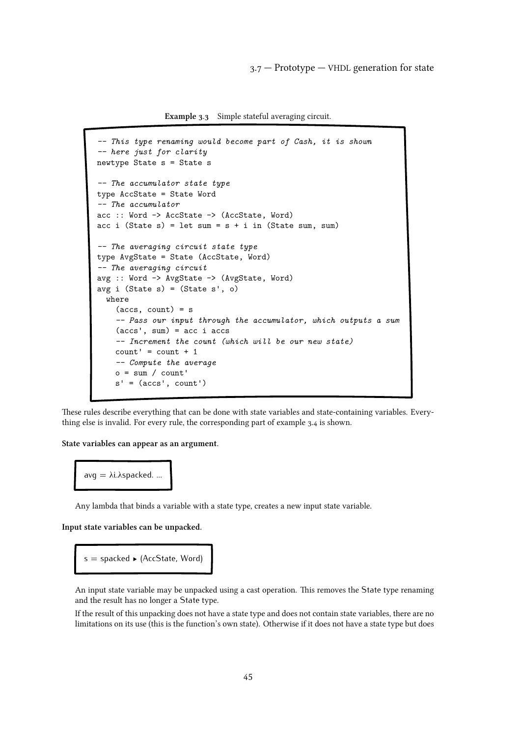Example 3.3 Simple stateful averaging circuit.

```
-- This type renaming would become part of Cash, it is shown
-- here just for clarity
newtype State s = State s
-- The accumulator state type
type AccState = State Word
-- The accumulator
acc :: Word -> AccState -> (AccState, Word)
acc i (State s) = let sum = s + i in (State sum, sum)
-- The averaging circuit state type
type AvgState = State (AccState, Word)
-- The averaging circuit
avg :: Word -> AvgState -> (AvgState, Word)
avg i (State s) = (State s', o)
  where
    (\text{accs}, \text{count}) = s-- Pass our input through the accumulator, which outputs a sum
    (\text{accs}', \text{sum}) = \text{acc} i accs
    -- Increment the count (which will be our new state)
    count' = count + 1-- Compute the average
    o = sum / count's' = (accs', count')
```
These rules describe everything that can be done with state variables and state-containing variables. Everything else is invalid. For every rule, the corresponding part of [example 3.4](#page-45-0) is shown.

State variables can appear as an argument.

```
avg = λi.λspacked. ...
```
Any lambda that binds a variable with a state type, creates a new input state variable.

Input state variables can be unpacked.

```
s = spacked \blacktriangleright (AccState, Word)
```
An input state variable may be unpacked using a cast operation. This removes the State type renaming and the result has no longer a State type.

If the result of this unpacking does not have a state type and does not contain state variables, there are no limitations on its use (this is the function's own state). Otherwise if it does not have a state type but does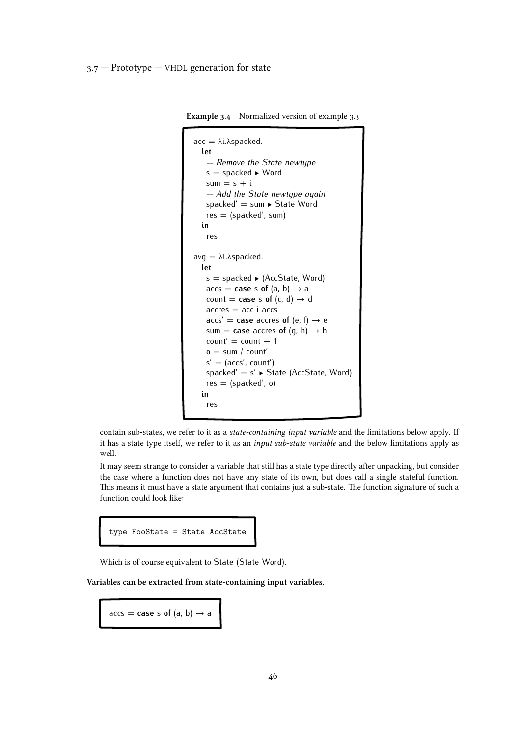<span id="page-45-0"></span>Example 3.4 Normalized version of [example 3.3](#page-44-0)

```
acc = \lambda i.\lambda spacked.let
    -- Remove the State newtype
   s = spacked ▶ Word
   sum = s + i-- Add the State newtype again
   spacked' = sum ▶ State Word
   res = (spacked', sum)
  in
    res
avq = \lambda i.\lambda spacked.let
   s =spacked \blacktriangleright (AccState, Word)
   \text{access} = \text{case} \text{ s of } (a, b) \rightarrow acount = case s of (c, d) \rightarrow d
    \arccos = \arccos\text{access}' = \text{case } \text{access} of (e, f) \rightarrow e
    sum = case accres of (g, h) \rightarrow h
    count' = count + 1o = sum / count's' = (accs', count')spacked' = s' \blacktriangleright State (AccState, Word)
    res = (spacked', o)in
    res
```
contain sub-states, we refer to it as a state-containing input variable and the limitations below apply. If it has a state type itself, we refer to it as an *input sub-state variable* and the below limitations apply as well.

It may seem strange to consider a variable that still has a state type directly after unpacking, but consider the case where a function does not have any state of its own, but does call a single stateful function. This means it must have a state argument that contains just a sub-state. The function signature of such a function could look like:

|  |  | type FooState = State AccState |
|--|--|--------------------------------|
|  |  |                                |

Which is of course equivalent to State (State Word).

Variables can be extracted from state-containing input variables.

 $\text{access} = \text{case} \text{ s of } (a, b) \rightarrow a$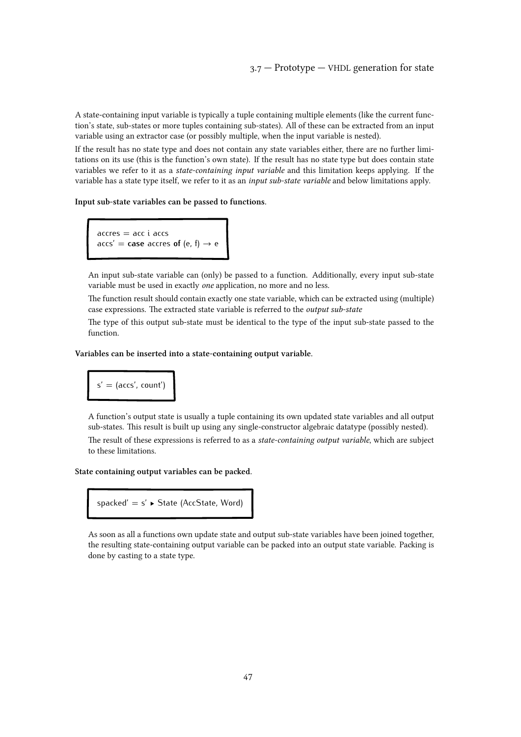A state-containing input variable is typically a tuple containing multiple elements (like the current function's state, sub-states or more tuples containing sub-states). All of these can be extracted from an input variable using an extractor case (or possibly multiple, when the input variable is nested).

If the result has no state type and does not contain any state variables either, there are no further limitations on its use (this is the function's own state). If the result has no state type but does contain state variables we refer to it as a state-containing input variable and this limitation keeps applying. If the variable has a state type itself, we refer to it as an input sub-state variable and below limitations apply.

#### Input sub-state variables can be passed to functions.

 $accres = acc i  $accs$$  $\text{access}' = \text{case} \text{ accepts of } (e, f) \rightarrow e$ 

An input sub-state variable can (only) be passed to a function. Additionally, every input sub-state variable must be used in exactly one application, no more and no less.

The function result should contain exactly one state variable, which can be extracted using (multiple) case expressions. The extracted state variable is referred to the output sub-state

The type of this output sub-state must be identical to the type of the input sub-state passed to the function.

#### Variables can be inserted into a state-containing output variable.



A function's output state is usually a tuple containing its own updated state variables and all output sub-states. This result is built up using any single-constructor algebraic datatype (possibly nested).

The result of these expressions is referred to as a *state-containing output variable*, which are subject to these limitations.

#### State containing output variables can be packed.



As soon as all a functions own update state and output sub-state variables have been joined together, the resulting state-containing output variable can be packed into an output state variable. Packing is done by casting to a state type.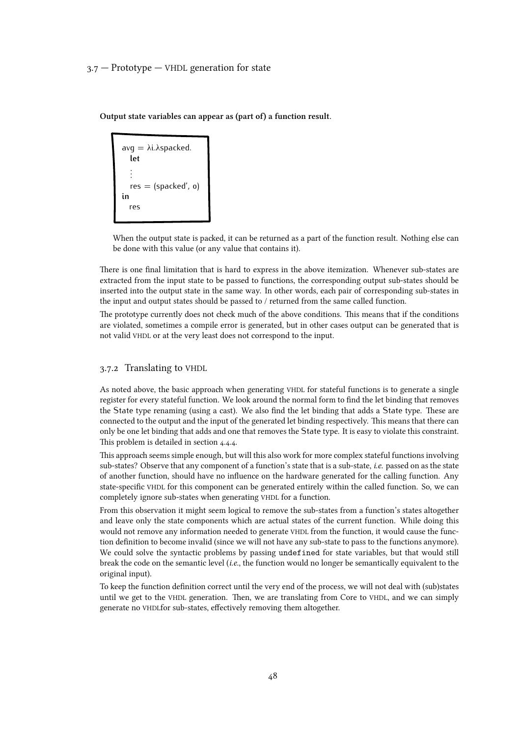Output state variables can appear as (part of) a function result.

```
avq = \lambda i.\lambda spacked.let
   .
   .
   .
   res = (spacked', o)
in
  res
```
When the output state is packed, it can be returned as a part of the function result. Nothing else can be done with this value (or any value that contains it).

There is one final limitation that is hard to express in the above itemization. Whenever sub-states are extracted from the input state to be passed to functions, the corresponding output sub-states should be inserted into the output state in the same way. In other words, each pair of corresponding sub-states in the input and output states should be passed to / returned from the same called function.

The prototype currently does not check much of the above conditions. This means that if the conditions are violated, sometimes a compile error is generated, but in other cases output can be generated that is not valid VHDL or at the very least does not correspond to the input.

# 3.7.2 Translating to VHDL

As noted above, the basic approach when generating VHDL for stateful functions is to generate a single register for every stateful function. We look around the normal form to find the let binding that removes the State type renaming (using a cast). We also find the let binding that adds a State type. These are connected to the output and the input of the generated let binding respectively. This means that there can only be one let binding that adds and one that removes the State type. It is easy to violate this constraint. This problem is detailed in [section 4.4.4.](#page-88-0)

This approach seems simple enough, but will this also work for more complex stateful functions involving sub-states? Observe that any component of a function's state that is a sub-state, i.e. passed on as the state of another function, should have no influence on the hardware generated for the calling function. Any state-specific VHDL for this component can be generated entirely within the called function. So, we can completely ignore sub-states when generating VHDL for a function.

From this observation it might seem logical to remove the sub-states from a function's states altogether and leave only the state components which are actual states of the current function. While doing this would not remove any information needed to generate VHDL from the function, it would cause the function definition to become invalid (since we will not have any sub-state to pass to the functions anymore). We could solve the syntactic problems by passing undefined for state variables, but that would still break the code on the semantic level (i.e., the function would no longer be semantically equivalent to the original input).

To keep the function definition correct until the very end of the process, we will not deal with (sub)states until we get to the VHDL generation. Then, we are translating from Core to VHDL, and we can simply generate no VHDLfor sub-states, effectively removing them altogether.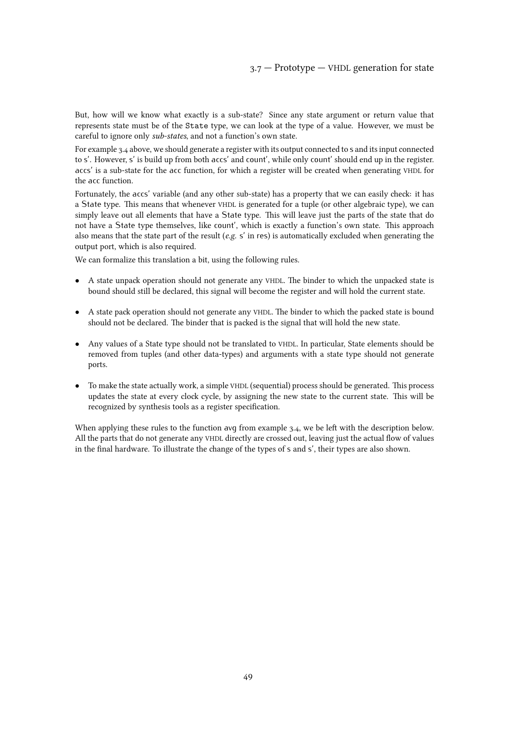But, how will we know what exactly is a sub-state? Since any state argument or return value that represents state must be of the State type, we can look at the type of a value. However, we must be careful to ignore only sub-states, and not a function's own state.

For [example 3.4](#page-45-0) above, we should generate a register with its output connected to s and its input connected to s'. However, s' is build up from both accs' and count', while only count' should end up in the register. accs' is a sub-state for the acc function, for which a register will be created when generating VHDL for the acc function.

Fortunately, the accs' variable (and any other sub-state) has a property that we can easily check: it has a State type. This means that whenever VHDL is generated for a tuple (or other algebraic type), we can simply leave out all elements that have a State type. This will leave just the parts of the state that do not have a State type themselves, like count', which is exactly a function's own state. This approach also means that the state part of the result (e.g. s' in res) is automatically excluded when generating the output port, which is also required.

We can formalize this translation a bit, using the following rules.

- *•* A state unpack operation should not generate any VHDL. The binder to which the unpacked state is bound should still be declared, this signal will become the register and will hold the current state.
- A state pack operation should not generate any VHDL. The binder to which the packed state is bound should not be declared. The binder that is packed is the signal that will hold the new state.
- Any values of a State type should not be translated to VHDL. In particular, State elements should be removed from tuples (and other data-types) and arguments with a state type should not generate ports.
- *•* To make the state actually work, a simple VHDL (sequential) process should be generated. This process updates the state at every clock cycle, by assigning the new state to the current state. This will be recognized by synthesis tools as a register specification.

When applying these rules to the function avg from [example 3.4, we be left with the description below.](#page-45-0) All the parts that do not generate any VHDL directly are crossed out, leaving just the actual flow of values in the final hardware. To illustrate the change of the types of s and s', their types are also shown.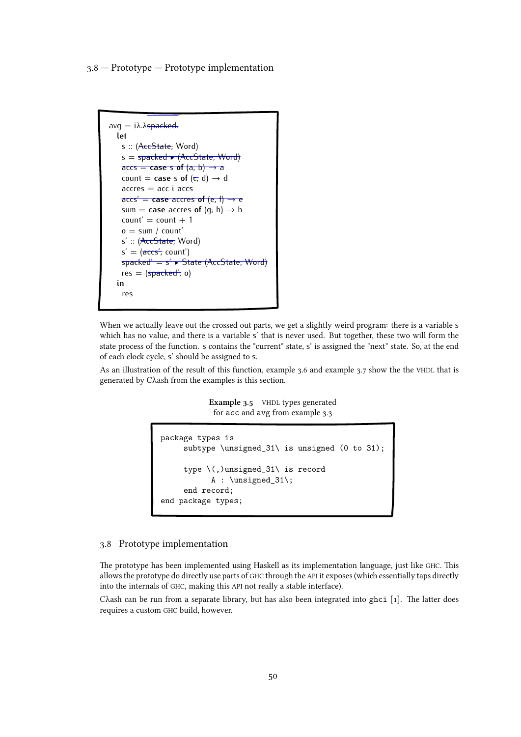3.8 — Prototype — Prototype implementation

```
avq = i\lambda.\lambdaspacked.
  let
   s :: (AccState, Word)
    s = spacked \blacktriangleright (AccState, Word)
    \text{access} = \text{case} \text{ s of } (a, b) \rightarrow acount = case s of (c, d) \rightarrow d\arccos = \arccos\arccos' = \case \arccres \text{ of } (e, f) \rightarrow esum = case accres of (q, h) \rightarrow hcount' = count + 1o = sum / count's' :: (AccState, Word)
    s' = (\overline{accs'}, count')spacked' = s' ▶ State (AccState, Word)
   res = (spacked', o)in
    res
```
When we actually leave out the crossed out parts, we get a slightly weird program: there is a variable s which has no value, and there is a variable s' that is never used. But together, these two will form the state process of the function. s contains the "current" state, s' is assigned the "next" state. So, at the end of each clock cycle, s' should be assigned to s.

As an illustration of the result of this function, [example 3.6](#page-50-0) and [example 3.7](#page-51-0) show the the VHDL that is generated by Cλash from the examples is this section.

> Example 3.5 VHDL types generated for acc and avg from [example 3.3](#page-44-0)

```
package types is
     subtype \unsigned_31\ is unsigned (0 to 31);
     type \(,)unsigned_31\ is record
           A : \unsigned_31\;
     end record;
end package types;
```
# 3.8 Prototype implementation

The prototype has been implemented using Haskell as its implementation language, just like GHC. This allows the prototype do directly use parts of GHC through the API it exposes (which essentially taps directly into the internals of GHC, making this API not really a stable interface).

Cλash can be run from a separate library, but has also been integrated into ghci [[1\]. The latter does](#page-108-0) requires a custom GHC build, however.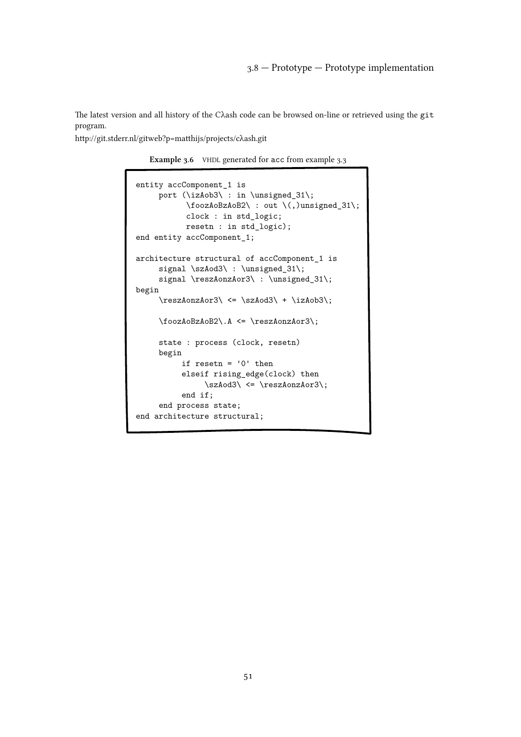<span id="page-50-0"></span>The latest version and all history of the Cλash code can be browsed on-line or retrieved using the git program.

http://git.stderr.nl/gitweb?p=matthijs/projects/cλash.git

Example 3.6 VHDL generated for acc from [example 3.3](#page-44-0)

```
entity accComponent_1 is
     port (\izAob3\ : in \unsigned_31\;
           \foozAoBzAoB2\ : out \(,)unsigned_31\;
           clock : in std_logic;
          resetn : in std_logic);
end entity accComponent_1;
architecture structural of accComponent_1 is
     signal \szAod3\ : \unsigned_31\;
     signal \reszAonzAor3\ : \unsigned_31\;
begin
     \verb+\ressAonzAor3+\<=\szAod3+\+\izAob3\;;\foozAoBzAoB2\.A <= \reszAonzAor3\;
     state : process (clock, resetn)
     begin
          if resetn = '0' then
          elseif rising_edge(clock) then
               \szAod3\ <= \reszAonzAor3\;
          end if;
     end process state;
end architecture structural;
```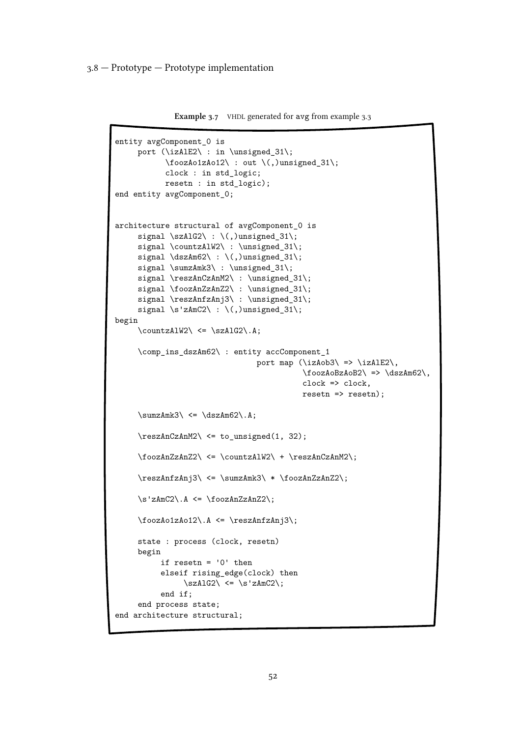<span id="page-51-0"></span>3.8 — Prototype — Prototype implementation

```
Example 3.7 VHDL generated for avg from example 3.3
```

```
entity avgComponent_0 is
    port (\izAlE2\ : in \unsigned_31\;
           \foozAo1zAo12\ : out \(,)unsigned_31\;
           clock : in std_logic;
          resetn : in std_logic);
end entity avgComponent_0;
architecture structural of avgComponent_0 is
     signal \szAlG2\: \(,)unsigned_31\;
    signal \countzAlW2\ : \unsigned_31\;
     signal \dszAm62\ : \ (,)unsigned_31\;;
     signal \sumzAmk3\ : \unsigned_31\;
     signal \reszAnCzAnM2\ : \unsigned_31\;
     signal \foozAnZzAnZ2\ : \unsigned_31\;
     signal \reszAnfzAnj3\ : \unsigned_31\;
     signal \s'zAmC2\:\(,)unsigned_31\;
begin
     \countzAlW2\ \leq \szAlG2\.A;\comp_ins_dszAm62\ : entity accComponent_1
                               port map (\izAob3\ => \izAlE2\,
                                         \foozAoBzAoB2\ => \dszAm62\,
                                         clock => clock,
                                         resetn => resetn);
     \sumZAmk3 <= \dszAm62.A;
     \reszAnCzAnM2\ <= to_unsigned(1, 32);
     \foozAnZzAnZ2\ <= \countzAlW2\ + \reszAnCzAnM2\;
     \reszAnfzAnj3\ <= \sumzAmk3\ * \foozAnZzAnZ2\;
     \s'zAmC2\.A <= \foozAnZzAnZ2\;
     \foozAo1zAo12\.A <= \reszAnfzAnj3\;
     state : process (clock, resetn)
    begin
          if resetn = '0' then
          elseif rising_edge(clock) then
               \s2A1G2\ <= \s2AmC2\;end if;
     end process state;
end architecture structural;
```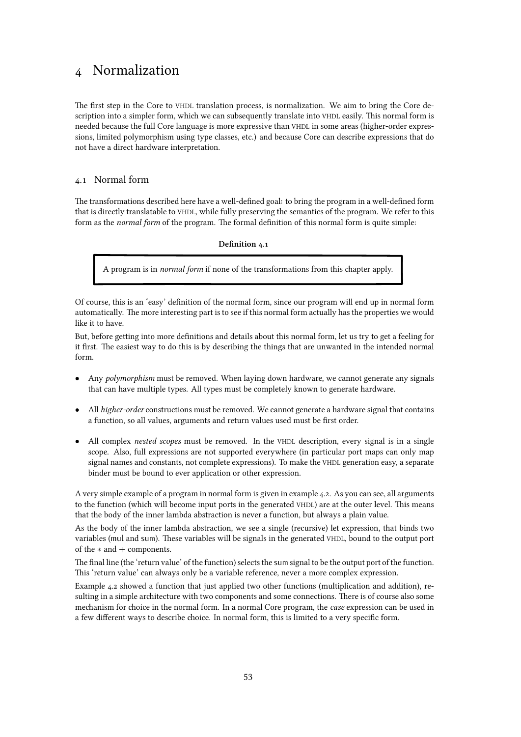# <span id="page-52-0"></span>4 Normalization

The first step in the Core to VHDL translation process, is normalization. We aim to bring the Core description into a simpler form, which we can subsequently translate into VHDL easily. This normal form is needed because the full Core language is more expressive than VHDL in some areas (higher-order expressions, limited polymorphism using type classes, etc.) and because Core can describe expressions that do not have a direct hardware interpretation.

# 4.1 Normal form

The transformations described here have a well-defined goal: to bring the program in a well-defined form that is directly translatable to VHDL, while fully preserving the semantics of the program. We refer to this form as the *normal form* of the program. The formal definition of this normal form is quite simple:

Definition 4.1

A program is in normal form if none of the transformations from this chapter apply.

Of course, this is an 'easy' definition of the normal form, since our program will end up in normal form automatically. The more interesting part is to see if this normal form actually has the properties we would like it to have.

But, before getting into more definitions and details about this normal form, let us try to get a feeling for it first. The easiest way to do this is by describing the things that are unwanted in the intended normal form.

- Any *polymorphism* must be removed. When laying down hardware, we cannot generate any signals that can have multiple types. All types must be completely known to generate hardware.
- *•* All higher-order constructions must be removed. We cannot generate a hardware signal that contains a function, so all values, arguments and return values used must be first order.
- All complex *nested scopes* must be removed. In the VHDL description, every signal is in a single scope. Also, full expressions are not supported everywhere (in particular port maps can only map signal names and constants, not complete expressions). To make the VHDL generation easy, a separate binder must be bound to ever application or other expression.

A very simple example of a program in normal form is given in [example 4.2. As you can see, all arguments](#page-53-0) to the function (which will become input ports in the generated VHDL) are at the outer level. This means that the body of the inner lambda abstraction is never a function, but always a plain value.

As the body of the inner lambda abstraction, we see a single (recursive) let expression, that binds two variables (mul and sum). These variables will be signals in the generated VHDL, bound to the output port of the *∗* and + components.

The final line (the 'return value' of the function) selects the sum signal to be the output port of the function. This 'return value' can always only be a variable reference, never a more complex expression.

[Example 4.2](#page-53-0) showed a function that just applied two other functions (multiplication and addition), resulting in a simple architecture with two components and some connections. There is of course also some mechanism for choice in the normal form. In a normal Core program, the case expression can be used in a few different ways to describe choice. In normal form, this is limited to a very specific form.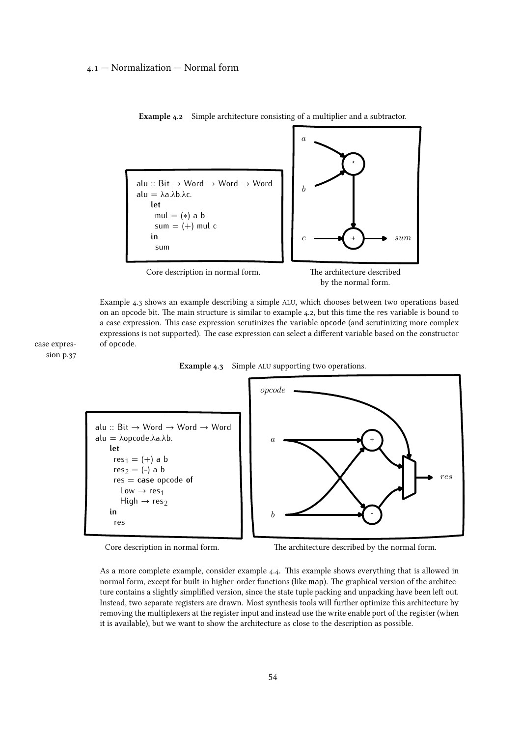# <span id="page-53-0"></span>4.1 — Normalization — Normal form



Example 4.2 Simple architecture consisting of a multiplier and a subtractor.

by the normal form.

Example 4.3 shows an example describing a simple ALU, which chooses between two operations based on an opcode bit. The main structure is similar to example 4.2, but this time the res variable is bound to a case expression. This case expression scrutinizes the variable opcode (and scrutinizing more complex expressions is not supported). The case expression can select a different variable based on the constructor of opcode.

[case expres](#page-36-0)[sion p.37](#page-36-0)

Example 4.3 Simple ALU supporting two operations.



Core description in normal form. The architecture described by the normal form.

As a more complete example, consider [example 4.4. This example shows everything that is allowed in](#page-54-0) normal form, except for built-in higher-order functions (like map). The graphical version of the architecture contains a slightly simplified version, since the state tuple packing and unpacking have been left out. Instead, two separate registers are drawn. Most synthesis tools will further optimize this architecture by removing the multiplexers at the register input and instead use the write enable port of the register (when it is available), but we want to show the architecture as close to the description as possible.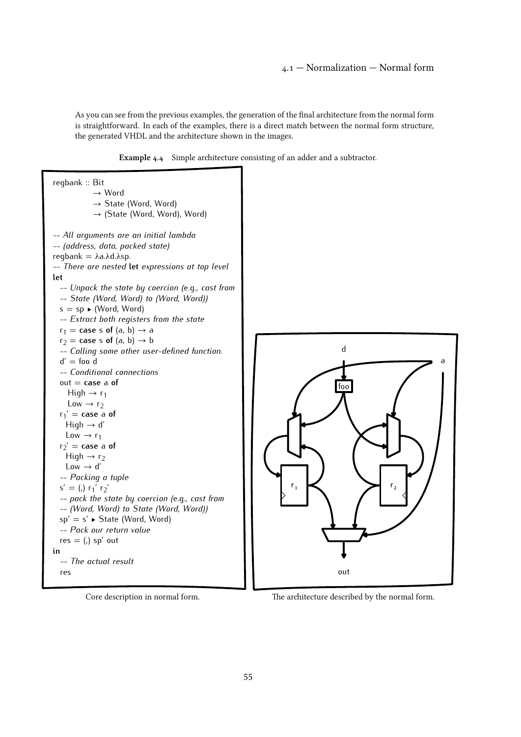# 4.1 — Normalization — Normal form

<span id="page-54-0"></span>As you can see from the previous examples, the generation of the final architecture from the normal form is straightforward. In each of the examples, there is a direct match between the normal form structure, the generated VHDL and the architecture shown in the images.







Core description in normal form. The architecture described by the normal form.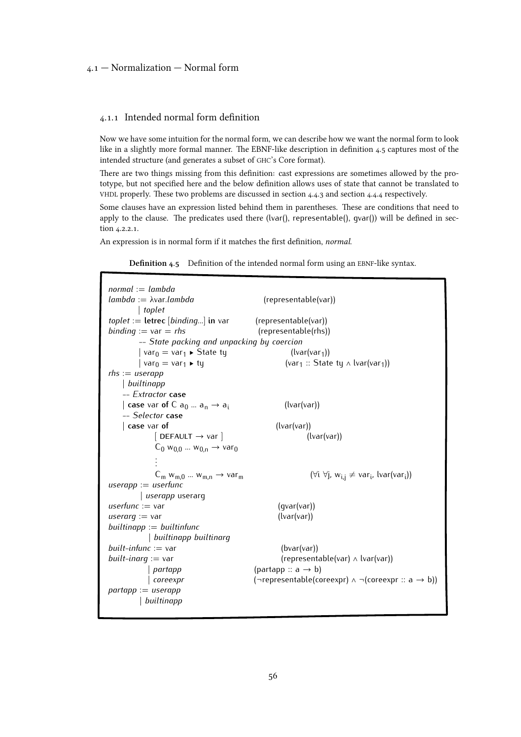# <span id="page-55-0"></span>4.1 — Normalization — Normal form

### 4.1.1 Intended normal form definition

Now we have some intuition for the normal form, we can describe how we want the normal form to look like in a slightly more formal manner. The EBNF-like description in definition 4.5 captures most of the intended structure (and generates a subset of GHC's Core format).

There are two things missing from this definition: cast expressions are sometimes allowed by the prototype, but not specified here and the below definition allows uses of state that cannot be translated to VHDL properly. These two problems are discussed in [section 4.4.3](#page-88-0) and [section 4.4.4](#page-88-0) respectively.

Some clauses have an expression listed behind them in parentheses. These are conditions that need to apply to the clause. The predicates used there (lvar(), representable(), gvar()) will be defined in [sec](#page-61-0)[tion 4.2.2.1.](#page-61-0)

An expression is in normal form if it matches the first definition, normal.

Definition 4.5 Definition of the intended normal form using an EBNF-like syntax.

| $normal := lambda$<br>$lambda := \lambda$ var.lambda                                                                                 | (representable(var))                                                          |  |  |  |
|--------------------------------------------------------------------------------------------------------------------------------------|-------------------------------------------------------------------------------|--|--|--|
| toplet                                                                                                                               |                                                                               |  |  |  |
| $toplet :=$ letrec [binding] in var (representable(var))                                                                             |                                                                               |  |  |  |
| <i>binding</i> := $var = r$ <i>hs</i>                                                                                                | (representable(rhs))                                                          |  |  |  |
| -- State packing and unpacking by coercion                                                                                           |                                                                               |  |  |  |
| var <sub>0</sub> = var <sub>1</sub> $\blacktriangleright$ State ty<br>  var <sub>0</sub> = var <sub>1</sub> $\blacktriangleright$ ty | $(lvar(var_1))$                                                               |  |  |  |
|                                                                                                                                      | (var <sub>1</sub> :: State ty $\land$ lvar(var <sub>1</sub> ))                |  |  |  |
| $rhs := userapp$                                                                                                                     |                                                                               |  |  |  |
| builtinapp                                                                                                                           |                                                                               |  |  |  |
| -- Extractor case                                                                                                                    |                                                                               |  |  |  |
| case var of C $a_0  a_n \rightarrow a_i$                                                                                             | (lvar(var))                                                                   |  |  |  |
| -- Selector case                                                                                                                     |                                                                               |  |  |  |
| case var of                                                                                                                          | (lvar(var))                                                                   |  |  |  |
| $[DEFAULT \rightarrow var]$                                                                                                          | (lvar(var))                                                                   |  |  |  |
| $C_0$ w <sub>0.0</sub> w <sub>0.n</sub> $\rightarrow$ var <sub>0</sub>                                                               |                                                                               |  |  |  |
|                                                                                                                                      |                                                                               |  |  |  |
| $C_m w_{m,0}  w_{m,n} \rightarrow var_m$                                                                                             | $(\forall i \ \forall j, w_{i,j} \neq var_i, lvar(var_i))$                    |  |  |  |
| $useraph := userfunc$                                                                                                                |                                                                               |  |  |  |
| <i>userapp</i> userarg                                                                                                               |                                                                               |  |  |  |
| userfunc $:=$ var                                                                                                                    | (qvar(var))                                                                   |  |  |  |
| <i>userarq</i> := $var$                                                                                                              | (lvar(var))                                                                   |  |  |  |
| $built in app := builtin func$                                                                                                       |                                                                               |  |  |  |
| builtinapp builtinarg                                                                                                                |                                                                               |  |  |  |
| built-infunc $:=$ var                                                                                                                | (bvar(var))                                                                   |  |  |  |
| <i>built-inarg</i> := var                                                                                                            | (representable(var) $\land$ lvar(var))                                        |  |  |  |
| partapp                                                                                                                              | (partapp :: $a \rightarrow b$ )                                               |  |  |  |
| coreexpr                                                                                                                             | $(\neg$ representable(coreexpr) $\land \neg$ (coreexpr :: a $\rightarrow$ b)) |  |  |  |
| $partapp := userapp$                                                                                                                 |                                                                               |  |  |  |
| builtinapp                                                                                                                           |                                                                               |  |  |  |
|                                                                                                                                      |                                                                               |  |  |  |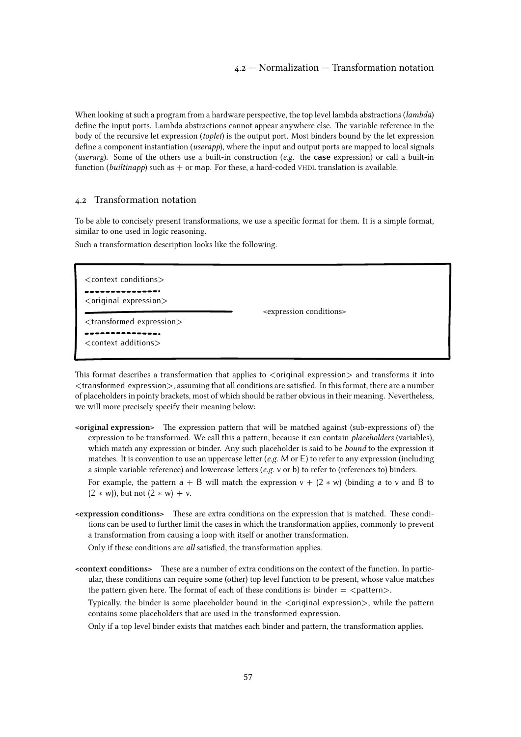<span id="page-56-0"></span>When looking at such a program from a hardware perspective, the top level lambda abstractions (*lambda*) define the input ports. Lambda abstractions cannot appear anywhere else. The variable reference in the body of the recursive let expression (toplet) is the output port. Most binders bound by the let expression define a component instantiation (*userapp*), where the input and output ports are mapped to local signals (userarg). Some of the others use a built-in construction (e.g. the **case** expression) or call a built-in function (builtinapp) such as  $+$  or map. For these, a hard-coded VHDL translation is available.

#### 4.2 Transformation notation

To be able to concisely present transformations, we use a specific format for them. It is a simple format, similar to one used in logic reasoning.

Such a transformation description looks like the following.

<context conditions> ---------------<original expression> <transformed expression>

<context additions>

----------------

<expression conditions>

This format describes a transformation that applies to  $\langle$  original expression $\rangle$  and transforms it into <transformed expression>, assuming that all conditions are satisfied. In this format, there are a number of placeholders in pointy brackets, most of which should be rather obvious in their meaning. Nevertheless,

we will more precisely specify their meaning below:

<original expression> The expression pattern that will be matched against (sub-expressions of) the expression to be transformed. We call this a pattern, because it can contain *placeholders* (variables), which match any expression or binder. Any such placeholder is said to be *bound* to the expression it matches. It is convention to use an uppercase letter (e.g. M or  $E$ ) to refer to any expression (including a simple variable reference) and lowercase letters (e.g. v or b) to refer to (references to) binders.

For example, the pattern  $a + B$  will match the expression  $v + (2 * w)$  (binding a to v and B to (2 *∗* w)), but not (2 *∗* w) + v.

<expression conditions> These are extra conditions on the expression that is matched. These conditions can be used to further limit the cases in which the transformation applies, commonly to prevent a transformation from causing a loop with itself or another transformation.

Only if these conditions are all satisfied, the transformation applies.

<context conditions> These are a number of extra conditions on the context of the function. In particular, these conditions can require some (other) top level function to be present, whose value matches the pattern given here. The format of each of these conditions is: binder  $=$   $\lt$ pattern $>$ .

Typically, the binder is some placeholder bound in the <original expression>, while the pattern contains some placeholders that are used in the transformed expression.

Only if a top level binder exists that matches each binder and pattern, the transformation applies.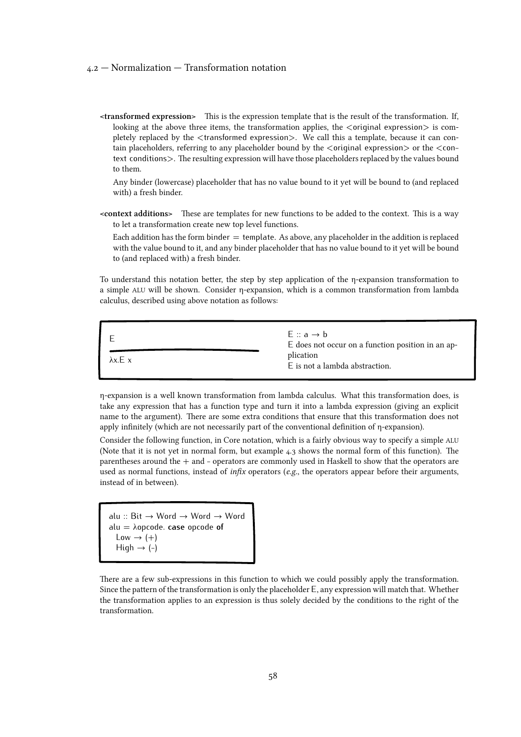### 4.2 — Normalization — Transformation notation

<transformed expression> This is the expression template that is the result of the transformation. If, looking at the above three items, the transformation applies, the  $\langle$  original expression $\rangle$  is completely replaced by the <transformed expression>. We call this a template, because it can contain placeholders, referring to any placeholder bound by the <original expression> or the <context conditions>. The resulting expression will have those placeholders replaced by the values bound to them.

Any binder (lowercase) placeholder that has no value bound to it yet will be bound to (and replaced with) a fresh binder.

<context additions> These are templates for new functions to be added to the context. This is a way to let a transformation create new top level functions.

Each addition has the form binder  $=$  template. As above, any placeholder in the addition is replaced with the value bound to it, and any binder placeholder that has no value bound to it yet will be bound to (and replaced with) a fresh binder.

To understand this notation better, the step by step application of the η-expansion transformation to a simple ALU will be shown. Consider η-expansion, which is a common transformation from lambda calculus, described using above notation as follows:



η-expansion is a well known transformation from lambda calculus. What this transformation does, is take any expression that has a function type and turn it into a lambda expression (giving an explicit name to the argument). There are some extra conditions that ensure that this transformation does not apply infinitely (which are not necessarily part of the conventional definition of η-expansion).

Consider the following function, in Core notation, which is a fairly obvious way to specify a simple ALU (Note that it is not yet in normal form, but [example 4.3](#page-53-0) shows the normal form of this function). The parentheses around the + and - operators are commonly used in Haskell to show that the operators are used as normal functions, instead of *infix* operators (*e.g.*, the operators appear before their arguments, instead of in between).

```
alu :: Bit → Word → Word → Word
alu = λopcode. case opcode of
 Low \rightarrow (+)High \rightarrow (-)
```
There are a few sub-expressions in this function to which we could possibly apply the transformation. Since the pattern of the transformation is only the placeholder E, any expression will match that. Whether the transformation applies to an expression is thus solely decided by the conditions to the right of the transformation.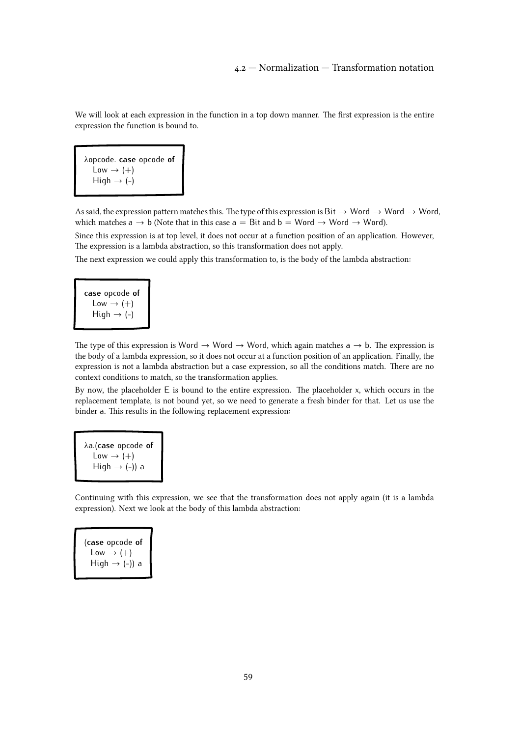We will look at each expression in the function in a top down manner. The first expression is the entire expression the function is bound to.

λopcode. **case** opcode **of**  $Low \rightarrow (+)$  $High \rightarrow (-)$ 

As said, the expression pattern matches this. The type of this expression is Bit  $\rightarrow$  Word  $\rightarrow$  Word  $\rightarrow$  Word, which matches  $a \rightarrow b$  (Note that in this case  $a = Bit$  and  $b = Word \rightarrow Word$ ).

Since this expression is at top level, it does not occur at a function position of an application. However, The expression is a lambda abstraction, so this transformation does not apply.

The next expression we could apply this transformation to, is the body of the lambda abstraction:



The type of this expression is Word  $\rightarrow$  Word  $\rightarrow$  Word, which again matches a  $\rightarrow$  b. The expression is the body of a lambda expression, so it does not occur at a function position of an application. Finally, the expression is not a lambda abstraction but a case expression, so all the conditions match. There are no context conditions to match, so the transformation applies.

By now, the placeholder E is bound to the entire expression. The placeholder x, which occurs in the replacement template, is not bound yet, so we need to generate a fresh binder for that. Let us use the binder a. This results in the following replacement expression:

λa.(**case** opcode **of**  $Low \rightarrow (+)$ High  $\rightarrow$  (-)) a

Continuing with this expression, we see that the transformation does not apply again (it is a lambda expression). Next we look at the body of this lambda abstraction:

(**case** opcode **of**  $Low \rightarrow (+)$ High  $\rightarrow$  (-)) a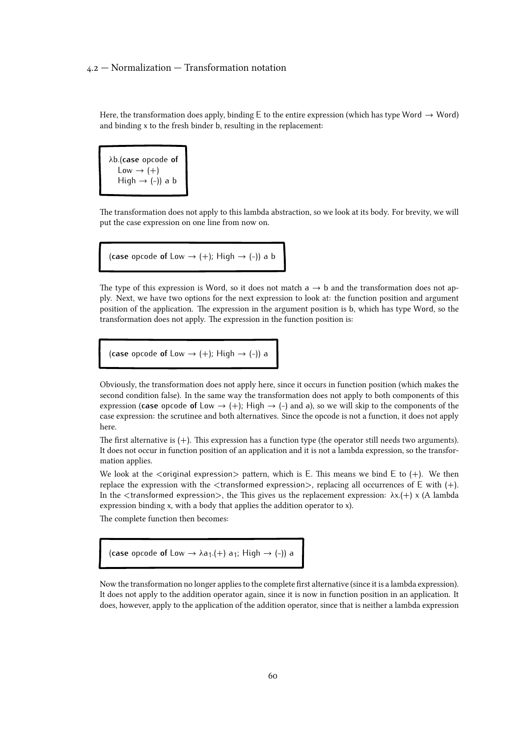Here, the transformation does apply, binding E to the entire expression (which has type Word  $\rightarrow$  Word) and binding x to the fresh binder b, resulting in the replacement:

λb.(**case** opcode **of**  $Low \rightarrow (+)$ High  $\rightarrow$  (-)) a b

The transformation does not apply to this lambda abstraction, so we look at its body. For brevity, we will put the case expression on one line from now on.

(**case** opcode **of** Low  $\rightarrow$  (+); High  $\rightarrow$  (-)) a b

The type of this expression is Word, so it does not match  $a \rightarrow b$  and the transformation does not apply. Next, we have two options for the next expression to look at: the function position and argument position of the application. The expression in the argument position is b, which has type Word, so the transformation does not apply. The expression in the function position is:

(**case** opcode of Low  $\rightarrow$  (+); High  $\rightarrow$  (-)) a

Obviously, the transformation does not apply here, since it occurs in function position (which makes the second condition false). In the same way the transformation does not apply to both components of this expression (**case** opcode of Low  $\rightarrow$  (+); High  $\rightarrow$  (-) and a), so we will skip to the components of the case expression: the scrutinee and both alternatives. Since the opcode is not a function, it does not apply here.

The first alternative is  $(+)$ . This expression has a function type (the operator still needs two arguments). It does not occur in function position of an application and it is not a lambda expression, so the transformation applies.

We look at the  $\langle$ original expression $\rangle$  pattern, which is E. This means we bind E to (+). We then replace the expression with the  $\lt$ transformed expression $>$ , replacing all occurrences of E with (+). In the  $\lt$ transformed expression $>$ , the This gives us the replacement expression:  $\lambda x.(+)$  x (A lambda expression binding x, with a body that applies the addition operator to x).

The complete function then becomes:

(case opcode of Low  $\rightarrow \lambda a_1$ .(+)  $a_1$ ; High  $\rightarrow$  (-)) a

Now the transformation no longer applies to the complete first alternative (since it is a lambda expression). It does not apply to the addition operator again, since it is now in function position in an application. It does, however, apply to the application of the addition operator, since that is neither a lambda expression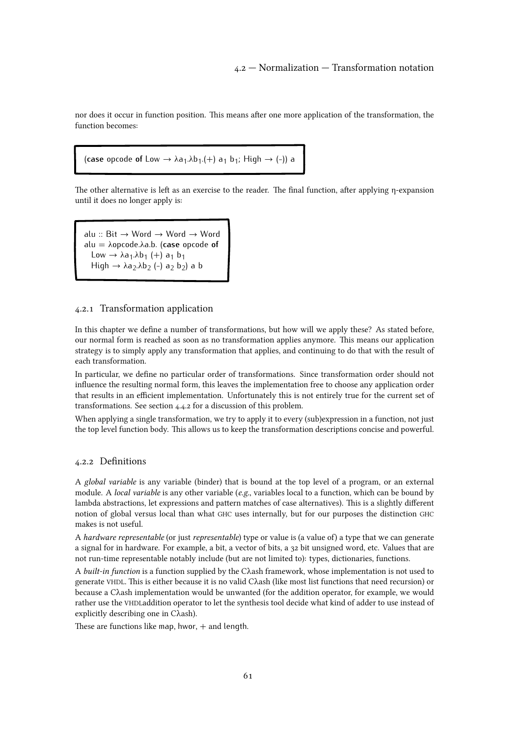nor does it occur in function position. This means after one more application of the transformation, the function becomes:

```
(case opcode of Low \rightarrow \lambda a_1.\lambda b_1.(+) a_1 b_1; High \rightarrow (-)) a
```
The other alternative is left as an exercise to the reader. The final function, after applying η-expansion until it does no longer apply is:

alu :: Bit → Word → Word → Word alu = λopcode.λa.b. (**case** opcode **of** Low  $\rightarrow \lambda a_1 \lambda b_1$  (+)  $a_1 b_1$ High → λa<sub>2</sub>.λb<sub>2</sub> (-) a<sub>2</sub> b<sub>2</sub>) a b

# 4.2.1 Transformation application

In this chapter we define a number of transformations, but how will we apply these? As stated before, our normal form is reached as soon as no transformation applies anymore. This means our application strategy is to simply apply any transformation that applies, and continuing to do that with the result of each transformation.

In particular, we define no particular order of transformations. Since transformation order should not influence the resulting normal form, this leaves the implementation free to choose any application order that results in an efficient implementation. Unfortunately this is not entirely true for the current set of transformations. See [section 4.4.2](#page-88-0) for a discussion of this problem.

When applying a single transformation, we try to apply it to every (sub)expression in a function, not just the top level function body. This allows us to keep the transformation descriptions concise and powerful.

#### 4.2.2 Definitions

A global variable is any variable (binder) that is bound at the top level of a program, or an external module. A local variable is any other variable (e.g., variables local to a function, which can be bound by lambda abstractions, let expressions and pattern matches of case alternatives). This is a slightly different notion of global versus local than what GHC uses internally, but for our purposes the distinction GHC makes is not useful.

A hardware representable (or just representable) type or value is (a value of) a type that we can generate a signal for in hardware. For example, a bit, a vector of bits, a 32 bit unsigned word, etc. Values that are not run-time representable notably include (but are not limited to): types, dictionaries, functions.

A built-in function is a function supplied by the Cλash framework, whose implementation is not used to generate VHDL. This is either because it is no valid Cλash (like most list functions that need recursion) or because a Cλash implementation would be unwanted (for the addition operator, for example, we would rather use the VHDLaddition operator to let the synthesis tool decide what kind of adder to use instead of explicitly describing one in Cλash).

These are functions like map, hwor,  $+$  and length.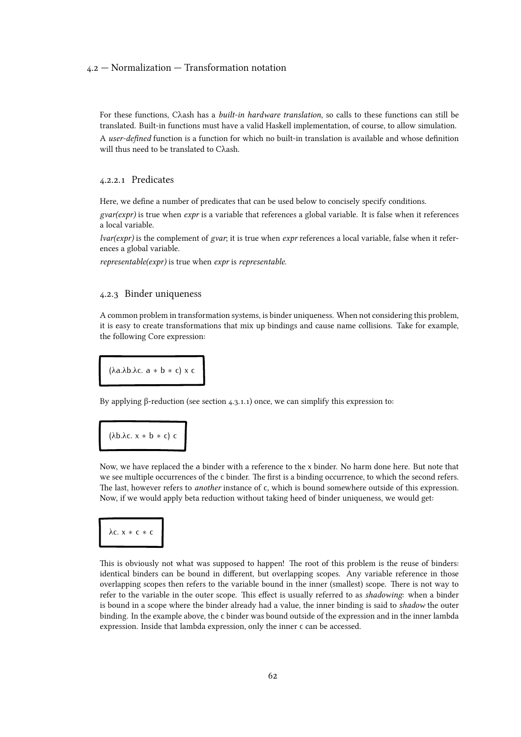# <span id="page-61-0"></span>4.2 — Normalization — Transformation notation

For these functions, Cλash has a built-in hardware translation, so calls to these functions can still be translated. Built-in functions must have a valid Haskell implementation, of course, to allow simulation.

A user-defined function is a function for which no built-in translation is available and whose definition will thus need to be translated to Cλash.

# 4.2.2.1 Predicates

Here, we define a number of predicates that can be used below to concisely specify conditions.

 $gvar(exp)$  is true when  $expr$  is a variable that references a global variable. It is false when it references a local variable.

 $lvar(exp)$  is the complement of gvar; it is true when expr references a local variable, false when it references a global variable.

representable(expr) is true when expr is representable.

### 4.2.3 Binder uniqueness

A common problem in transformation systems, is binder uniqueness. When not considering this problem, it is easy to create transformations that mix up bindings and cause name collisions. Take for example, the following Core expression:

(λa.λb.λc. a *∗* b *∗* c) x c

By applying β-reduction (see [section 4.3.1.1\) once, we can simplify this expression to:](#page-63-0)

$$
(\lambda b.\lambda c. x * b * c) c
$$

Now, we have replaced the a binder with a reference to the x binder. No harm done here. But note that we see multiple occurrences of the c binder. The first is a binding occurrence, to which the second refers. The last, however refers to another instance of c, which is bound somewhere outside of this expression. Now, if we would apply beta reduction without taking heed of binder uniqueness, we would get:

$$
\lambda c. x * c * c
$$

This is obviously not what was supposed to happen! The root of this problem is the reuse of binders: identical binders can be bound in different, but overlapping scopes. Any variable reference in those overlapping scopes then refers to the variable bound in the inner (smallest) scope. There is not way to refer to the variable in the outer scope. This effect is usually referred to as shadowing: when a binder is bound in a scope where the binder already had a value, the inner binding is said to shadow the outer binding. In the example above, the c binder was bound outside of the expression and in the inner lambda expression. Inside that lambda expression, only the inner c can be accessed.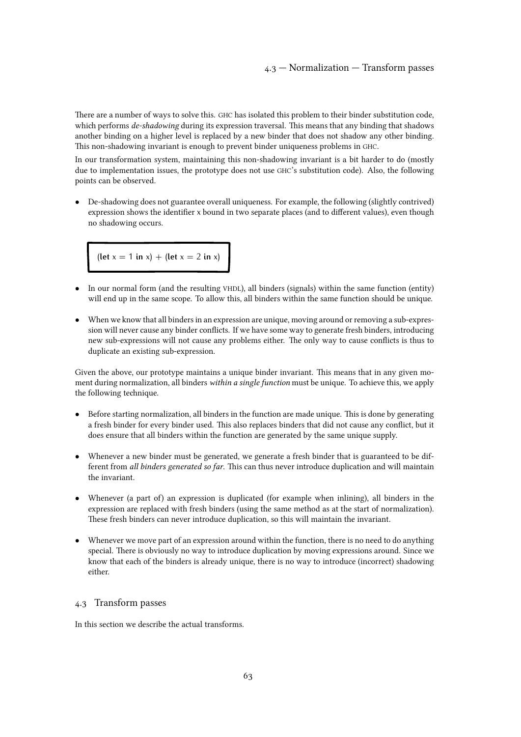There are a number of ways to solve this. GHC has isolated this problem to their binder substitution code, which performs *de-shadowing* during its expression traversal. This means that any binding that shadows another binding on a higher level is replaced by a new binder that does not shadow any other binding. This non-shadowing invariant is enough to prevent binder uniqueness problems in GHC.

In our transformation system, maintaining this non-shadowing invariant is a bit harder to do (mostly due to implementation issues, the prototype does not use GHC's substitution code). Also, the following points can be observed.

*•* De-shadowing does not guarantee overall uniqueness. For example, the following (slightly contrived) expression shows the identifier x bound in two separate places (and to different values), even though no shadowing occurs.

 $(\text{let } x = 1 \text{ in } x) + (\text{let } x = 2 \text{ in } x)$ 

- In our normal form (and the resulting VHDL), all binders (signals) within the same function (entity) will end up in the same scope. To allow this, all binders within the same function should be unique.
- When we know that all binders in an expression are unique, moving around or removing a sub-expression will never cause any binder conflicts. If we have some way to generate fresh binders, introducing new sub-expressions will not cause any problems either. The only way to cause conflicts is thus to duplicate an existing sub-expression.

Given the above, our prototype maintains a unique binder invariant. This means that in any given moment during normalization, all binders within a single function must be unique. To achieve this, we apply the following technique.

- *•* Before starting normalization, all binders in the function are made unique. This is done by generating a fresh binder for every binder used. This also replaces binders that did not cause any conflict, but it does ensure that all binders within the function are generated by the same unique supply.
- Whenever a new binder must be generated, we generate a fresh binder that is guaranteed to be different from all binders generated so far. This can thus never introduce duplication and will maintain the invariant.
- Whenever (a part of) an expression is duplicated (for example when inlining), all binders in the expression are replaced with fresh binders (using the same method as at the start of normalization). These fresh binders can never introduce duplication, so this will maintain the invariant.
- Whenever we move part of an expression around within the function, there is no need to do anything special. There is obviously no way to introduce duplication by moving expressions around. Since we know that each of the binders is already unique, there is no way to introduce (incorrect) shadowing either.

# 4.3 Transform passes

In this section we describe the actual transforms.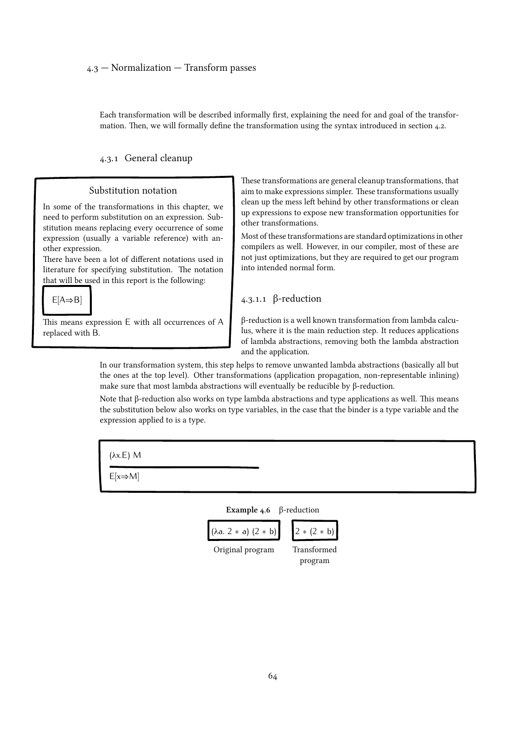<span id="page-63-0"></span>Each transformation will be described informally first, explaining the need for and goal of the transformation. Then, we will formally define the transformation using the syntax introduced in [section 4.2.](#page-56-0)

4.3.1 General cleanup

# Substitution notation

In some of the transformations in this chapter, we need to perform substitution on an expression. Substitution means replacing every occurrence of some expression (usually a variable reference) with another expression.

There have been a lot of different notations used in literature for specifying substitution. The notation that will be used in this report is the following:



This means expression E with all occurrences of A replaced with B.

These transformations are general cleanup transformations, that aim to make expressions simpler. These transformations usually clean up the mess left behind by other transformations or clean up expressions to expose new transformation opportunities for other transformations.

Most of these transformations are standard optimizations in other compilers as well. However, in our compiler, most of these are not just optimizations, but they are required to get our program into intended normal form.

# 4.3.1.1 β-reduction

β-reduction is a well known transformation from lambda calculus, where it is the main reduction step. It reduces applications of lambda abstractions, removing both the lambda abstraction and the application.

In our transformation system, this step helps to remove unwanted lambda abstractions (basically all but the ones at the top level). Other transformations (application propagation, non-representable inlining) make sure that most lambda abstractions will eventually be reducible by β-reduction.

Note that β-reduction also works on type lambda abstractions and type applications as well. This means the substitution below also works on type variables, in the case that the binder is a type variable and the expression applied to is a type.

| $(\lambda x.E)$ M    |                                               |  |
|----------------------|-----------------------------------------------|--|
| $E[x \Rightarrow M]$ |                                               |  |
|                      | <b>Example 4.6</b> $\beta$ -reduction         |  |
|                      | $(\lambda a. 2 * a) (2 * b)$<br>$2 * (2 * b)$ |  |
|                      | Transformed<br>Original program<br>program    |  |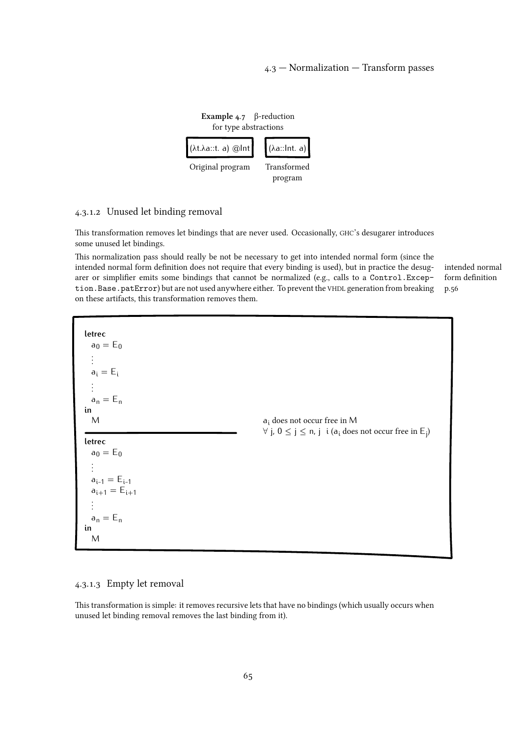

# 4.3.1.2 Unused let binding removal

This transformation removes let bindings that are never used. Occasionally, GHC's desugarer introduces some unused let bindings.

This normalization pass should really be not be necessary to get into intended normal form (since the intended normal form definition does not require that every binding is used), but in practice the desugarer or simplifier emits some bindings that cannot be normalized (e.g., calls to a Control.Exception.Base.patError) but are not used anywhere either. To prevent the VHDL generation from breaking on these artifacts, this transformation removes them.

[intended normal](#page-55-0) [form definition](#page-55-0) [p.56](#page-55-0)

**letrec**  $a_0 = E_0$ . . .  $a_i = E_i$ . . .  $a_n = E_n$ **in** M **letrec**  $a_0 = E_0$ . . .  $a_{i-1} = E_{i-1}$  $a_{i+1} = E_{i+1}$ . . .  $a_n = E_n$ **in** M a<sup>i</sup> does not occur free in M *∀* j, 0 ≤ j ≤ n, j i (a<sup>i</sup> does not occur free in E<sup>j</sup> )

# 4.3.1.3 Empty let removal

This transformation is simple: it removes recursive lets that have no bindings (which usually occurs when unused let binding removal removes the last binding from it).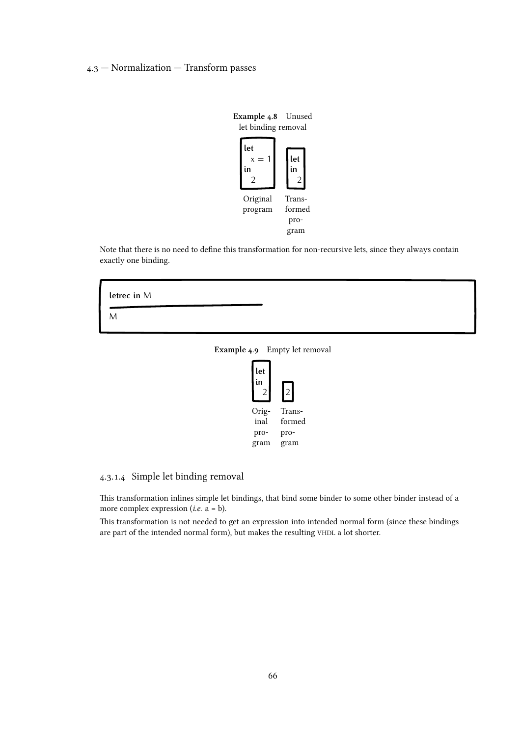

Note that there is no need to define this transformation for non-recursive lets, since they always contain exactly one binding.



Example 4.9 Empty let removal



# 4.3.1.4 Simple let binding removal

This transformation inlines simple let bindings, that bind some binder to some other binder instead of a more complex expression (*i.e.*  $a = b$ ).

This transformation is not needed to get an expression into intended normal form (since these bindings are part of the intended normal form), but makes the resulting VHDL a lot shorter.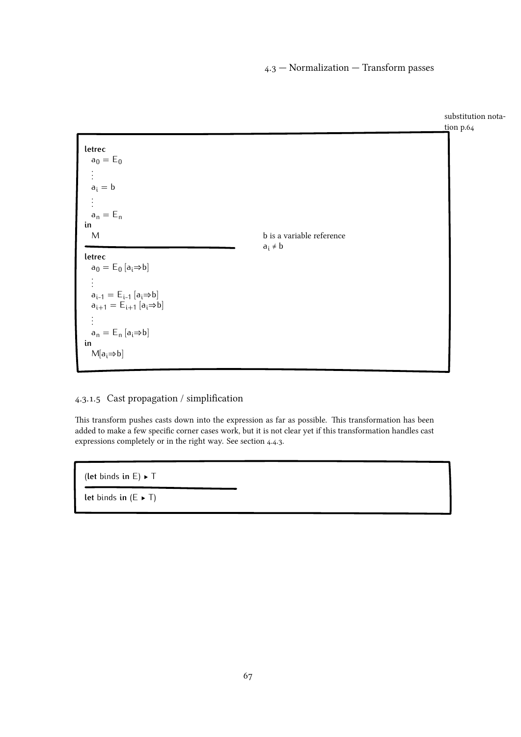

# 4.3.1.5 Cast propagation / simplification

This transform pushes casts down into the expression as far as possible. This transformation has been added to make a few specific corner cases work, but it is not clear yet if this transformation handles cast expressions completely or in the right way. See [section 4.4.3.](#page-88-0)

(**let** binds **in** E) ▶ T

**let** binds **in**  $(E \triangleright T)$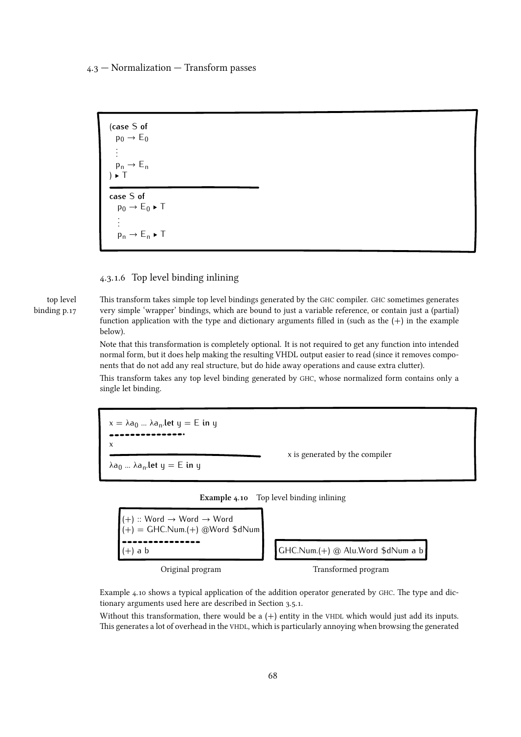

# 4.3.1.6 Top level binding inlining

[top level](#page-16-0) [binding p.17](#page-16-0)

This transform takes simple top level bindings generated by the GHC compiler. GHC sometimes generates very simple 'wrapper' bindings, which are bound to just a variable reference, or contain just a (partial) function application with the type and dictionary arguments filled in (such as the  $(+)$  in the example below).

Note that this transformation is completely optional. It is not required to get any function into intended normal form, but it does help making the resulting VHDL output easier to read (since it removes components that do not add any real structure, but do hide away operations and cause extra clutter).

This transform takes any top level binding generated by GHC, whose normalized form contains only a single let binding.

 $x = \lambda a_0 ... \lambda a_n$ **.let**  $y = E$  **in** y x λa<sup>0</sup> ... λa<sup>n</sup> .**let** y = E **in** y x is generated by the compiler





Original program Transformed program

Example 4.10 shows a typical application of the addition operator generated by GHC. The type and dictionary arguments used here are described in [Section 3.5.1.](#page-38-0)

Without this transformation, there would be a  $(+)$  entity in the VHDL which would just add its inputs. This generates a lot of overhead in the VHDL, which is particularly annoying when browsing the generated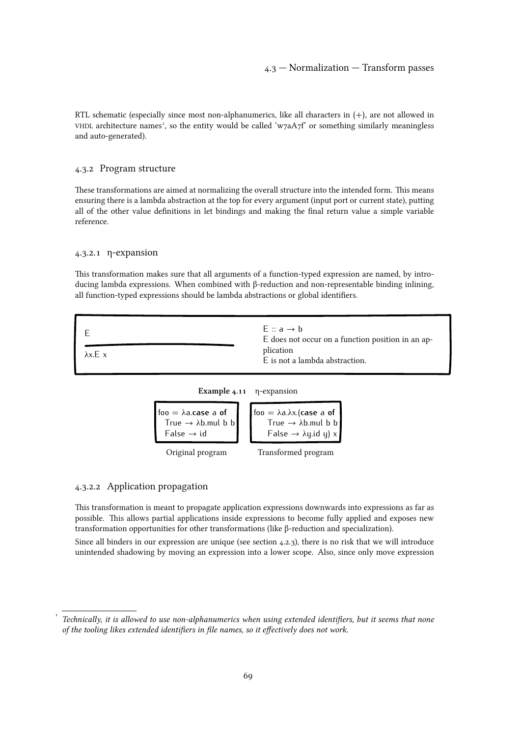RTL schematic (especially since most non-alphanumerics, like all characters in  $(+)$ , are not allowed in VHDL architecture names', so the entity would be called 'w7aA7f' or something similarly meaningless and auto-generated).

#### 4.3.2 Program structure

These transformations are aimed at normalizing the overall structure into the intended form. This means ensuring there is a lambda abstraction at the top for every argument (input port or current state), putting all of the other value definitions in let bindings and making the final return value a simple variable reference.

# 4.3.2.1 η-expansion

This transformation makes sure that all arguments of a function-typed expression are named, by introducing lambda expressions. When combined with β-reduction and non-representable binding inlining, all function-typed expressions should be lambda abstractions or global identifiers.

| $\lambda x.E x$ | $E: a \rightarrow b$<br>E does not occur on a function position in an ap-<br>plication<br>E is not a lambda abstraction. |
|-----------------|--------------------------------------------------------------------------------------------------------------------------|
|                 |                                                                                                                          |





#### 4.3.2.2 Application propagation

[1](#page--1-0)

This transformation is meant to propagate application expressions downwards into expressions as far as possible. This allows partial applications inside expressions to become fully applied and exposes new transformation opportunities for other transformations (like β-reduction and specialization).

Since all binders in our expression are unique (see [section 4.2.3\), there is no risk that we will introduce](#page-61-0) unintended shadowing by moving an expression into a lower scope. Also, since only move expression

Technically, it is allowed to use non-alphanumerics when using extended identifiers, but it seems that none of the tooling likes extended identifiers in file names, so it effectively does not work.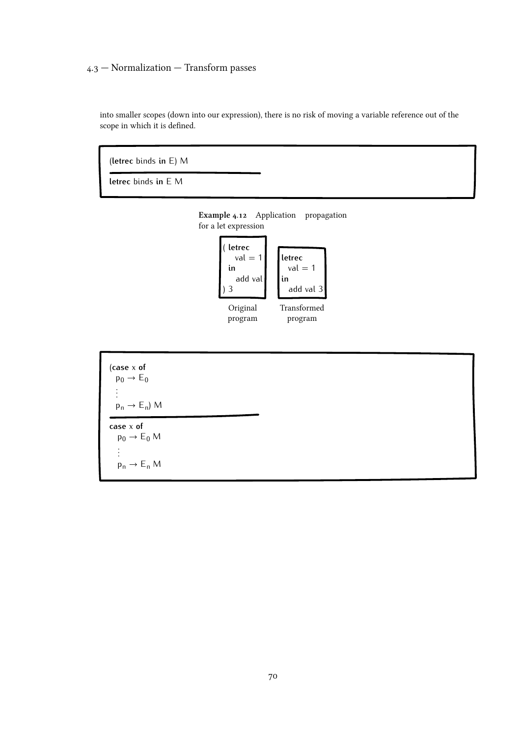into smaller scopes (down into our expression), there is no risk of moving a variable reference out of the scope in which it is defined.

(**letrec** binds **in** E) M

**letrec** binds **in** E M





# Example 4.12 Application propagation for a let expression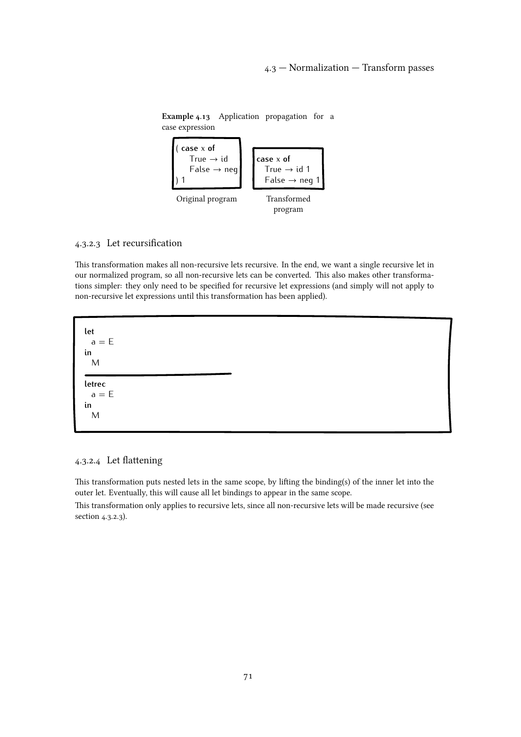

Example 4.13 Application propagation for a case expression

## 4.3.2.3 Let recursification

This transformation makes all non-recursive lets recursive. In the end, we want a single recursive let in our normalized program, so all non-recursive lets can be converted. This also makes other transformations simpler: they only need to be specified for recursive let expressions (and simply will not apply to non-recursive let expressions until this transformation has been applied).

**let**  $a = F$ **in** M **letrec**  $a = E$ **in** M

# 4.3.2.4 Let flattening

This transformation puts nested lets in the same scope, by lifting the binding(s) of the inner let into the outer let. Eventually, this will cause all let bindings to appear in the same scope.

This transformation only applies to recursive lets, since all non-recursive lets will be made recursive (see section 4.3.2.3).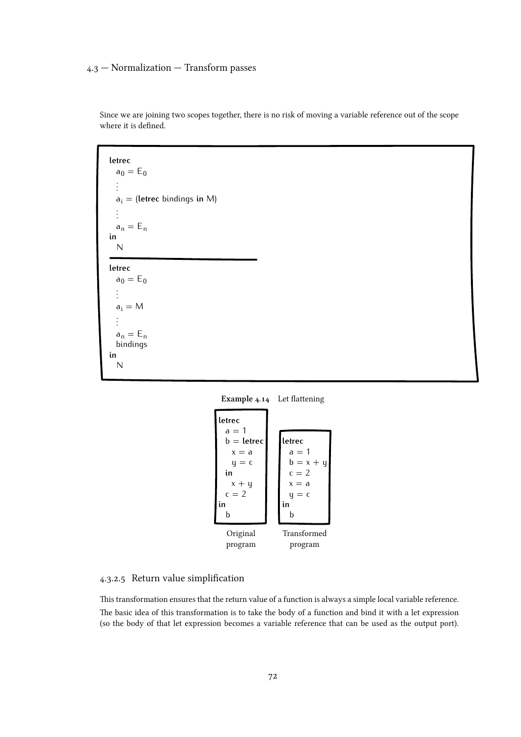```
letrec
  a_0 = E_0.
  .
  .
  ai = (letrec bindings in M)
  .
  .
  .
  a_n = E_nin
  N
letrec
  a_0 = E_0.
  .
  .
  a_i = M.
  .
  .
  a_n = E_nbindings
in
  N
```
Since we are joining two scopes together, there is no risk of moving a variable reference out of the scope where it is defined.





## 4.3.2.5 Return value simplification

This transformation ensures that the return value of a function is always a simple local variable reference. The basic idea of this transformation is to take the body of a function and bind it with a let expression (so the body of that let expression becomes a variable reference that can be used as the output port).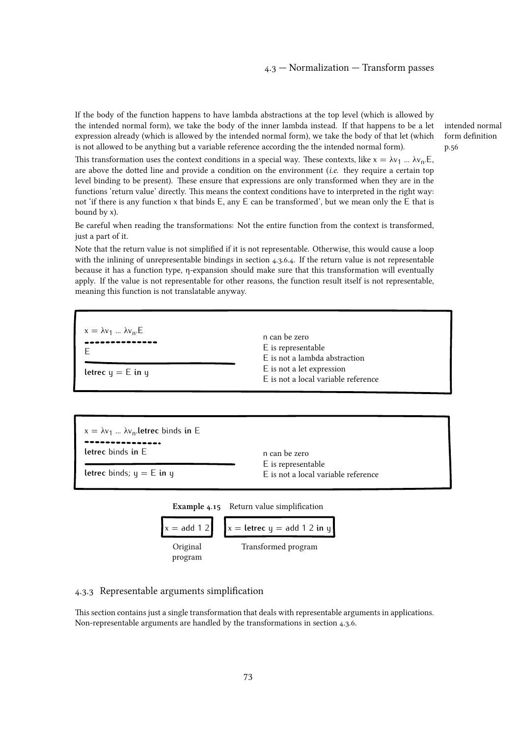<span id="page-72-0"></span>If the body of the function happens to have lambda abstractions at the top level (which is allowed by the intended normal form), we take the body of the inner lambda instead. If that happens to be a let expression already (which is allowed by the intended normal form), we take the body of that let (which is not allowed to be anything but a variable reference according the the intended normal form).

[intended normal](#page-55-0) [form definition](#page-55-0) [p.56](#page-55-0)

This transformation uses the context conditions in a special way. These contexts, like  $x = \lambda v_1 ... \lambda v_n$ . E, are above the dotted line and provide a condition on the environment (i.e. they require a certain top level binding to be present). These ensure that expressions are only transformed when they are in the functions 'return value' directly. This means the context conditions have to interpreted in the right way: not 'if there is any function x that binds E, any E can be transformed', but we mean only the E that is bound by x).

Be careful when reading the transformations: Not the entire function from the context is transformed, just a part of it.

Note that the return value is not simplified if it is not representable. Otherwise, this would cause a loop with the inlining of unrepresentable bindings in [section 4.3.6.4. If the return value is not representable](#page-84-0) because it has a function type, η-expansion should make sure that this transformation will eventually apply. If the value is not representable for other reasons, the function result itself is not representable, meaning this function is not translatable anyway.



```
x = \lambda v_1 ... \lambda v_n.letrec binds in E
letrec binds in E
letrec binds; y = E in y = En can be zero
                                                           E is representable
                                                           E is not a local variable reference
```


#### 4.3.3 Representable arguments simplification

This section contains just a single transformation that deals with representable arguments in applications. Non-representable arguments are handled by the transformations in [section 4.3.6.](#page-78-0)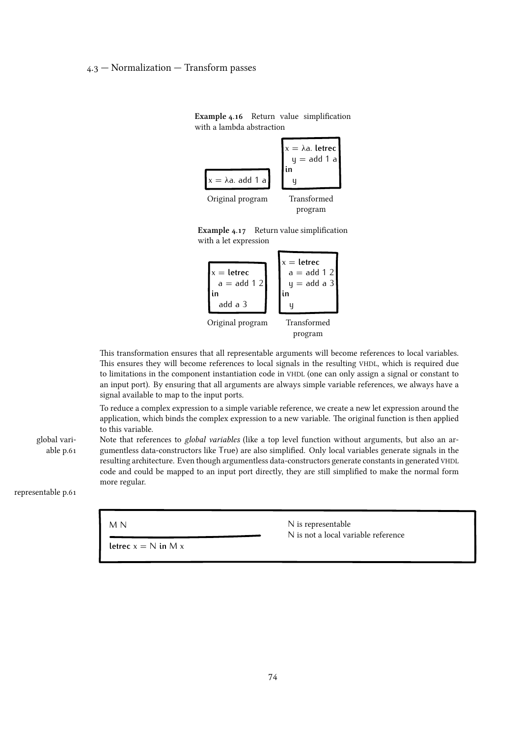

Example 4.16 Return value simplification with a lambda abstraction

Example 4.17 Return value simplification with a let expression



This transformation ensures that all representable arguments will become references to local variables. This ensures they will become references to local signals in the resulting VHDL, which is required due to limitations in the component instantiation code in VHDL (one can only assign a signal or constant to an input port). By ensuring that all arguments are always simple variable references, we always have a signal available to map to the input ports.

To reduce a complex expression to a simple variable reference, we create a new let expression around the application, which binds the complex expression to a new variable. The original function is then applied to this variable.

[global vari](#page-60-0)[able p.61](#page-60-0) Note that references to *global variables* (like a top level function without arguments, but also an argumentless data-constructors like True) are also simplified. Only local variables generate signals in the resulting architecture. Even though argumentless data-constructors generate constants in generated VHDL code and could be mapped to an input port directly, they are still simplified to make the normal form more regular.

[representable p.61](#page-60-0)

M N

**letrec**  $x = N$  **in** M x

N is representable N is not a local variable reference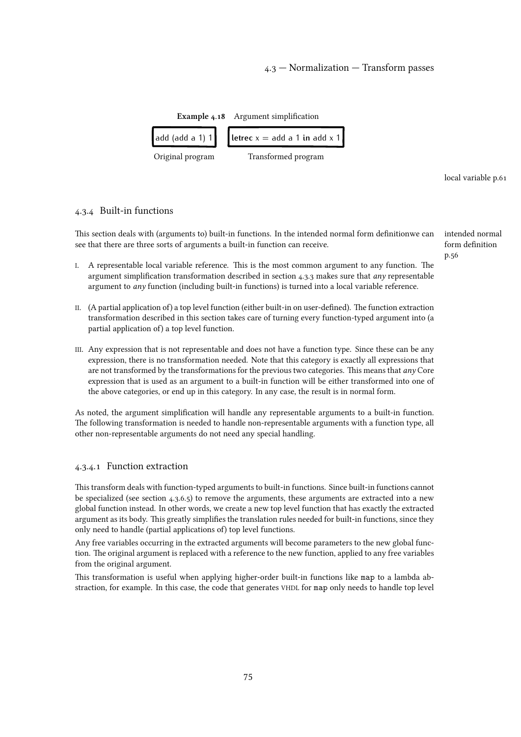<span id="page-74-0"></span>

[local variable p.61](#page-60-0)

#### 4.3.4 Built-in functions

This section deals with (arguments to) built-in functions. In the intended normal form definitionwe can see that there are three sorts of arguments a built-in function can receive.

- I. A representable local variable reference. This is the most common argument to any function. The argument simplification transformation described in [section 4.3.3](#page-72-0) makes sure that any representable argument to any function (including built-in functions) is turned into a local variable reference.
- II. (A partial application of) a top level function (either built-in on user-defined). The function extraction transformation described in this section takes care of turning every function-typed argument into (a partial application of) a top level function.
- III. Any expression that is not representable and does not have a function type. Since these can be any expression, there is no transformation needed. Note that this category is exactly all expressions that are not transformed by the transformations for the previous two categories. This means that  $any$  Core expression that is used as an argument to a built-in function will be either transformed into one of the above categories, or end up in this category. In any case, the result is in normal form.

As noted, the argument simplification will handle any representable arguments to a built-in function. The following transformation is needed to handle non-representable arguments with a function type, all other non-representable arguments do not need any special handling.

#### 4.3.4.1 Function extraction

This transform deals with function-typed arguments to built-in functions. Since built-in functions cannot be specialized (see [section 4.3.6.5\) to remove the arguments, these arguments are extracted into a new](#page-85-0) global function instead. In other words, we create a new top level function that has exactly the extracted argument as its body. This greatly simplifies the translation rules needed for built-in functions, since they only need to handle (partial applications of) top level functions.

Any free variables occurring in the extracted arguments will become parameters to the new global function. The original argument is replaced with a reference to the new function, applied to any free variables from the original argument.

This transformation is useful when applying higher-order built-in functions like map to a lambda abstraction, for example. In this case, the code that generates VHDL for map only needs to handle top level [intended normal](#page-55-0) [form definition](#page-55-0) [p.56](#page-55-0)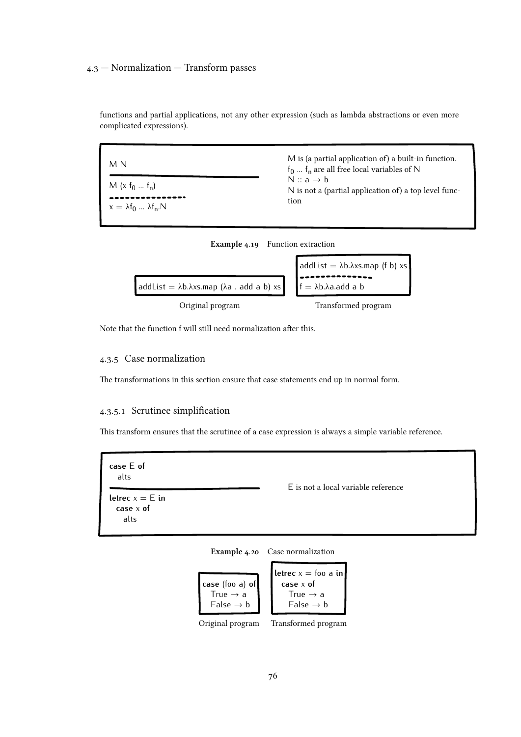functions and partial applications, not any other expression (such as lambda abstractions or even more complicated expressions).

| M N                                                 | M is (a partial application of) a built-in function.<br>$f_0$ $f_n$ are all free local variables of N<br>$N : a \rightarrow b$<br>N is not a (partial application of) a top level func-<br>tion |
|-----------------------------------------------------|-------------------------------------------------------------------------------------------------------------------------------------------------------------------------------------------------|
| $M(x f_0  f_n)$<br>$x = \lambda f_0  \lambda f_n N$ |                                                                                                                                                                                                 |





Note that the function f will still need normalization after this.

# 4.3.5 Case normalization

The transformations in this section ensure that case statements end up in normal form.

# 4.3.5.1 Scrutinee simplification

This transform ensures that the scrutinee of a case expression is always a simple variable reference.

**case** E **of** alts **letrec**  $x = E$  **in case** x **of** alts E is not a local variable reference

Example 4.20 Case normalization



Original program Transformed program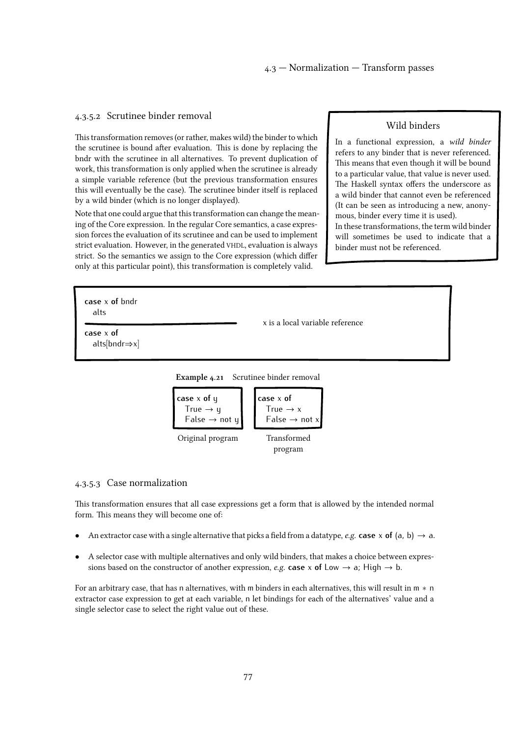#### <span id="page-76-0"></span>4.3.5.2 Scrutinee binder removal

This transformation removes (or rather, makes wild) the binder to which the scrutinee is bound after evaluation. This is done by replacing the bndr with the scrutinee in all alternatives. To prevent duplication of work, this transformation is only applied when the scrutinee is already a simple variable reference (but the previous transformation ensures this will eventually be the case). The scrutinee binder itself is replaced by a wild binder (which is no longer displayed).

Note that one could argue that this transformation can change the meaning of the Core expression. In the regular Core semantics, a case expression forces the evaluation of its scrutinee and can be used to implement strict evaluation. However, in the generated VHDL, evaluation is always strict. So the semantics we assign to the Core expression (which differ only at this particular point), this transformation is completely valid.

#### Wild binders

In a functional expression, a wild binder refers to any binder that is never referenced. This means that even though it will be bound to a particular value, that value is never used. The Haskell syntax offers the underscore as a wild binder that cannot even be referenced (It can be seen as introducing a new, anonymous, binder every time it is used).

In these transformations, the term wild binder will sometimes be used to indicate that a binder must not be referenced.

| case $x$ of bndr<br>alts                  | x is a local variable reference |
|-------------------------------------------|---------------------------------|
| case $x$ of<br>$alts[bndr \Rightarrow x]$ |                                 |

Example 4.21 Scrutinee binder removal



#### 4.3.5.3 Case normalization

This transformation ensures that all case expressions get a form that is allowed by the intended normal form. This means they will become one of:

- An extractor case with a single alternative that picks a field from a datatype, *e.g.* **case**  $\times$  **of** (a, b)  $\rightarrow$  a.
- *•* A selector case with multiple alternatives and only wild binders, that makes a choice between expressions based on the constructor of another expression, *e.g.* **case** x **of** Low  $\rightarrow$  a; High  $\rightarrow$  b.

For an arbitrary case, that has n alternatives, with m binders in each alternatives, this will result in m *∗* n extractor case expression to get at each variable, n let bindings for each of the alternatives' value and a single selector case to select the right value out of these.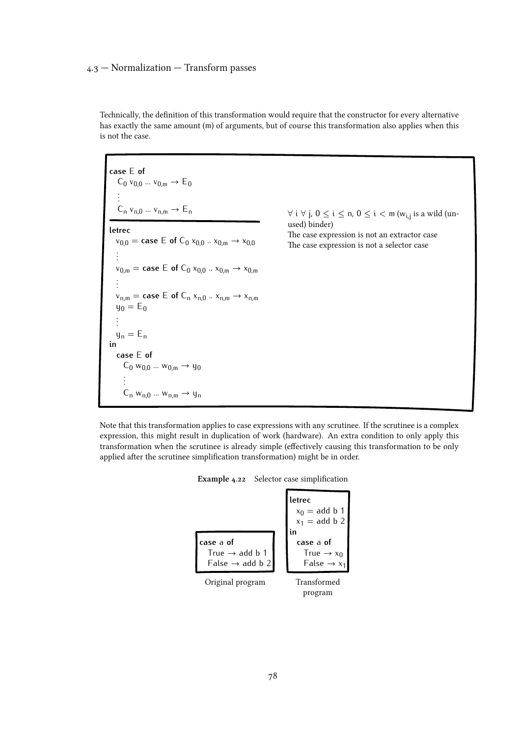Technically, the definition of this transformation would require that the constructor for every alternative has exactly the same amount (m) of arguments, but of course this transformation also applies when this is not the case.

```
case E of
     C_0 v_{0,0} ... v_{0,m} \rightarrow E_0.
     .
     .
     C_n v_{n,0} ... v_{n,m} \rightarrow E_nletrec
    v_{0,0} = \text{case} \varepsilon \in \text{of } C_0 x_{0,0} ... x_{0,m} \to x_{0,0}.
    .
    .
    v_{0,m} = \textbf{case} \mathsf{E} of C_0 x_{0,0} ... x_{0,m} \rightarrow x_{0,m}.
.
    .
    v_{n,m} = \text{case} \, \mathsf{E} \, \text{of} \, \mathsf{C}_n \, x_{n,0} \, ... \, x_{n,m} \to x_{n,m}y_0 = E_0.
    .
    .
   y_n = E_nin
   case E of
        C_0 w<sub>0,0</sub> ... w<sub>0,m</sub> \rightarrow y<sub>0</sub>
        .
        .
.
        C_n w_{n,0} ... w_{n,m} \rightarrow y_n
```
*∀* i *∀* j, 0 ≤ i ≤ n, 0 ≤ i < m (wi,j is a wild (unused) binder) The case expression is not an extractor case The case expression is not a selector case

Note that this transformation applies to case expressions with any scrutinee. If the scrutinee is a complex expression, this might result in duplication of work (hardware). An extra condition to only apply this transformation when the scrutinee is already simple (effectively causing this transformation to be only applied after the scrutinee simplification transformation) might be in order.

| Example 4.22 |  | Selector case simplification |
|--------------|--|------------------------------|
|--------------|--|------------------------------|

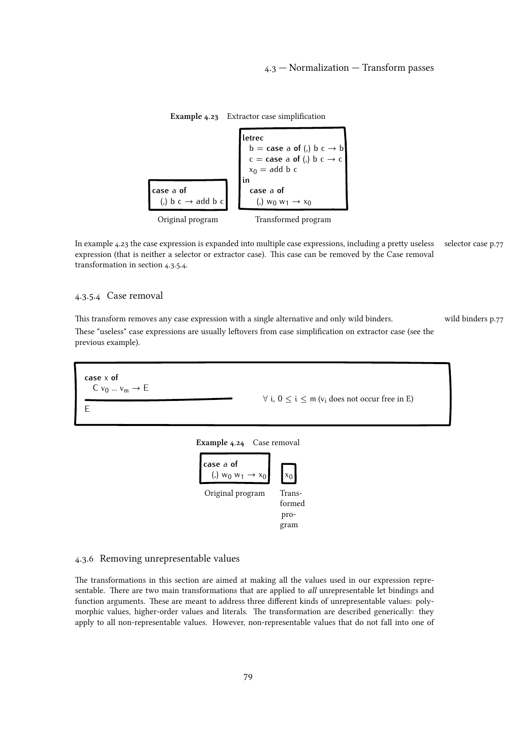<span id="page-78-0"></span>

Example 4.23 Extractor case simplification

In example 4.23 the case expression is expanded into multiple case expressions, including a pretty useless [selector case p.77](#page-76-0) expression (that is neither a selector or extractor case). This case can be removed by the Case removal transformation in section 4.3.5.4.

#### 4.3.5.4 Case removal

This transform removes any case expression with a single alternative and only wild binders. Wild binders p.77 These "useless" case expressions are usually leftovers from case simplification on extractor case (see the previous example).



formed program

#### 4.3.6 Removing unrepresentable values

The transformations in this section are aimed at making all the values used in our expression representable. There are two main transformations that are applied to *all* unrepresentable let bindings and function arguments. These are meant to address three different kinds of unrepresentable values: polymorphic values, higher-order values and literals. The transformation are described generically: they apply to all non-representable values. However, non-representable values that do not fall into one of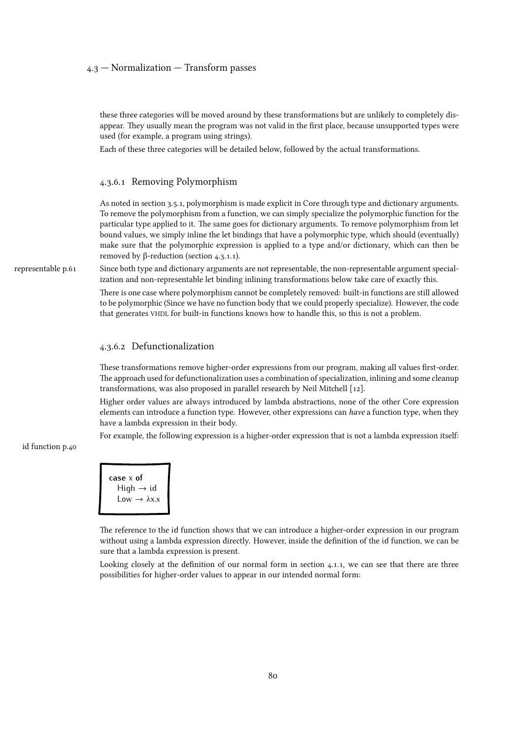these three categories will be moved around by these transformations but are unlikely to completely disappear. They usually mean the program was not valid in the first place, because unsupported types were used (for example, a program using strings).

Each of these three categories will be detailed below, followed by the actual transformations.

#### 4.3.6.1 Removing Polymorphism

As notedin [section 3.5.1, polymorphism is made explicit in Core through type and dictionary arguments.](#page-38-0) To remove the polymorphism from a function, we can simply specialize the polymorphic function for the particular type applied to it. The same goes for dictionary arguments. To remove polymorphism from let bound values, we simply inline the let bindings that have a polymorphic type, which should (eventually) make sure that the polymorphic expression is applied to a type and/or dictionary, which can then be removed by β-reduction [\(section 4.3.1.1\).](#page-63-0)

[representable p.61](#page-60-0) Since both type and dictionary arguments are not representable, the non-representable argument specialization and non-representable let binding inlining transformations below take care of exactly this.

> There is one case where polymorphism cannot be completely removed: built-in functions are still allowed to be polymorphic (Since we have no function body that we could properly specialize). However, the code that generates VHDL for built-in functions knows how to handle this, so this is not a problem.

#### 4.3.6.2 Defunctionalization

These transformations remove higher-order expressions from our program, making all values first-order. The approach used for defunctionalization uses a combination of specialization, inlining and some cleanup transformations, was also proposed in parallel research by Neil Mitchell [\[12\].](#page-108-0)

Higher order values are always introduced by lambda abstractions, none of the other Core expression elements can introduce a function type. However, other expressions can have a function type, when they have a lambda expression in their body.

For example, the following expression is a higher-order expression that is not a lambda expression itself:

[id function p.40](#page-39-0)



The reference to the id function shows that we can introduce a higher-order expression in our program without using a lambda expression directly. However, inside the definition of the id function, we can be sure that a lambda expression is present.

Looking closely at the definition of our normal form in [section 4.1.1, we can see that there are three](#page-55-0) possibilities for higher-order values to appear in our intended normal form: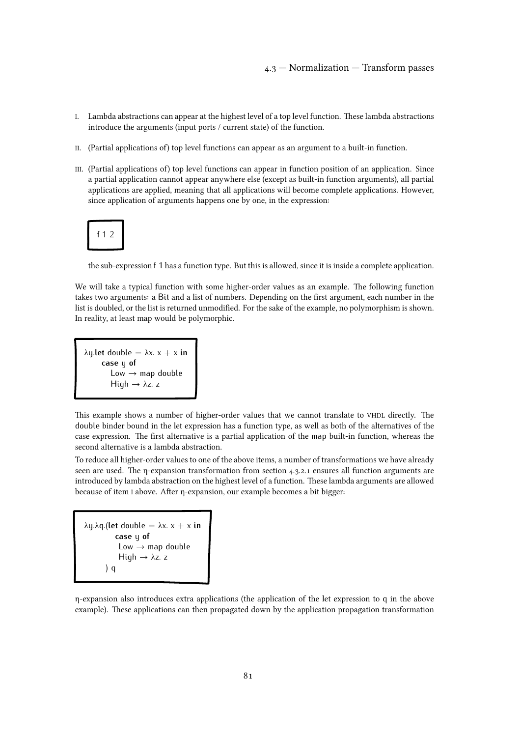- I. Lambda abstractions can appear at the highest level of a top level function. These lambda abstractions introduce the arguments (input ports / current state) of the function.
- II. (Partial applications of) top level functions can appear as an argument to a built-in function.
- III. (Partial applications of) top level functions can appear in function position of an application. Since a partial application cannot appear anywhere else (except as built-in function arguments), all partial applications are applied, meaning that all applications will become complete applications. However, since application of arguments happens one by one, in the expression:

$$
f12
$$

the sub-expression f 1 has a function type. But this is allowed, since it is inside a complete application.

We will take a typical function with some higher-order values as an example. The following function takes two arguments: a Bit and a list of numbers. Depending on the first argument, each number in the list is doubled, or the list is returned unmodified. For the sake of the example, no polymorphism is shown. In reality, at least map would be polymorphic.

```
\lambday.let double = \lambdax. x + x in
      case y of
          Low \rightarrow map doubleHigh \rightarrow \lambda z. z
```
This example shows a number of higher-order values that we cannot translate to VHDL directly. The double binder bound in the let expression has a function type, as well as both of the alternatives of the case expression. The first alternative is a partial application of the map built-in function, whereas the second alternative is a lambda abstraction.

To reduce all higher-order values to one of the above items, a number of transformations we have already seen are used. The η-expansion transformation from [section 4.3.2.1](#page-68-0) ensures all function arguments are introduced by lambda abstraction on the highest level of a function. These lambda arguments are allowed because of item I above. After η-expansion, our example becomes a bit bigger:

 $\lambda$ u.λa.(**let** double =  $\lambda$ x. x + x **in case** y **of**  $Low \rightarrow map double$ High  $\rightarrow \lambda z$ . z ) q

η-expansion also introduces extra applications (the application of the let expression to q in the above example). These applications can then propagated down by the application propagation transformation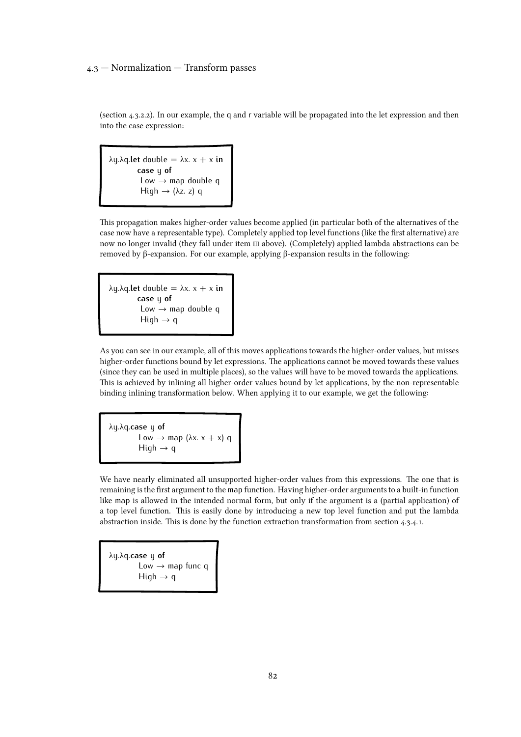(section 4.3.2.2). In our example, the q and r [variable will be propagated into the let expression and then](#page-68-0) into the case expression:

λy.λq.**let** double = λx. x + x **in case** y **of** Low  $\rightarrow$  map double q High  $\rightarrow$  ( $\lambda$ z. z) q

This propagation makes higher-order values become applied (in particular both of the alternatives of the case now have a representable type). Completely applied top level functions (like the first alternative) are now no longer invalid (they fall under item III above). (Completely) applied lambda abstractions can be removed by β-expansion. For our example, applying β-expansion results in the following:

λy.λq.**let** double = λx. x + x **in case** y **of** Low  $\rightarrow$  map double q High  $\rightarrow$  q

As you can see in our example, all of this moves applications towards the higher-order values, but misses higher-order functions bound by let expressions. The applications cannot be moved towards these values (since they can be used in multiple places), so the values will have to be moved towards the applications. This is achieved by inlining all higher-order values bound by let applications, by the non-representable binding inlining transformation below. When applying it to our example, we get the following:

λy.λq.**case** y **of** Low  $\rightarrow$  map ( $\lambda x. x + x$ ) q High  $\rightarrow$  q

We have nearly eliminated all unsupported higher-order values from this expressions. The one that is remaining is the first argument to the map function. Having higher-order arguments to a built-in function like map is allowed in the intended normal form, but only if the argument is a (partial application) of a top level function. This is easily done by introducing a new top level function and put the lambda abstraction inside. This is done by the function extraction transformation from [section 4.3.4.1.](#page-74-0)

λy.λq.**case** y **of** Low → map func q High  $\rightarrow$  q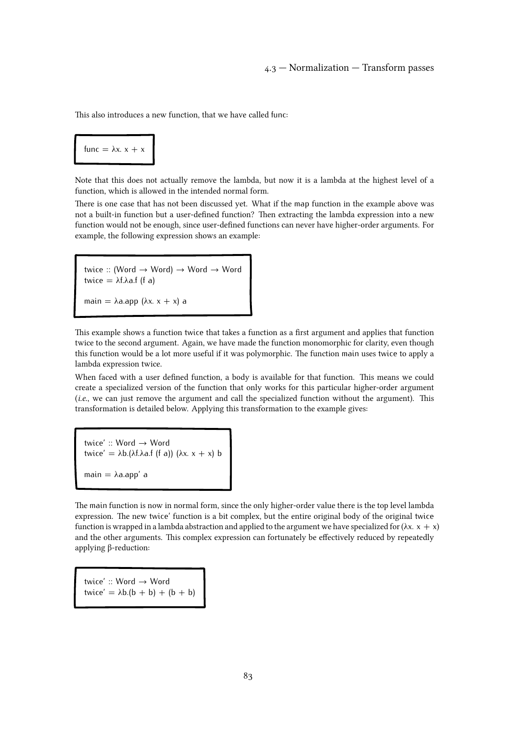This also introduces a new function, that we have called func:

# func =  $λx. x + x$

Note that this does not actually remove the lambda, but now it is a lambda at the highest level of a function, which is allowed in the intended normal form.

There is one case that has not been discussed yet. What if the map function in the example above was not a built-in function but a user-defined function? Then extracting the lambda expression into a new function would not be enough, since user-defined functions can never have higher-order arguments. For example, the following expression shows an example:

twice :: (Word → Word) → Word → Word twice  $= \lambda f \cdot \lambda a.f$  (f a) main =  $\lambda$ a.app ( $\lambda$ x. x + x) a

This example shows a function twice that takes a function as a first argument and applies that function twice to the second argument. Again, we have made the function monomorphic for clarity, even though this function would be a lot more useful if it was polymorphic. The function main uses twice to apply a lambda expression twice.

When faced with a user defined function, a body is available for that function. This means we could create a specialized version of the function that only works for this particular higher-order argument (i.e., we can just remove the argument and call the specialized function without the argument). This transformation is detailed below. Applying this transformation to the example gives:

twice' :: Word → Word twice' =  $\lambda$ b.( $\lambda$ f. $\lambda$ a.f (f a)) ( $\lambda$ x. x + x) b main  $= \lambda$ a.app' a

The main function is now in normal form, since the only higher-order value there is the top level lambda expression. The new twice' function is a bit complex, but the entire original body of the original twice function is wrapped in a lambda abstraction and applied to the argument we have specialized for  $(\lambda x. x + x)$ and the other arguments. This complex expression can fortunately be effectively reduced by repeatedly applying β-reduction:

twice' :: Word → Word twice' =  $\lambda b.(b + b) + (b + b)$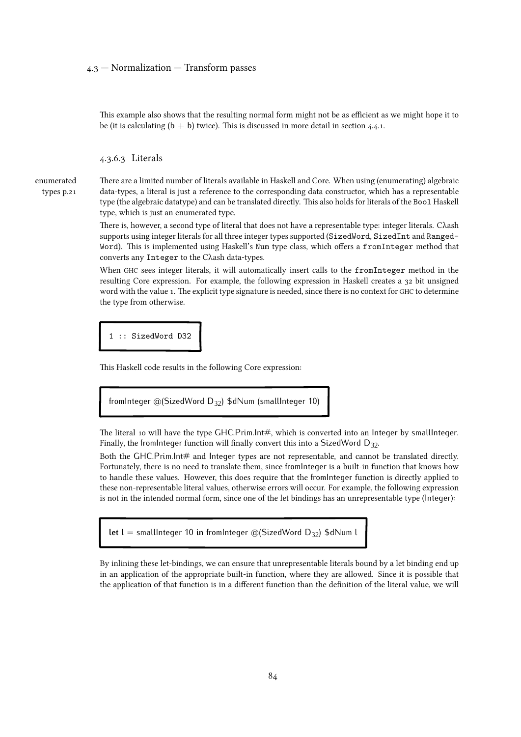This example also shows that the resulting normal form might not be as efficient as we might hope it to be (it is calculating  $(b + b)$  twice). This is discussed in more detail in [section 4.4.1.](#page-86-0)

4.3.6.3 Literals

[enumerated](#page-20-0) [types p.21](#page-20-0) There are a limited number of literals available in Haskell and Core. When using (enumerating) algebraic data-types, a literal is just a reference to the corresponding data constructor, which has a representable type (the algebraic datatype) and can be translated directly. This also holds for literals of the Bool Haskell type, which is just an enumerated type.

There is, however, a second type of literal that does not have a representable type: integer literals. Cλash supports using integer literals for all three integer types supported (SizedWord, SizedInt and Ranged-Word). This is implemented using Haskell's Num type class, which offers a fromInteger method that converts any Integer to the Cλash data-types.

When GHC sees integer literals, it will automatically insert calls to the fromInteger method in the resulting Core expression. For example, the following expression in Haskell creates a 32 bit unsigned word with the value 1. The explicit type signature is needed, since there is no context for GHC to determine the type from otherwise.

1 :: SizedWord D32

This Haskell code results in the following Core expression:

```
fromInteger @(SizedWord D32) $dNum (smallInteger 10)
```
The literal 10 will have the type GHC.Prim.Int#, which is converted into an Integer by smallInteger. Finally, the from Integer function will finally convert this into a SizedWord  $D_{32}$ .

Both the GHC.Prim.Int# and Integer types are not representable, and cannot be translated directly. Fortunately, there is no need to translate them, since fromInteger is a built-in function that knows how to handle these values. However, this does require that the fromInteger function is directly applied to these non-representable literal values, otherwise errors will occur. For example, the following expression is not in the intended normal form, since one of the let bindings has an unrepresentable type (Integer):

**let** l = smallInteger 10 **in** fromInteger @(SizedWord D<sub>32</sub>) \$dNum l

By inlining these let-bindings, we can ensure that unrepresentable literals bound by a let binding end up in an application of the appropriate built-in function, where they are allowed. Since it is possible that the application of that function is in a different function than the definition of the literal value, we will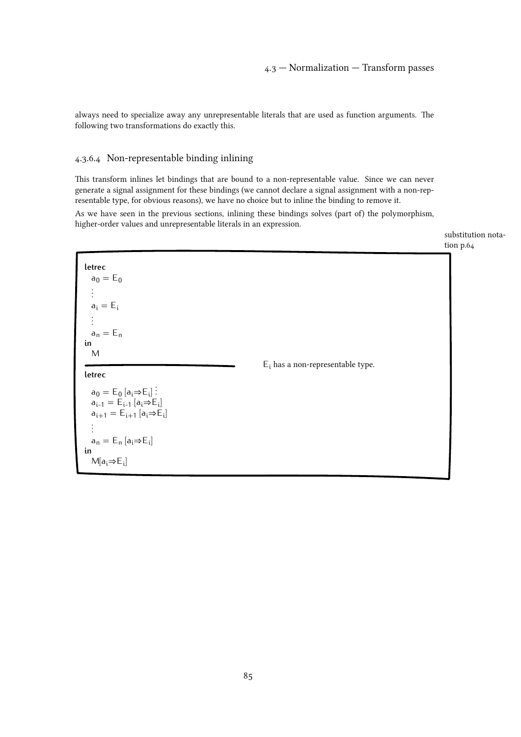<span id="page-84-0"></span>always need to specialize away any unrepresentable literals that are used as function arguments. The following two transformations do exactly this.

# 4.3.6.4 Non-representable binding inlining

This transform inlines let bindings that are bound to a non-representable value. Since we can never generate a signal assignment for these bindings (we cannot declare a signal assignment with a non-representable type, for obvious reasons), we have no choice but to inline the binding to remove it.

As we have seen in the previous sections, inlining these bindings solves (part of) the polymorphism, higher-order values and unrepresentable literals in an expression.

[substitution nota-](#page-63-0)

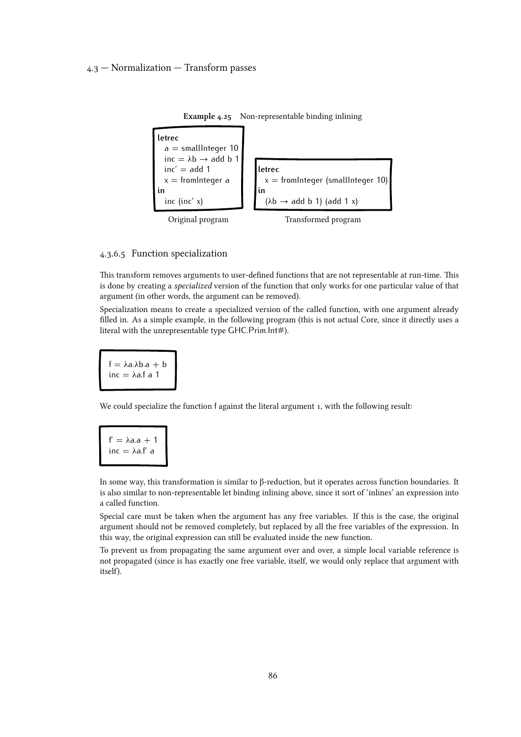<span id="page-85-0"></span>

Example 4.25 Non-representable binding inlining

#### 4.3.6.5 Function specialization

This transform removes arguments to user-defined functions that are not representable at run-time. This is done by creating a specialized version of the function that only works for one particular value of that argument (in other words, the argument can be removed).

Specialization means to create a specialized version of the called function, with one argument already filled in. As a simple example, in the following program (this is not actual Core, since it directly uses a literal with the unrepresentable type GHC.Prim.Int#).

 $f = \lambda a \cdot \lambda b \cdot a + b$ inc =  $\lambda$ a.f a 1

We could specialize the function f against the literal argument 1, with the following result:

$$
f' = \lambda a \cdot a + 1
$$
  
inc =  $\lambda a \cdot f'$  a

In some way, this transformation is similar to β-reduction, but it operates across function boundaries. It is also similar to non-representable let binding inlining above, since it sort of 'inlines' an expression into a called function.

Special care must be taken when the argument has any free variables. If this is the case, the original argument should not be removed completely, but replaced by all the free variables of the expression. In this way, the original expression can still be evaluated inside the new function.

To prevent us from propagating the same argument over and over, a simple local variable reference is not propagated (since is has exactly one free variable, itself, we would only replace that argument with itself).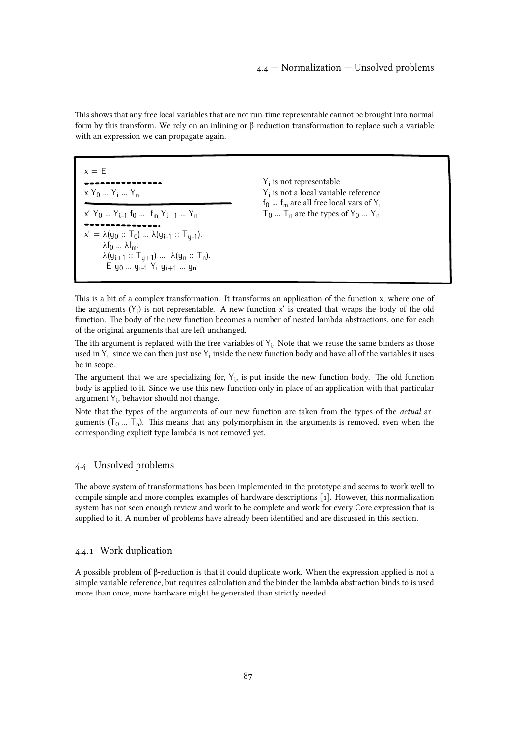<span id="page-86-0"></span>This shows that any free local variables that are not run-time representable cannot be brought into normal form by this transform. We rely on an inlining or β-reduction transformation to replace such a variable with an expression we can propagate again.

| $x = F$<br>$X Y_0  Y_i  Y_n$                                                                                                      | $Y_i$ is not representable<br>$Y_i$ is not a local variable reference<br>$f_0$ $f_m$ are all free local vars of $Y_i$<br>$T_0$ $T_n$ are the types of $Y_0$ $Y_n$ |  |
|-----------------------------------------------------------------------------------------------------------------------------------|-------------------------------------------------------------------------------------------------------------------------------------------------------------------|--|
| $X'$ $Y_0$ $Y_{i-1}$ $f_0$ $f_m$ $Y_{i+1}$ $Y_n$<br>$x' = \lambda(y_0 :: T_0)  \lambda(y_{i-1} :: T_{u-1}).$                      |                                                                                                                                                                   |  |
| $\lambda f_0$ $\lambda f_m$ .<br>$\lambda(y_{i+1} :: T_{i+1})  \lambda(y_n :: T_n).$<br>$E_{ij0}$ $y_{i-1}$ $Y_i$ $y_{i+1}$ $y_n$ |                                                                                                                                                                   |  |

This is a bit of a complex transformation. It transforms an application of the function x, where one of the arguments  $(Y_i)$  is not representable. A new function x' is created that wraps the body of the old function. The body of the new function becomes a number of nested lambda abstractions, one for each of the original arguments that are left unchanged.

The ith argument is replaced with the free variables of  $Y_i$ . Note that we reuse the same binders as those used in  $Y_i$ , since we can then just use  $Y_i$  inside the new function body and have all of the variables it uses be in scope.

The argument that we are specializing for,  $Y_i$ , is put inside the new function body. The old function body is applied to it. Since we use this new function only in place of an application with that particular argument Y<sub>i</sub>, behavior should not change.

Note that the types of the arguments of our new function are taken from the types of the actual arguments  $(T_0 ... T_n)$ . This means that any polymorphism in the arguments is removed, even when the corresponding explicit type lambda is not removed yet.

# 4.4 Unsolved problems

The above system of transformations has been implemented in the prototype and seems to work well to compile simple and more complex examples of hardware descriptions [\[1\]. However, this normalization](#page-108-0) system has not seen enough review and work to be complete and work for every Core expression that is supplied to it. A number of problems have already been identified and are discussed in this section.

# 4.4.1 Work duplication

A possible problem of β-reduction is that it could duplicate work. When the expression applied is not a simple variable reference, but requires calculation and the binder the lambda abstraction binds to is used more than once, more hardware might be generated than strictly needed.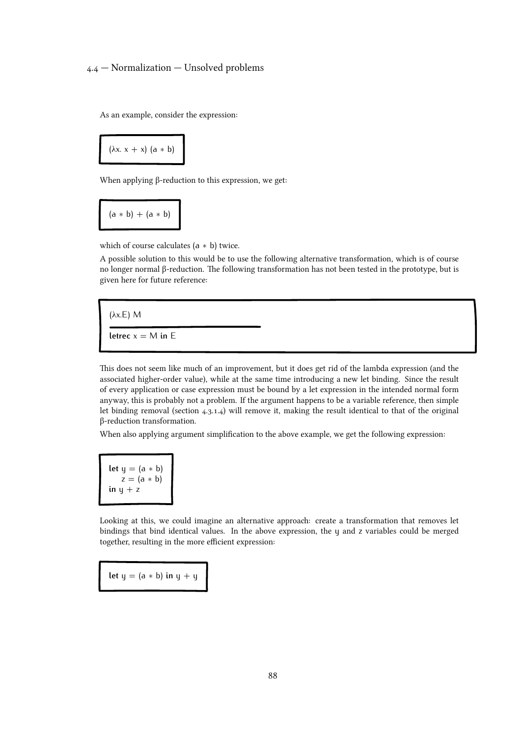# 4.4 — Normalization — Unsolved problems

As an example, consider the expression:

$$
(\lambda x.\; x + x) \; (a * b)
$$

When applying β-reduction to this expression, we get:

$$
(a * b) + (a * b)
$$

which of course calculates (a *∗* b) twice.

A possible solution to this would be to use the following alternative transformation, which is of course no longer normal β-reduction. The following transformation has not been tested in the prototype, but is given here for future reference:

(λx.E) M **letrec**  $x = M$  **in** E

This does not seem like much of an improvement, but it does get rid of the lambda expression (and the associated higher-order value), while at the same time introducing a new let binding. Since the result of every application or case expression must be bound by a let expression in the intended normal form anyway, this is probably not a problem. If the argument happens to be a variable reference, then simple let binding removal([section 4.3.1.4\) will remove it, making the result identical to that of the original](#page-65-0) β-reduction transformation.

When also applying argument simplification to the above example, we get the following expression:

**let**  $y = (a * b)$  $z = (a * b)$  $\mathbf{i}$ **n**  $\mathbf{y} + \mathbf{z}$ 

Looking at this, we could imagine an alternative approach: create a transformation that removes let bindings that bind identical values. In the above expression, the y and z variables could be merged together, resulting in the more efficient expression:

**let**  $y = (a * b)$  **in**  $y + y$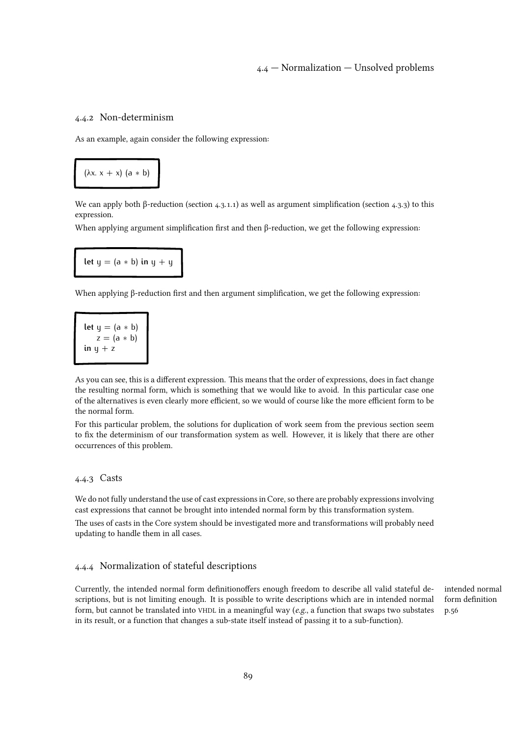# 4.4 — Normalization — Unsolved problems

#### <span id="page-88-0"></span>4.4.2 Non-determinism

As an example, again consider the following expression:

$$
(\lambda x.\; x + x) \; (a * b)
$$

We can apply both β-reduction (section  $4.3.1.1$ ) as well as argument simplification (section  $4.3.3$ ) to this expression.

When applying argument simplification first and then β-reduction, we get the following expression:

**let**  $y = (a * b)$  **in**  $y + y$ 

When applying β-reduction first and then argument simplification, we get the following expression:

let 
$$
y = (a * b)
$$
  
\n $z = (a * b)$   
\nin  $y + z$ 

As you can see, this is a different expression. This means that the order of expressions, does in fact change the resulting normal form, which is something that we would like to avoid. In this particular case one of the alternatives is even clearly more efficient, so we would of course like the more efficient form to be the normal form.

For this particular problem, the solutions for duplication of work seem from the previous section seem to fix the determinism of our transformation system as well. However, it is likely that there are other occurrences of this problem.

# 4.4.3 Casts

We do not fully understand the use of cast expressions in Core, so there are probably expressions involving cast expressions that cannot be brought into intended normal form by this transformation system.

The uses of casts in the Core system should be investigated more and transformations will probably need updating to handle them in all cases.

# 4.4.4 Normalization of stateful descriptions

Currently, the intended normal form definitionoffers enough freedom to describe all valid stateful descriptions, but is not limiting enough. It is possible to write descriptions which are in intended normal form, but cannot be translated into VHDL in a meaningful way ( $e.g.,$  a function that swaps two substates in its result, or a function that changes a sub-state itself instead of passing it to a sub-function).

[intended normal](#page-55-0) [form definition](#page-55-0) [p.56](#page-55-0)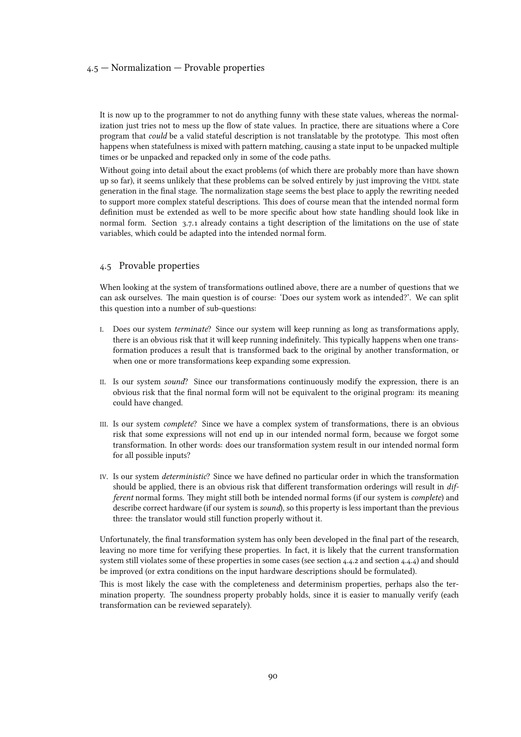#### <span id="page-89-0"></span>4.5 — Normalization — Provable properties

It is now up to the programmer to not do anything funny with these state values, whereas the normalization just tries not to mess up the flow of state values. In practice, there are situations where a Core program that could be a valid stateful description is not translatable by the prototype. This most often happens when statefulness is mixed with pattern matching, causing a state input to be unpacked multiple times or be unpacked and repacked only in some of the code paths.

Without going into detail about the exact problems (of which there are probably more than have shown up so far), it seems unlikely that these problems can be solved entirely by just improving the VHDL state generation in the final stage. The normalization stage seems the best place to apply the rewriting needed to support more complex stateful descriptions. This does of course mean that the intended normal form definition must be extended as well to be more specific about how state handling should look like in normal form. [Section 3.7.1](#page-43-0) already contains a tight description of the limitations on the use of state variables, which could be adapted into the intended normal form.

#### 4.5 Provable properties

When looking at the system of transformations outlined above, there are a number of questions that we can ask ourselves. The main question is of course: 'Does our system work as intended?'. We can split this question into a number of sub-questions:

- I. Does our system terminate? Since our system will keep running as long as transformations apply, there is an obvious risk that it will keep running indefinitely. This typically happens when one transformation produces a result that is transformed back to the original by another transformation, or when one or more transformations keep expanding some expression.
- II. Is our system sound? Since our transformations continuously modify the expression, there is an obvious risk that the final normal form will not be equivalent to the original program: its meaning could have changed.
- III. Is our system complete? Since we have a complex system of transformations, there is an obvious risk that some expressions will not end up in our intended normal form, because we forgot some transformation. In other words: does our transformation system result in our intended normal form for all possible inputs?
- IV. Is our system deterministic? Since we have defined no particular order in which the transformation should be applied, there is an obvious risk that different transformation orderings will result in different normal forms. They might still both be intended normal forms (if our system is *complete*) and describe correct hardware (if our system is sound), so this property is less important than the previous three: the translator would still function properly without it.

Unfortunately, the final transformation system has only been developed in the final part of the research, leaving no more time for verifying these properties. In fact, it is likely that the current transformation system still violates some of these properties in some cases (see [section 4.4.2](#page-88-0) and [section 4.4.4\) and should](#page-88-0) be improved (or extra conditions on the input hardware descriptions should be formulated).

This is most likely the case with the completeness and determinism properties, perhaps also the termination property. The soundness property probably holds, since it is easier to manually verify (each transformation can be reviewed separately).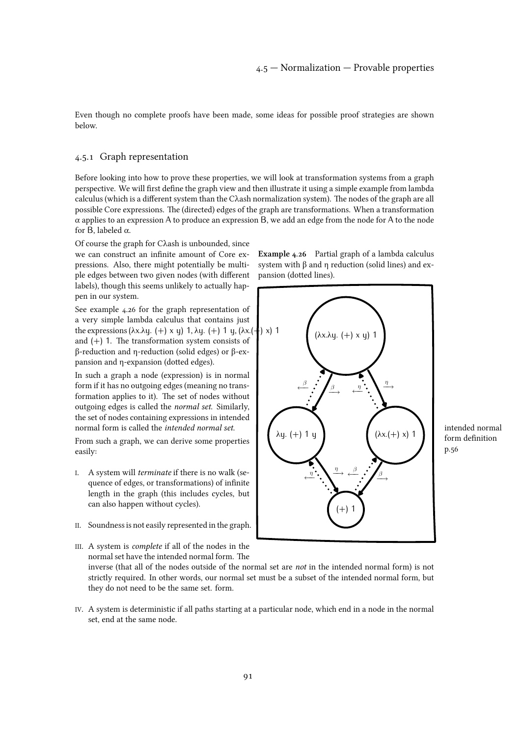<span id="page-90-0"></span>Even though no complete proofs have been made, some ideas for possible proof strategies are shown below.

#### 4.5.1 Graph representation

Before looking into how to prove these properties, we will look at transformation systems from a graph perspective. We will first define the graph view and then illustrate it using a simple example from lambda calculus (which is a different system than the Cλash normalization system). The nodes of the graph are all possible Core expressions. The (directed) edges of the graph are transformations. When a transformation  $\alpha$  applies to an expression A to produce an expression B, we add an edge from the node for A to the node for B, labeled  $\alpha$ .

Of course the graph for Cλash is unbounded, since we can construct an infinite amount of Core expressions. Also, there might potentially be multiple edges between two given nodes (with different labels), though this seems unlikely to actually happen in our system.

See example 4.26 for the graph representation of a very simple lambda calculus that contains just the expressions ( $\lambda x.\lambda y. (+) x y$ ) 1,  $\lambda y. (+) 1 y, (\lambda x. (+) x) 1$ and  $(+)$  1. The transformation system consists of β-reduction and η-reduction (solid edges) or β-expansion and η-expansion (dotted edges).

In such a graph a node (expression) is in normal form if it has no outgoing edges (meaning no transformation applies to it). The set of nodes without outgoing edges is called the normal set. Similarly, the set of nodes containing expressions in intended normal form is called the intended normal set.

From such a graph, we can derive some properties easily:

- I. A system will terminate if there is no walk (sequence of edges, or transformations) of infinite length in the graph (this includes cycles, but can also happen without cycles).
- II. Soundness is not easily represented in the graph.

III. A system is complete if all of the nodes in the

normal set have the intended normal form. The inverse (that all of the nodes outside of the normal set are not in the intended normal form) is not strictly required. In other words, our normal set must be a subset of the intended normal form, but they do not need to be the same set. form.

IV. A system is deterministic if all paths starting at a particular node, which end in a node in the normal set, end at the same node.

Example 4.26 Partial graph of a lambda calculus system with β and η reduction (solid lines) and expansion (dotted lines).



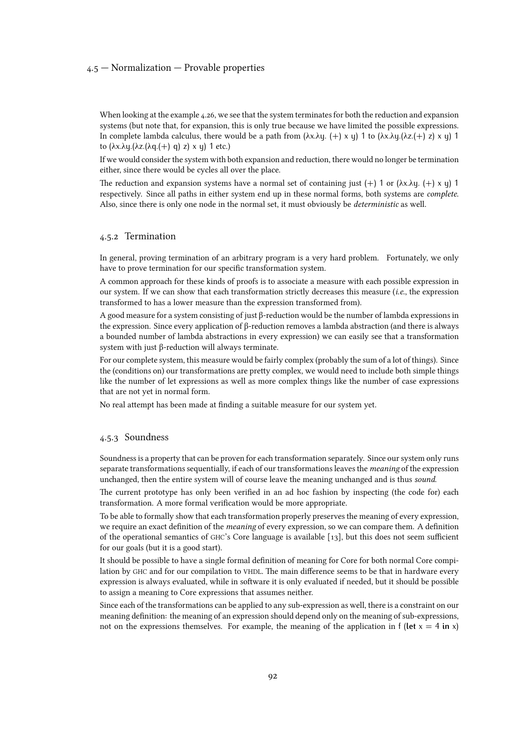#### 4.5 — Normalization — Provable properties

When looking at the [example 4.26, we see that the system terminates for both the reduction and expansion](#page-90-0) systems (but note that, for expansion, this is only true because we have limited the possible expressions. In complete lambda calculus, there would be a path from  $(λxλy. (+) x y) 1$  to  $(λxλy.(λz.(+) z) x y) 1$ to (λx.λy.(λz.(λq.(+) q) z) x y) 1 etc.)

If we would consider the system with both expansion and reduction, there would no longer be termination either, since there would be cycles all over the place.

The reduction and expansion systems have a normal set of containing just  $(+)$  1 or  $(\lambda x.\lambda y. (+) \times y)$  1 respectively. Since all paths in either system end up in these normal forms, both systems are complete. Also, since there is only one node in the normal set, it must obviously be deterministic as well.

#### 4.5.2 Termination

In general, proving termination of an arbitrary program is a very hard problem. Fortunately, we only have to prove termination for our specific transformation system.

A common approach for these kinds of proofs is to associate a measure with each possible expression in our system. If we can show that each transformation strictly decreases this measure (*i.e.*, the expression transformed to has a lower measure than the expression transformed from).

A good measure for a system consisting of just β-reduction would be the number of lambda expressions in the expression. Since every application of β-reduction removes a lambda abstraction (and there is always a bounded number of lambda abstractions in every expression) we can easily see that a transformation system with just β-reduction will always terminate.

For our complete system, this measure would be fairly complex (probably the sum of a lot of things). Since the (conditions on) our transformations are pretty complex, we would need to include both simple things like the number of let expressions as well as more complex things like the number of case expressions that are not yet in normal form.

No real attempt has been made at finding a suitable measure for our system yet.

#### 4.5.3 Soundness

Soundness is a property that can be proven for each transformation separately. Since our system only runs separate transformations sequentially, if each of our transformations leaves the *meaning* of the expression unchanged, then the entire system will of course leave the meaning unchanged and is thus sound.

The current prototype has only been verified in an ad hoc fashion by inspecting (the code for) each transformation. A more formal verification would be more appropriate.

To be able to formally show that each transformation properly preserves the meaning of every expression, we require an exact definition of the meaning of every expression, so we can compare them. A definition of the operational semantics of GHC's Core language is available[[13\], but this does not seem sufficient](#page-108-0) for our goals (but it is a good start).

It should be possible to have a single formal definition of meaning for Core for both normal Core compilation by GHC and for our compilation to VHDL. The main difference seems to be that in hardware every expression is always evaluated, while in software it is only evaluated if needed, but it should be possible to assign a meaning to Core expressions that assumes neither.

Since each of the transformations can be applied to any sub-expression as well, there is a constraint on our meaning definition: the meaning of an expression should depend only on the meaning of sub-expressions, not on the expressions themselves. For example, the meaning of the application in f (let  $x = 4$  in x)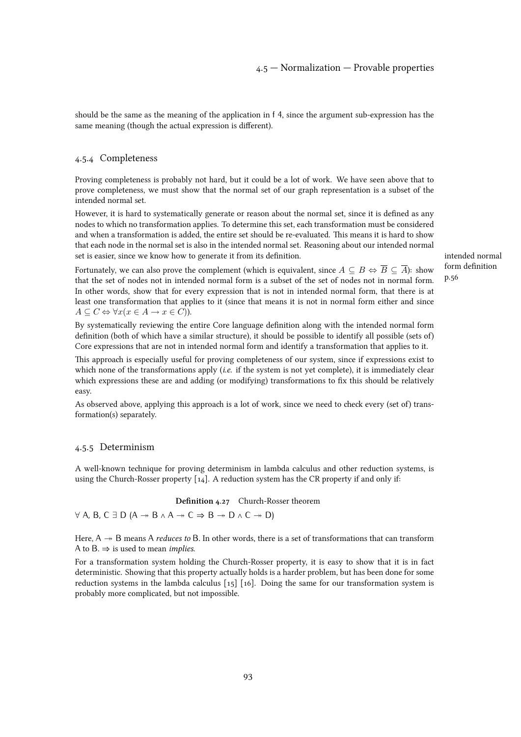should be the same as the meaning of the application in f 4, since the argument sub-expression has the same meaning (though the actual expression is different).

# 4.5.4 Completeness

Proving completeness is probably not hard, but it could be a lot of work. We have seen above that to prove completeness, we must show that the normal set of our graph representation is a subset of the intended normal set.

However, it is hard to systematically generate or reason about the normal set, since it is defined as any nodes to which no transformation applies. To determine this set, each transformation must be considered and when a transformation is added, the entire set should be re-evaluated. This means it is hard to show that each node in the normal set is also in the intended normal set. Reasoning about our intended normal set is easier, since we know how to generate it from its definition.

[intended normal](#page-55-0) [form definition](#page-55-0) [p.56](#page-55-0)

Fortunately, we can also prove the complement (which is equivalent, since  $A \subseteq B \Leftrightarrow \overline{B} \subseteq \overline{A}$ ): show that the set of nodes not in intended normal form is a subset of the set of nodes not in normal form. In other words, show that for every expression that is not in intended normal form, that there is at least one transformation that applies to it (since that means it is not in normal form either and since  $A \subseteq C \Leftrightarrow \forall x (x \in A \rightarrow x \in C)$ ).

By systematically reviewing the entire Core language definition along with the intended normal form definition (both of which have a similar structure), it should be possible to identify all possible (sets of) Core expressions that are not in intended normal form and identify a transformation that applies to it.

This approach is especially useful for proving completeness of our system, since if expressions exist to which none of the transformations apply (i.e. if the system is not yet complete), it is immediately clear which expressions these are and adding (or modifying) transformations to fix this should be relatively easy.

As observed above, applying this approach is a lot of work, since we need to check every (set of) transformation(s) separately.

#### 4.5.5 Determinism

A well-known technique for proving determinism in lambda calculus and other reduction systems, is using the Church-Rosser property  $[14]$ . A reduction system has the CR property if and only if:

#### Definition 4.27 Church-Rosser theorem

*∀* A, B, C ∃ D (A → B ∧ A → C  $\Rightarrow$  B → D ∧ C → D)

Here,  $A \rightarrow B$  means A *reduces to* B. In other words, there is a set of transformations that can transform A to B.  $\Rightarrow$  is used to mean *implies*.

For a transformation system holding the Church-Rosser property, it is easy to show that it is in fact deterministic. Showing that this property actually holds is a harder problem, but has been done for some reduction systems in the lambda calculus [\[15\] \[16\]. Doing the same for our transformation system is](#page-108-0) probably more complicated, but not impossible.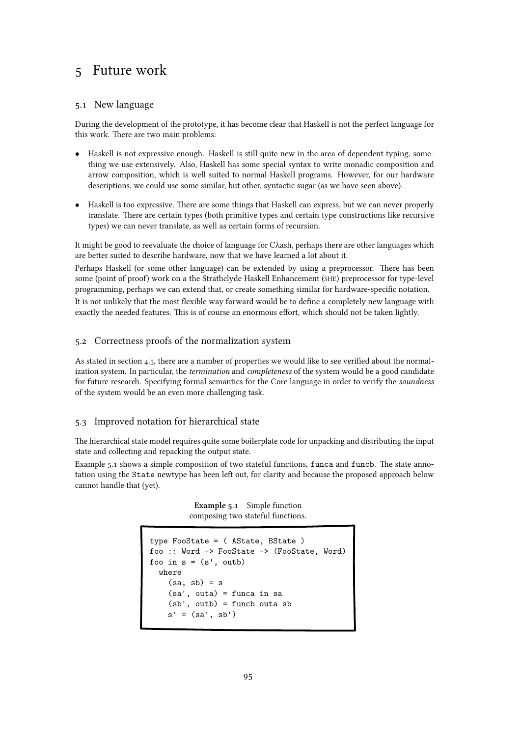# <span id="page-94-0"></span>5 Future work

# 5.1 New language

During the development of the prototype, it has become clear that Haskell is not the perfect language for this work. There are two main problems:

- *•* Haskell is not expressive enough. Haskell is still quite new in the area of dependent typing, something we use extensively. Also, Haskell has some special syntax to write monadic composition and arrow composition, which is well suited to normal Haskell programs. However, for our hardware descriptions, we could use some similar, but other, syntactic sugar (as we have seen above).
- *•* Haskell is too expressive. There are some things that Haskell can express, but we can never properly translate. There are certain types (both primitive types and certain type constructions like recursive types) we can never translate, as well as certain forms of recursion.

It might be good to reevaluate the choice of language for Cλash, perhaps there are other languages which are better suited to describe hardware, now that we have learned a lot about it.

Perhaps Haskell (or some other language) can be extended by using a preprocessor. There has been some (point of proof) work on a the Strathclyde Haskell Enhancement (SHE) preprocessor for type-level programming, perhaps we can extend that, or create something similar for hardware-specific notation. It is not unlikely that the most flexible way forward would be to define a completely new language with exactly the needed features. This is of course an enormous effort, which should not be taken lightly.

# 5.2 Correctness proofs of the normalization system

As stated in [section 4.5, there are a number of properties we would like to see verified about the normal](#page-89-0)ization system. In particular, the *termination* and *completeness* of the system would be a good candidate for future research. Specifying formal semantics for the Core language in order to verify the soundness of the system would be an even more challenging task.

# 5.3 Improved notation for hierarchical state

The hierarchical state model requires quite some boilerplate code for unpacking and distributing the input state and collecting and repacking the output state.

Example 5.1 shows a simple composition of two stateful functions, funca and funcb. The state annotation using the State newtype has been left out, for clarity and because the proposed approach below cannot handle that (yet).

> Example 5.1 Simple function composing two stateful functions.

```
type FooState = ( AState, BState )
foo :: Word -> FooState -> (FooState, Word)
foo in s = (s', outb)where
    (sa, sb) = s(sa', outa) = funca in sa
    (sb', outb) = funcb outa sb
    s' = (sa', sb')
```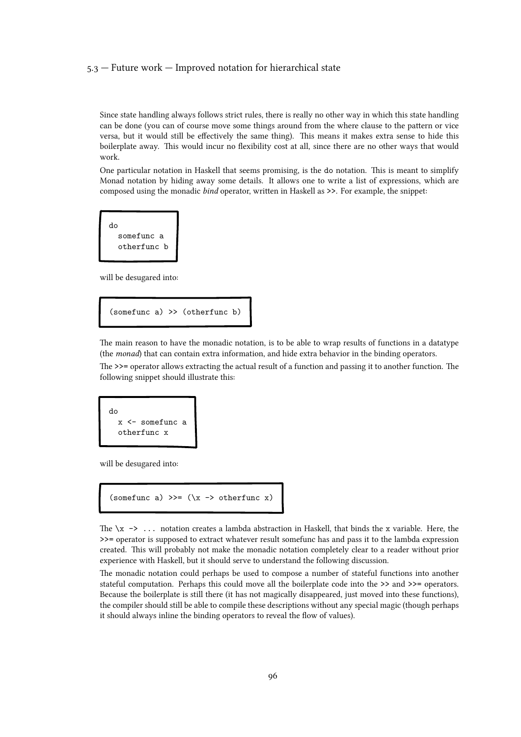#### 5.3 — Future work — Improved notation for hierarchical state

Since state handling always follows strict rules, there is really no other way in which this state handling can be done (you can of course move some things around from the where clause to the pattern or vice versa, but it would still be effectively the same thing). This means it makes extra sense to hide this boilerplate away. This would incur no flexibility cost at all, since there are no other ways that would work.

One particular notation in Haskell that seems promising, is the do notation. This is meant to simplify Monad notation by hiding away some details. It allows one to write a list of expressions, which are composed using the monadic bind operator, written in Haskell as >>. For example, the snippet:

```
do
 somefunc a
  otherfunc b
```
will be desugared into:

(somefunc a) >> (otherfunc b)

The main reason to have the monadic notation, is to be able to wrap results of functions in a datatype (the monad) that can contain extra information, and hide extra behavior in the binding operators.

The >>= operator allows extracting the actual result of a function and passing it to another function. The following snippet should illustrate this:

do x <- somefunc a otherfunc x

will be desugared into:

```
(somefunc a) \gg = (\x \rightarrow \text{otherfunc } x)
```
The  $\x \rightarrow \dots$  notation creates a lambda abstraction in Haskell, that binds the x variable. Here, the >>= operator is supposed to extract whatever result somefunc has and pass it to the lambda expression created. This will probably not make the monadic notation completely clear to a reader without prior experience with Haskell, but it should serve to understand the following discussion.

The monadic notation could perhaps be used to compose a number of stateful functions into another stateful computation. Perhaps this could move all the boilerplate code into the >> and >>= operators. Because the boilerplate is still there (it has not magically disappeared, just moved into these functions), the compiler should still be able to compile these descriptions without any special magic (though perhaps it should always inline the binding operators to reveal the flow of values).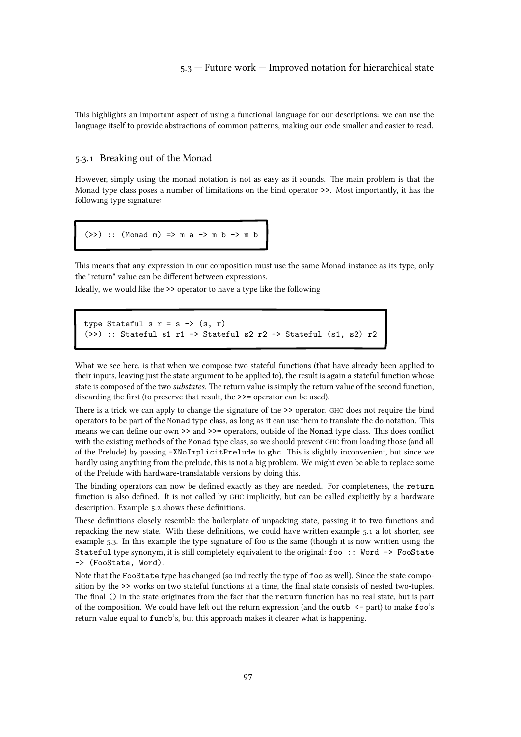This highlights an important aspect of using a functional language for our descriptions: we can use the language itself to provide abstractions of common patterns, making our code smaller and easier to read.

#### 5.3.1 Breaking out of the Monad

However, simply using the monad notation is not as easy as it sounds. The main problem is that the Monad type class poses a number of limitations on the bind operator >>. Most importantly, it has the following type signature:

 $(\gg)$  :: (Monad m) => m a -> m b -> m b

This means that any expression in our composition must use the same Monad instance as its type, only the "return" value can be different between expressions.

Ideally, we would like the >> operator to have a type like the following

```
type Stateful s r = s \rightarrow (s, r)(\gg) :: Stateful s1 r1 -> Stateful s2 r2 -> Stateful (s1, s2) r2
```
What we see here, is that when we compose two stateful functions (that have already been applied to their inputs, leaving just the state argument to be applied to), the result is again a stateful function whose state is composed of the two substates. The return value is simply the return value of the second function, discarding the first (to preserve that result, the  $\gg$  = operator can be used).

There is a trick we can apply to change the signature of the  $\gg$  operator. GHC does not require the bind operators to be part of the Monad type class, as long as it can use them to translate the do notation. This means we can define our own >> and >>= operators, outside of the Monad type class. This does conflict with the existing methods of the Monad type class, so we should prevent GHC from loading those (and all of the Prelude) by passing -XNoImplicitPrelude to ghc. This is slightly inconvenient, but since we hardly using anything from the prelude, this is not a big problem. We might even be able to replace some of the Prelude with hardware-translatable versions by doing this.

The binding operators can now be defined exactly as they are needed. For completeness, the return function is also defined. It is not called by GHC implicitly, but can be called explicitly by a hardware description. [Example 5.2](#page-97-0) shows these definitions.

These definitions closely resemble the boilerplate of unpacking state, passing it to two functions and repacking the new state. With these definitions, we could have written [example 5.1](#page-94-0) a lot shorter, see [example 5.3. In this example the type signature of foo is the same \(though it is now written using the](#page-97-0) Stateful type synonym, it is still completely equivalent to the original: foo :: Word -> FooState -> (FooState, Word).

Note that the FooState type has changed (so indirectly the type of foo as well). Since the state composition by the >> works on two stateful functions at a time, the final state consists of nested two-tuples. The final () in the state originates from the fact that the return function has no real state, but is part of the composition. We could have left out the return expression (and the outb <- part) to make foo's return value equal to funcb's, but this approach makes it clearer what is happening.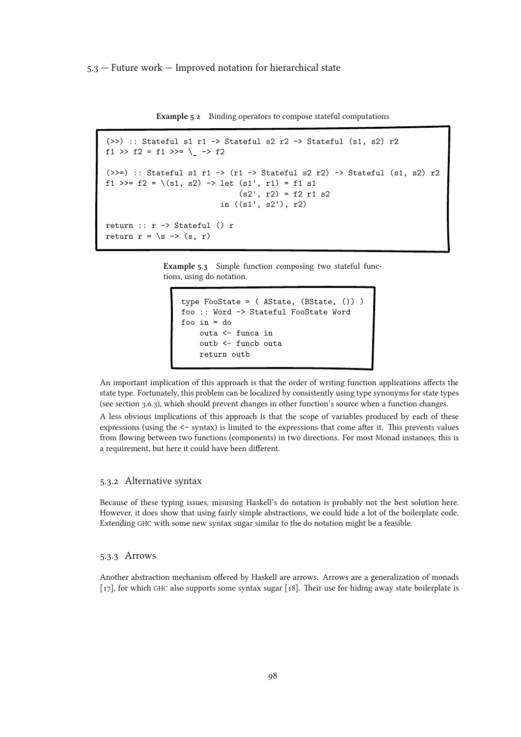<span id="page-97-0"></span>5.3 — Future work — Improved notation for hierarchical state

Example 5.2 Binding operators to compose stateful computations

```
(\gg) :: Stateful s1 r1 -> Stateful s2 r2 -> Stateful (s1, s2) r2
f1 >> f2 = f1 >>= \backslash -> f2
(\rightarrow)=) :: Stateful s1 r1 -> (r1 -> Stateful s2 r2) -> Stateful (s1, s2) r2
f1 >>= f2 = \{(s1, s2) \rightarrow let (s1', r1) = f1 s1(s2', r2) = f2 r1 s2in ((s1', s2'), r2)
return :: r -> Stateful () r
return r = \succeq s \rightarrow (s, r)
```
Example 5.3 Simple function composing two stateful functions, using do notation.

```
type FooState = ( AState, (BState, ()) )
foo :: Word -> Stateful FooState Word
foo in = do
   outa <- funca in
    outb <- funcb outa
    return outb
```
An important implication of this approach is that the order of writing function applications affects the state type. Fortunately, this problem can be localized by consistently using type synonyms for state types (see [section 3.6.3\), which should prevent changes in other function's source when a function changes.](#page-42-0)

A less obvious implications of this approach is that the scope of variables produced by each of these expressions (using the <- syntax) is limited to the expressions that come after it. This prevents values from flowing between two functions (components) in two directions. For most Monad instances, this is a requirement, but here it could have been different.

#### 5.3.2 Alternative syntax

Because of these typing issues, misusing Haskell's do notation is probably not the best solution here. However, it does show that using fairly simple abstractions, we could hide a lot of the boilerplate code. Extending GHC with some new syntax sugar similar to the do notation might be a feasible.

#### 5.3.3 Arrows

Another abstraction mechanism offered by Haskell are arrows. Arrows are a generalization of monads [17], for which GHC [also supports some syntax sugar \[18\]. Their use for hiding away state boilerplate is](#page-108-0)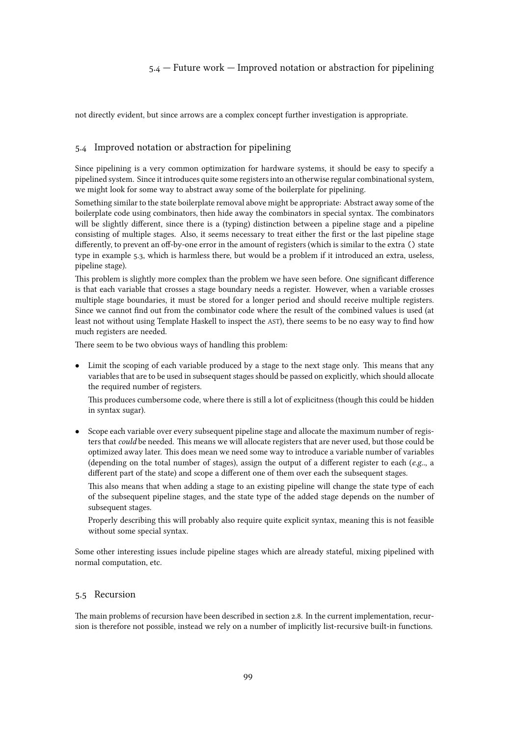# 5.4 — Future work — Improved notation or abstraction for pipelining

<span id="page-98-0"></span>not directly evident, but since arrows are a complex concept further investigation is appropriate.

#### 5.4 Improved notation or abstraction for pipelining

Since pipelining is a very common optimization for hardware systems, it should be easy to specify a pipelined system. Since it introduces quite some registers into an otherwise regular combinational system, we might look for some way to abstract away some of the boilerplate for pipelining.

Something similar to the state boilerplate removal above might be appropriate: Abstract away some of the boilerplate code using combinators, then hide away the combinators in special syntax. The combinators will be slightly different, since there is a (typing) distinction between a pipeline stage and a pipeline consisting of multiple stages. Also, it seems necessary to treat either the first or the last pipeline stage differently, to prevent an off-by-one error in the amount of registers (which is similar to the extra () state type in [example 5.3, which is harmless there, but would be a problem if it introduced an extra, useless,](#page-97-0) pipeline stage).

This problem is slightly more complex than the problem we have seen before. One significant difference is that each variable that crosses a stage boundary needs a register. However, when a variable crosses multiple stage boundaries, it must be stored for a longer period and should receive multiple registers. Since we cannot find out from the combinator code where the result of the combined values is used (at least not without using Template Haskell to inspect the AST), there seems to be no easy way to find how much registers are needed.

There seem to be two obvious ways of handling this problem:

• Limit the scoping of each variable produced by a stage to the next stage only. This means that any variables that are to be used in subsequent stages should be passed on explicitly, which should allocate the required number of registers.

This produces cumbersome code, where there is still a lot of explicitness (though this could be hidden in syntax sugar).

*•* Scope each variable over every subsequent pipeline stage and allocate the maximum number of registers that could be needed. This means we will allocate registers that are never used, but those could be optimized away later. This does mean we need some way to introduce a variable number of variables (depending on the total number of stages), assign the output of a different register to each ( $e.g.,$  a different part of the state) and scope a different one of them over each the subsequent stages.

This also means that when adding a stage to an existing pipeline will change the state type of each of the subsequent pipeline stages, and the state type of the added stage depends on the number of subsequent stages.

Properly describing this will probably also require quite explicit syntax, meaning this is not feasible without some special syntax.

Some other interesting issues include pipeline stages which are already stateful, mixing pipelined with normal computation, etc.

# 5.5 Recursion

The main problems of recursion have been describedin [section 2.8. In the current implementation, recur](#page-27-0)sion is therefore not possible, instead we rely on a number of implicitly list-recursive built-in functions.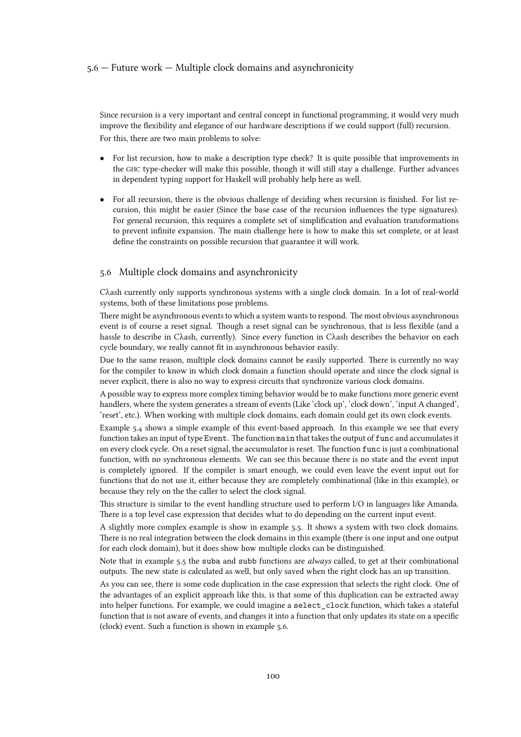#### 5.6 — Future work — Multiple clock domains and asynchronicity

Since recursion is a very important and central concept in functional programming, it would very much improve the flexibility and elegance of our hardware descriptions if we could support (full) recursion. For this, there are two main problems to solve:

- For list recursion, how to make a description type check? It is quite possible that improvements in the GHC type-checker will make this possible, though it will still stay a challenge. Further advances in dependent typing support for Haskell will probably help here as well.
- For all recursion, there is the obvious challenge of deciding when recursion is finished. For list recursion, this might be easier (Since the base case of the recursion influences the type signatures). For general recursion, this requires a complete set of simplification and evaluation transformations to prevent infinite expansion. The main challenge here is how to make this set complete, or at least define the constraints on possible recursion that guarantee it will work.

#### 5.6 Multiple clock domains and asynchronicity

Cλash currently only supports synchronous systems with a single clock domain. In a lot of real-world systems, both of these limitations pose problems.

There might be asynchronous events to which a system wants to respond. The most obvious asynchronous event is of course a reset signal. Though a reset signal can be synchronous, that is less flexible (and a hassle to describe in Cλash, currently). Since every function in Cλash describes the behavior on each cycle boundary, we really cannot fit in asynchronous behavior easily.

Due to the same reason, multiple clock domains cannot be easily supported. There is currently no way for the compiler to know in which clock domain a function should operate and since the clock signal is never explicit, there is also no way to express circuits that synchronize various clock domains.

A possible way to express more complex timing behavior would be to make functions more generic event handlers, where the system generates a stream of events (Like 'clock up', 'clock down', 'input A changed', 'reset', etc.). When working with multiple clock domains, each domain could get its own clock events.

[Example 5.4](#page-100-0) shows a simple example of this event-based approach. In this example we see that every function takes an input of type Event. The function main that takes the output of func and accumulates it on every clock cycle. On a reset signal, the accumulator is reset. The function func is just a combinational function, with no synchronous elements. We can see this because there is no state and the event input is completely ignored. If the compiler is smart enough, we could even leave the event input out for functions that do not use it, either because they are completely combinational (like in this example), or because they rely on the the caller to select the clock signal.

This structure is similar to the event handling structure used to perform I/O in languages like Amanda. There is a top level case expression that decides what to do depending on the current input event.

A slightly more complex example is show in [example 5.5. It shows a system with two clock domains.](#page-101-0) There is no real integration between the clock domains in this example (there is one input and one output for each clock domain), but it does show how multiple clocks can be distinguished.

Note that in [example 5.5](#page-101-0) the suba and subb functions are *always* called, to get at their combinational outputs. The new state is calculated as well, but only saved when the right clock has an up transition.

As you can see, there is some code duplication in the case expression that selects the right clock. One of the advantages of an explicit approach like this, is that some of this duplication can be extracted away into helper functions. For example, we could imagine a select\_clock function, which takes a stateful function that is not aware of events, and changes it into a function that only updates its state on a specific (clock) event. Such a function is shown in [example 5.6.](#page-102-0)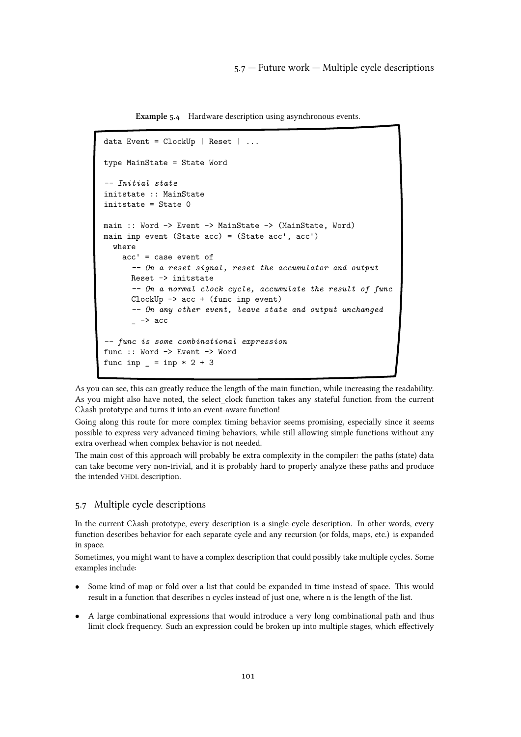Example 5.4 Hardware description using asynchronous events.

```
data Event = ClockUp | Reset | ...type MainState = State Word
-- Initial state
initstate :: MainState
initstate = State 0
main :: Word -> Event -> MainState -> (MainState, Word)
main inp event (State acc) = (State acc', acc')
  where
    acc' = case event of
      -- On a reset signal, reset the accumulator and output
      Reset -> initstate
      -- On a normal clock cycle, accumulate the result of func
      ClockUp -> acc + (func inp event)
      -- On any other event, leave state and output unchanged
      \overline{\phantom{a}} -> acc
-- func is some combinational expression
func :: Word -> Event -> Word
func inp = inp * 2 + 3
```
As you can see, this can greatly reduce the length of the main function, while increasing the readability. As you might also have noted, the select clock function takes any stateful function from the current Cλash prototype and turns it into an event-aware function!

Going along this route for more complex timing behavior seems promising, especially since it seems possible to express very advanced timing behaviors, while still allowing simple functions without any extra overhead when complex behavior is not needed.

The main cost of this approach will probably be extra complexity in the compiler: the paths (state) data can take become very non-trivial, and it is probably hard to properly analyze these paths and produce the intended VHDL description.

# 5.7 Multiple cycle descriptions

In the current Cλash prototype, every description is a single-cycle description. In other words, every function describes behavior for each separate cycle and any recursion (or folds, maps, etc.) is expanded in space.

Sometimes, you might want to have a complex description that could possibly take multiple cycles. Some examples include:

- Some kind of map or fold over a list that could be expanded in time instead of space. This would result in a function that describes n cycles instead of just one, where n is the length of the list.
- *•* A large combinational expressions that would introduce a very long combinational path and thus limit clock frequency. Such an expression could be broken up into multiple stages, which effectively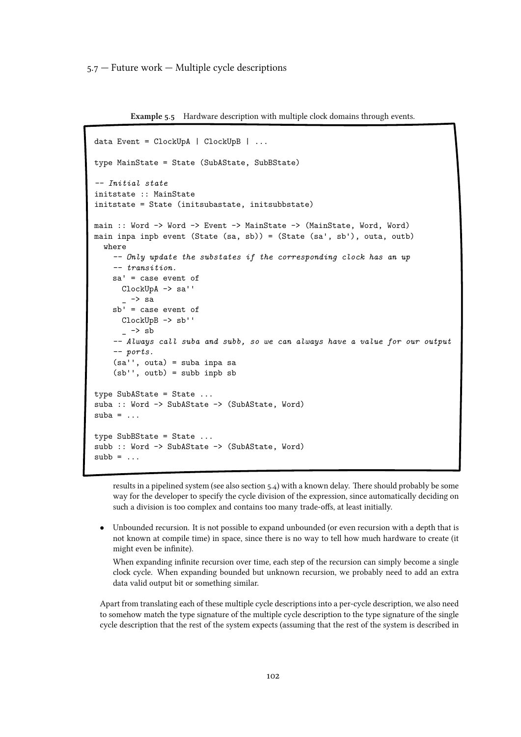<span id="page-101-0"></span>5.7 — Future work — Multiple cycle descriptions

Example 5.5 Hardware description with multiple clock domains through events.

```
data Event = ClockUpA | ClockUpB | ...
type MainState = State (SubAState, SubBState)
-- Initial state
initstate :: MainState
initstate = State (initsubastate, initsubbstate)
main :: Word -> Word -> Event -> MainState -> (MainState, Word, Word)
main inpa inpb event (State (sa, sb)) = (State (sa', sb'), outa, outb)
  where
    -- Only update the substates if the corresponding clock has an up
    -- transition.
    sa' = case event of
      ClockUpA -> sa''
      - -> sa
    sb' = case event of
      ClockUpB -> sb''
      \overline{\phantom{a}} -> sb
    -- Always call suba and subb, so we can always have a value for our output
    -- ports.
    (sa'', outa) = suba inpa sa
    (sb'', outb) = subb inpb sb
type SubAState = State ...
suba :: Word -> SubAState -> (SubAState, Word)
suba = . . .type SubBState = State ...
subb :: Word -> SubAState -> (SubAState, Word)
subb = ...
```
results in a pipelined system (see also [section 5.4\) with a known delay. There should probably be some](#page-98-0) way for the developer to specify the cycle division of the expression, since automatically deciding on such a division is too complex and contains too many trade-offs, at least initially.

*•* Unbounded recursion. It is not possible to expand unbounded (or even recursion with a depth that is not known at compile time) in space, since there is no way to tell how much hardware to create (it might even be infinite).

When expanding infinite recursion over time, each step of the recursion can simply become a single clock cycle. When expanding bounded but unknown recursion, we probably need to add an extra data valid output bit or something similar.

Apart from translating each of these multiple cycle descriptions into a per-cycle description, we also need to somehow match the type signature of the multiple cycle description to the type signature of the single cycle description that the rest of the system expects (assuming that the rest of the system is described in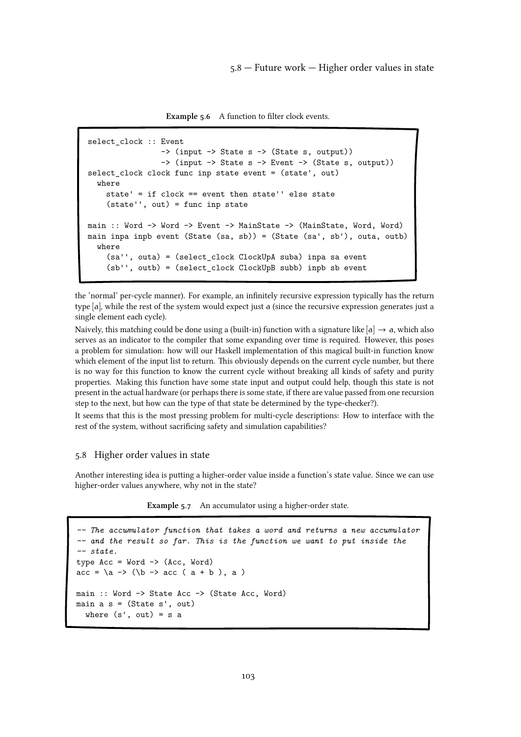5.8 — Future work — Higher order values in state

Example 5.6 A function to filter clock events.

```
select_clock :: Event
                -> (input -> State s -> (State s, output))
                -> (input -> State s -> Event -> (State s, output))
select_clock clock func inp state event = (state', out)
  where
    state' = if clock == event then state'' else state
    (state'', out) = func inp state
main :: Word -> Word -> Event -> MainState -> (MainState, Word, Word)
main inpa inpb event (State (sa, sb)) = (State (sa', sb'), outa, outb)
  where
    (sa'', outa) = (select_clock ClockUpA suba) inpa sa event
    (sb'', outb) = (select_clock ClockUpB subb) inpb sb event
```
the 'normal' per-cycle manner). For example, an infinitely recursive expression typically has the return type [a], while the rest of the system would expect just a (since the recursive expression generates just a single element each cycle).

Naively, this matching could be done using a (built-in) function with a signature like  $[a] \rightarrow a$ , which also serves as an indicator to the compiler that some expanding over time is required. However, this poses a problem for simulation: how will our Haskell implementation of this magical built-in function know which element of the input list to return. This obviously depends on the current cycle number, but there is no way for this function to know the current cycle without breaking all kinds of safety and purity properties. Making this function have some state input and output could help, though this state is not present in the actual hardware (or perhaps there is some state, if there are value passed from one recursion step to the next, but how can the type of that state be determined by the type-checker?).

It seems that this is the most pressing problem for multi-cycle descriptions: How to interface with the rest of the system, without sacrificing safety and simulation capabilities?

# 5.8 Higher order values in state

Another interesting idea is putting a higher-order value inside a function's state value. Since we can use higher-order values anywhere, why not in the state?

Example 5.7 An accumulator using a higher-order state.

```
-- The accumulator function that takes a word and returns a new accumulator
-- and the result so far. This is the function we want to put inside the
-- state.
type Acc = Word \rightarrow (Acc, Word)acc = \{a \rightarrow (\{b \rightarrow acc \mid a+b\}), a)
main :: Word -> State Acc -> (State Acc, Word)
main a s = (State s', out)where (s', out) = s a
```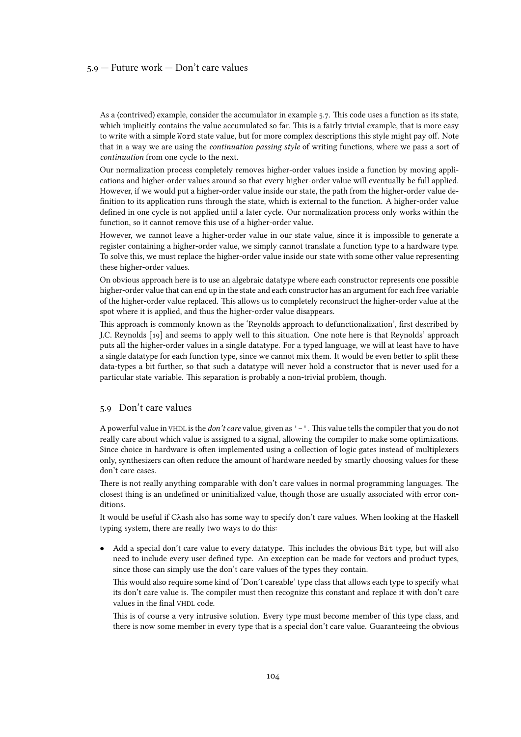#### 5.9 — Future work — Don't care values

As a (contrived) example, consider the accumulator in [example 5.7. This code uses a function as its state,](#page-102-0) which implicitly contains the value accumulated so far. This is a fairly trivial example, that is more easy to write with a simple Word state value, but for more complex descriptions this style might pay off. Note that in a way we are using the continuation passing style of writing functions, where we pass a sort of continuation from one cycle to the next.

Our normalization process completely removes higher-order values inside a function by moving applications and higher-order values around so that every higher-order value will eventually be full applied. However, if we would put a higher-order value inside our state, the path from the higher-order value definition to its application runs through the state, which is external to the function. A higher-order value defined in one cycle is not applied until a later cycle. Our normalization process only works within the function, so it cannot remove this use of a higher-order value.

However, we cannot leave a higher-order value in our state value, since it is impossible to generate a register containing a higher-order value, we simply cannot translate a function type to a hardware type. To solve this, we must replace the higher-order value inside our state with some other value representing these higher-order values.

On obvious approach here is to use an algebraic datatype where each constructor represents one possible higher-order value that can end up in the state and each constructor has an argument for each free variable of the higher-order value replaced. This allows us to completely reconstruct the higher-order value at the spot where it is applied, and thus the higher-order value disappears.

This approach is commonly known as the 'Reynolds approach to defunctionalization', first described by J.C. Reynolds[[19\] and seems to apply well to this situation. One note here is that Reynolds' approach](#page-108-0) puts all the higher-order values in a single datatype. For a typed language, we will at least have to have a single datatype for each function type, since we cannot mix them. It would be even better to split these data-types a bit further, so that such a datatype will never hold a constructor that is never used for a particular state variable. This separation is probably a non-trivial problem, though.

#### 5.9 Don't care values

A powerful value in VHDL is the don't care value, given as '-'. This value tells the compiler that you do not really care about which value is assigned to a signal, allowing the compiler to make some optimizations. Since choice in hardware is often implemented using a collection of logic gates instead of multiplexers only, synthesizers can often reduce the amount of hardware needed by smartly choosing values for these don't care cases.

There is not really anything comparable with don't care values in normal programming languages. The closest thing is an undefined or uninitialized value, though those are usually associated with error conditions.

It would be useful if Cλash also has some way to specify don't care values. When looking at the Haskell typing system, there are really two ways to do this:

*•* Add a special don't care value to every datatype. This includes the obvious Bit type, but will also need to include every user defined type. An exception can be made for vectors and product types, since those can simply use the don't care values of the types they contain.

This would also require some kind of 'Don't careable' type class that allows each type to specify what its don't care value is. The compiler must then recognize this constant and replace it with don't care values in the final VHDL code.

This is of course a very intrusive solution. Every type must become member of this type class, and there is now some member in every type that is a special don't care value. Guaranteeing the obvious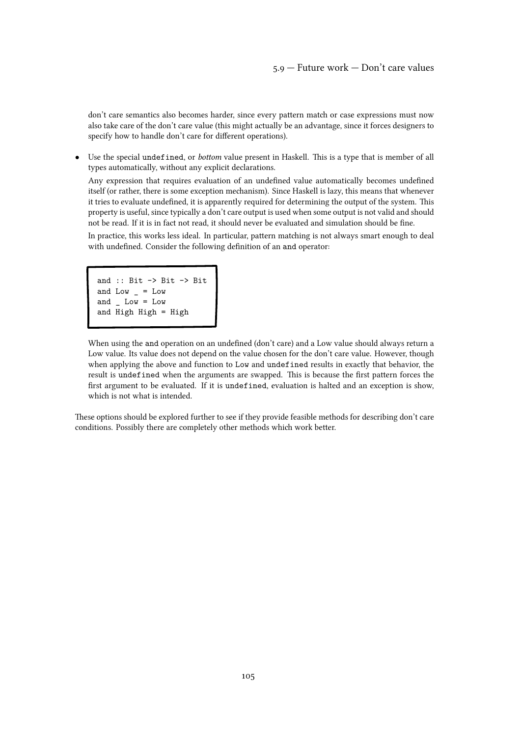don't care semantics also becomes harder, since every pattern match or case expressions must now also take care of the don't care value (this might actually be an advantage, since it forces designers to specify how to handle don't care for different operations).

*•* Use the special undefined, or bottom value present in Haskell. This is a type that is member of all types automatically, without any explicit declarations.

Any expression that requires evaluation of an undefined value automatically becomes undefined itself (or rather, there is some exception mechanism). Since Haskell is lazy, this means that whenever it tries to evaluate undefined, it is apparently required for determining the output of the system. This property is useful, since typically a don't care output is used when some output is not valid and should not be read. If it is in fact not read, it should never be evaluated and simulation should be fine.

In practice, this works less ideal. In particular, pattern matching is not always smart enough to deal with undefined. Consider the following definition of an and operator:

```
and :: Bit -> Bit -> Bit
and Low \_ = Lowand \_ Low = Lowand High High = High
```
When using the and operation on an undefined (don't care) and a Low value should always return a Low value. Its value does not depend on the value chosen for the don't care value. However, though when applying the above and function to Low and undefined results in exactly that behavior, the result is undefined when the arguments are swapped. This is because the first pattern forces the first argument to be evaluated. If it is undefined, evaluation is halted and an exception is show, which is not what is intended.

These options should be explored further to see if they provide feasible methods for describing don't care conditions. Possibly there are completely other methods which work better.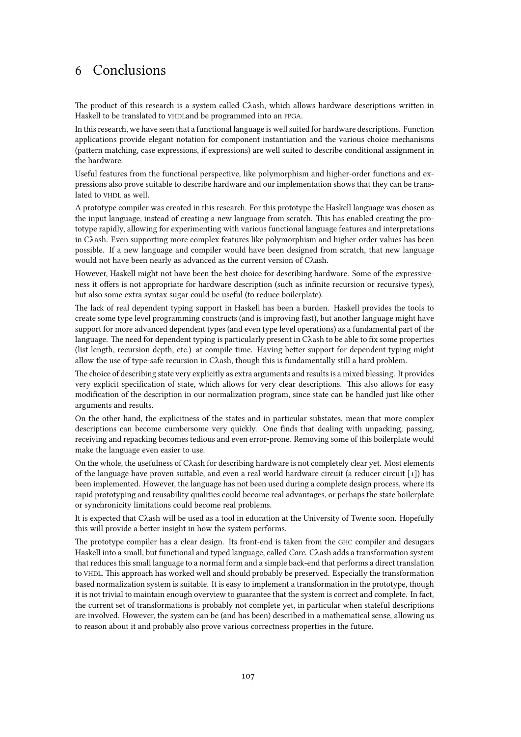# 6 Conclusions

The product of this research is a system called Cλash, which allows hardware descriptions written in Haskell to be translated to VHDLand be programmed into an FPGA.

In this research, we have seen that a functional language is well suited for hardware descriptions. Function applications provide elegant notation for component instantiation and the various choice mechanisms (pattern matching, case expressions, if expressions) are well suited to describe conditional assignment in the hardware.

Useful features from the functional perspective, like polymorphism and higher-order functions and expressions also prove suitable to describe hardware and our implementation shows that they can be translated to VHDL as well.

A prototype compiler was created in this research. For this prototype the Haskell language was chosen as the input language, instead of creating a new language from scratch. This has enabled creating the prototype rapidly, allowing for experimenting with various functional language features and interpretations in Cλash. Even supporting more complex features like polymorphism and higher-order values has been possible. If a new language and compiler would have been designed from scratch, that new language would not have been nearly as advanced as the current version of Cλash.

However, Haskell might not have been the best choice for describing hardware. Some of the expressiveness it offers is not appropriate for hardware description (such as infinite recursion or recursive types), but also some extra syntax sugar could be useful (to reduce boilerplate).

The lack of real dependent typing support in Haskell has been a burden. Haskell provides the tools to create some type level programming constructs (and is improving fast), but another language might have support for more advanced dependent types (and even type level operations) as a fundamental part of the language. The need for dependent typing is particularly present in Cλash to be able to fix some properties (list length, recursion depth, etc.) at compile time. Having better support for dependent typing might allow the use of type-safe recursion in Cλash, though this is fundamentally still a hard problem.

The choice of describing state very explicitly as extra arguments and results is a mixed blessing. It provides very explicit specification of state, which allows for very clear descriptions. This also allows for easy modification of the description in our normalization program, since state can be handled just like other arguments and results.

On the other hand, the explicitness of the states and in particular substates, mean that more complex descriptions can become cumbersome very quickly. One finds that dealing with unpacking, passing, receiving and repacking becomes tedious and even error-prone. Removing some of this boilerplate would make the language even easier to use.

On the whole, the usefulness of Cλash for describing hardware is not completely clear yet. Most elements of the language have proven suitable, and even a real world hardware circuit (a reducer circuit  $[1]$ ) has been implemented. However, the language has not been used during a complete design process, where its rapid prototyping and reusability qualities could become real advantages, or perhaps the state boilerplate or synchronicity limitations could become real problems.

It is expected that Cλash will be used as a tool in education at the University of Twente soon. Hopefully this will provide a better insight in how the system performs.

The prototype compiler has a clear design. Its front-end is taken from the GHC compiler and desugars Haskell into a small, but functional and typed language, called Core. Cλash adds a transformation system that reduces this small language to a normal form and a simple back-end that performs a direct translation to VHDL. This approach has worked well and should probably be preserved. Especially the transformation based normalization system is suitable. It is easy to implement a transformation in the prototype, though it is not trivial to maintain enough overview to guarantee that the system is correct and complete. In fact, the current set of transformations is probably not complete yet, in particular when stateful descriptions are involved. However, the system can be (and has been) described in a mathematical sense, allowing us to reason about it and probably also prove various correctness properties in the future.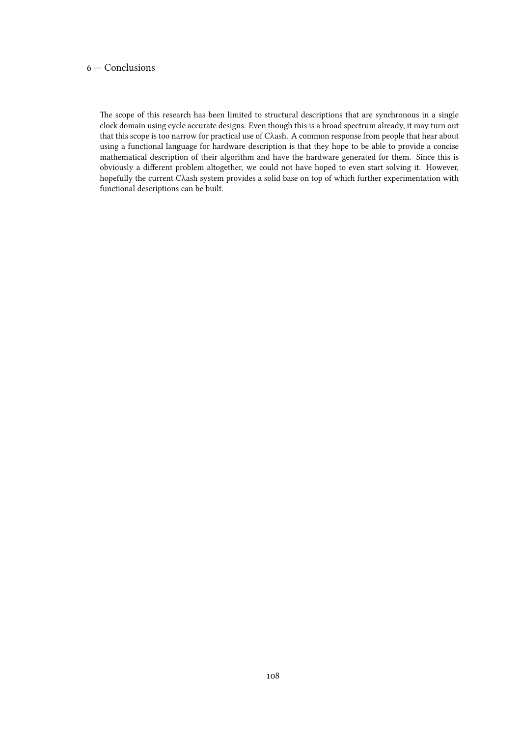# 6 — Conclusions

The scope of this research has been limited to structural descriptions that are synchronous in a single clock domain using cycle accurate designs. Even though this is a broad spectrum already, it may turn out that this scope is too narrow for practical use of Cλash. A common response from people that hear about using a functional language for hardware description is that they hope to be able to provide a concise mathematical description of their algorithm and have the hardware generated for them. Since this is obviously a different problem altogether, we could not have hoped to even start solving it. However, hopefully the current Cλash system provides a solid base on top of which further experimentation with functional descriptions can be built.